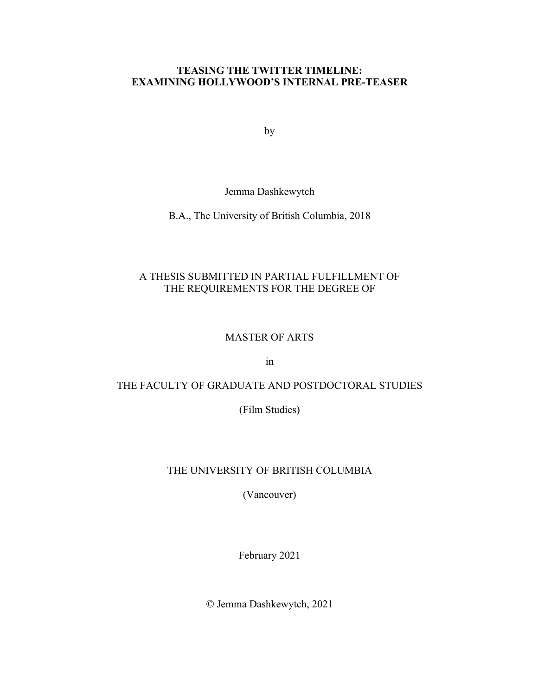### **TEASING THE TWITTER TIMELINE: EXAMINING HOLLYWOOD'S INTERNAL PRE-TEASER**

by

Jemma Dashkewytch

B.A., The University of British Columbia, 2018

### A THESIS SUBMITTED IN PARTIAL FULFILLMENT OF THE REQUIREMENTS FOR THE DEGREE OF

### MASTER OF ARTS

in

### THE FACULTY OF GRADUATE AND POSTDOCTORAL STUDIES

(Film Studies)

### THE UNIVERSITY OF BRITISH COLUMBIA

(Vancouver)

February 2021

© Jemma Dashkewytch, 2021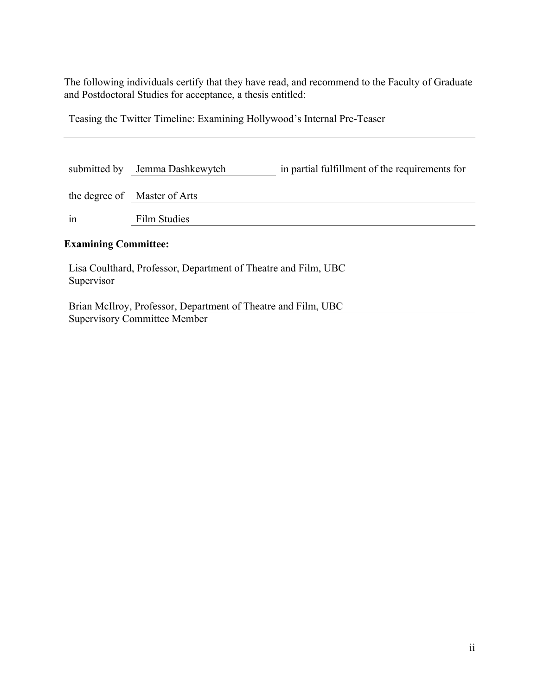The following individuals certify that they have read, and recommend to the Faculty of Graduate and Postdoctoral Studies for acceptance, a thesis entitled:

Teasing the Twitter Timeline: Examining Hollywood's Internal Pre-Teaser

|                                                                | submitted by Jemma Dashkewytch                                | in partial fulfillment of the requirements for |  |  |  |
|----------------------------------------------------------------|---------------------------------------------------------------|------------------------------------------------|--|--|--|
|                                                                | the degree of Master of Arts                                  |                                                |  |  |  |
| in                                                             | Film Studies                                                  |                                                |  |  |  |
| <b>Examining Committee:</b>                                    |                                                               |                                                |  |  |  |
| Lisa Coulthard, Professor, Department of Theatre and Film, UBC |                                                               |                                                |  |  |  |
| Supervisor                                                     |                                                               |                                                |  |  |  |
|                                                                | Brian McIlroy, Professor, Department of Theatre and Film, UBC |                                                |  |  |  |

Supervisory Committee Member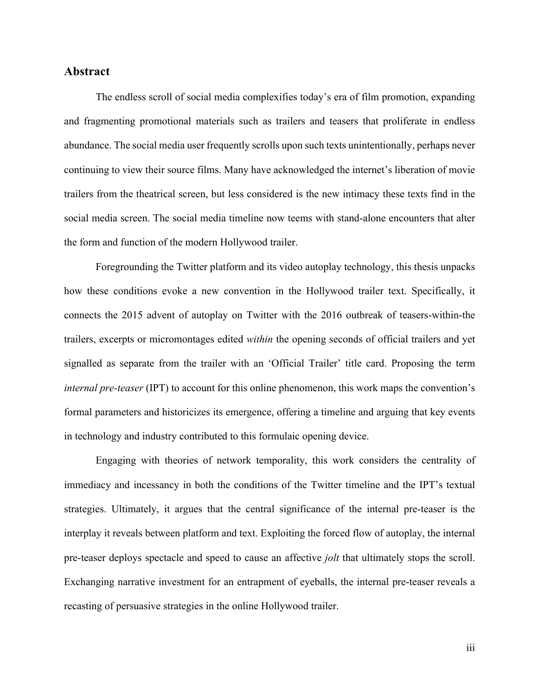### **Abstract**

The endless scroll of social media complexifies today's era of film promotion, expanding and fragmenting promotional materials such as trailers and teasers that proliferate in endless abundance. The social media user frequently scrolls upon such texts unintentionally, perhaps never continuing to view their source films. Many have acknowledged the internet's liberation of movie trailers from the theatrical screen, but less considered is the new intimacy these texts find in the social media screen. The social media timeline now teems with stand-alone encounters that alter the form and function of the modern Hollywood trailer.

Foregrounding the Twitter platform and its video autoplay technology, this thesis unpacks how these conditions evoke a new convention in the Hollywood trailer text. Specifically, it connects the 2015 advent of autoplay on Twitter with the 2016 outbreak of teasers-within-the trailers, excerpts or micromontages edited *within* the opening seconds of official trailers and yet signalled as separate from the trailer with an 'Official Trailer' title card. Proposing the term *internal pre-teaser* (IPT) to account for this online phenomenon, this work maps the convention's formal parameters and historicizes its emergence, offering a timeline and arguing that key events in technology and industry contributed to this formulaic opening device.

Engaging with theories of network temporality, this work considers the centrality of immediacy and incessancy in both the conditions of the Twitter timeline and the IPT's textual strategies. Ultimately, it argues that the central significance of the internal pre-teaser is the interplay it reveals between platform and text. Exploiting the forced flow of autoplay, the internal pre-teaser deploys spectacle and speed to cause an affective *jolt* that ultimately stops the scroll. Exchanging narrative investment for an entrapment of eyeballs, the internal pre-teaser reveals a recasting of persuasive strategies in the online Hollywood trailer.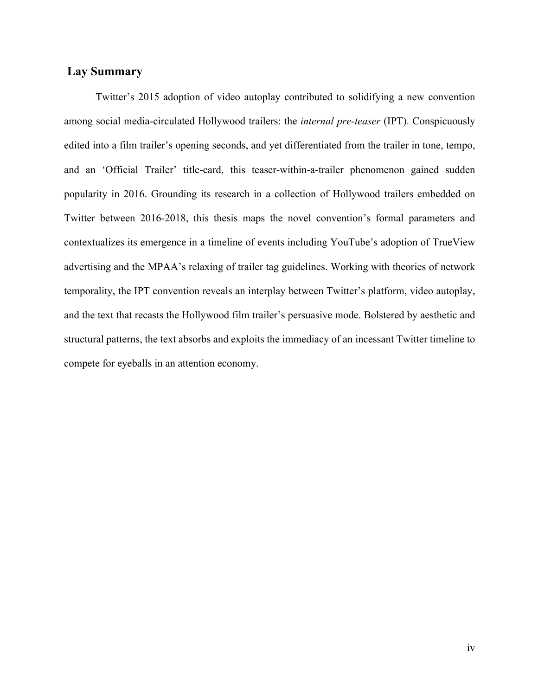### **Lay Summary**

Twitter's 2015 adoption of video autoplay contributed to solidifying a new convention among social media-circulated Hollywood trailers: the *internal pre-teaser* (IPT). Conspicuously edited into a film trailer's opening seconds, and yet differentiated from the trailer in tone, tempo, and an 'Official Trailer' title-card, this teaser-within-a-trailer phenomenon gained sudden popularity in 2016. Grounding its research in a collection of Hollywood trailers embedded on Twitter between 2016-2018, this thesis maps the novel convention's formal parameters and contextualizes its emergence in a timeline of events including YouTube's adoption of TrueView advertising and the MPAA's relaxing of trailer tag guidelines. Working with theories of network temporality, the IPT convention reveals an interplay between Twitter's platform, video autoplay, and the text that recasts the Hollywood film trailer's persuasive mode. Bolstered by aesthetic and structural patterns, the text absorbs and exploits the immediacy of an incessant Twitter timeline to compete for eyeballs in an attention economy.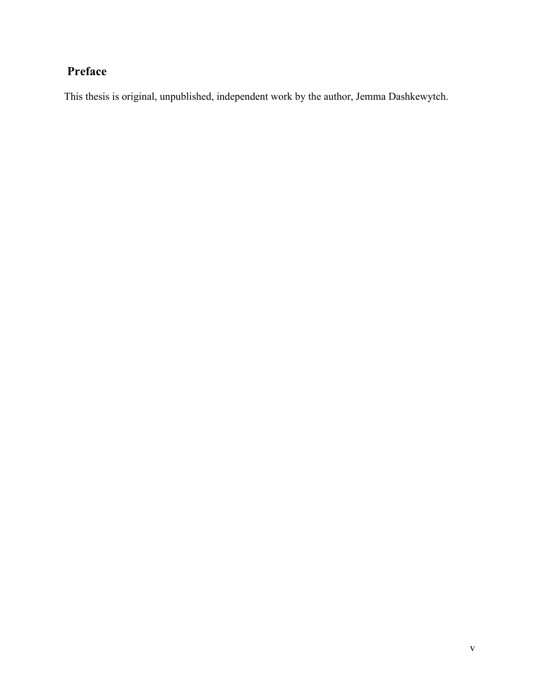## **Preface**

This thesis is original, unpublished, independent work by the author, Jemma Dashkewytch.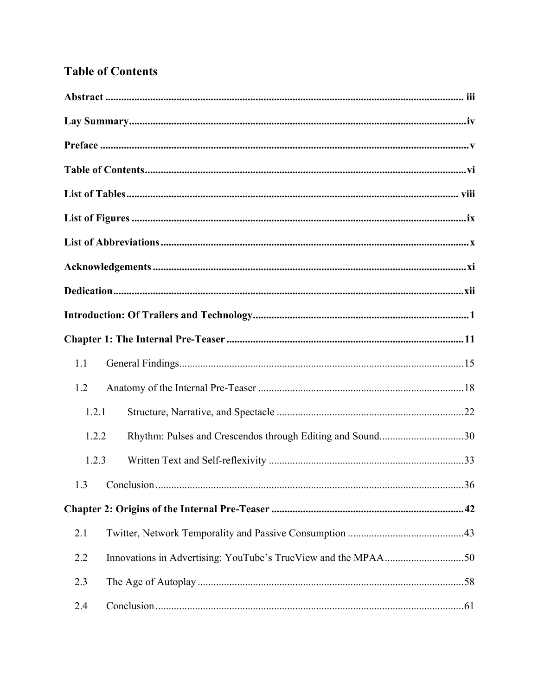## **Table of Contents**

| 1.1   |                                                           |  |
|-------|-----------------------------------------------------------|--|
| 1.2   |                                                           |  |
| 1.2.1 |                                                           |  |
| 1.2.2 | Rhythm: Pulses and Crescendos through Editing and Sound30 |  |
| 1.2.3 |                                                           |  |
|       |                                                           |  |
|       |                                                           |  |
| 2.1   |                                                           |  |
| 2.2   |                                                           |  |
| 2.3   |                                                           |  |
| 2.4   |                                                           |  |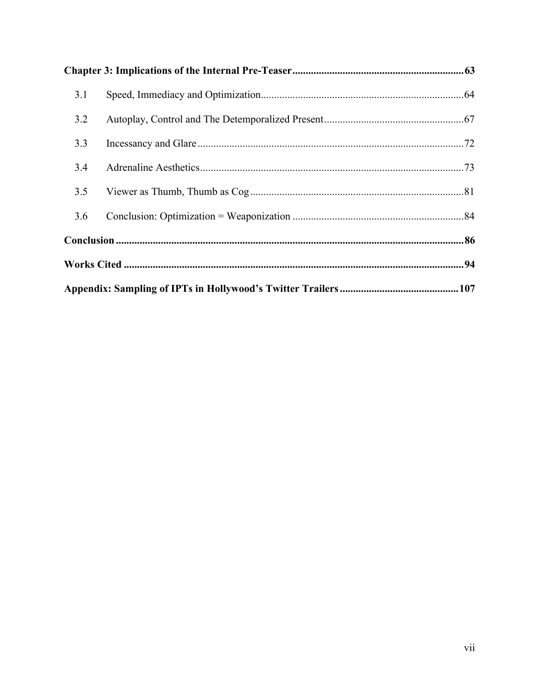| 3.1 |  |  |
|-----|--|--|
| 3.2 |  |  |
| 3.3 |  |  |
| 3.4 |  |  |
| 3.5 |  |  |
| 3.6 |  |  |
|     |  |  |
|     |  |  |
|     |  |  |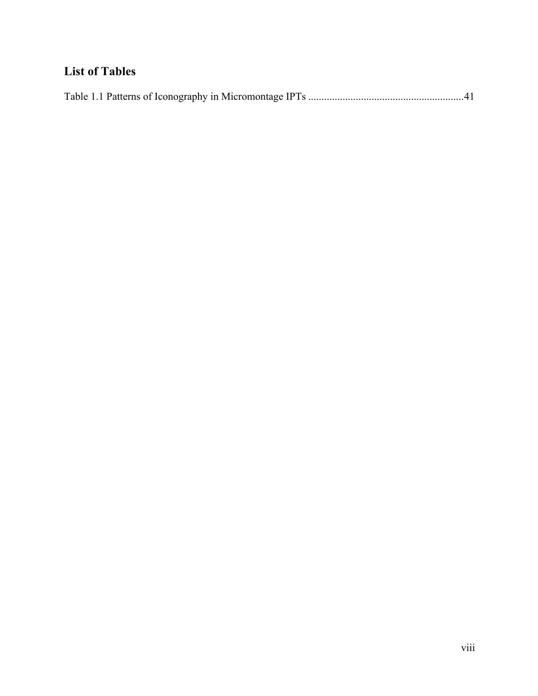## **List of Tables**

|--|--|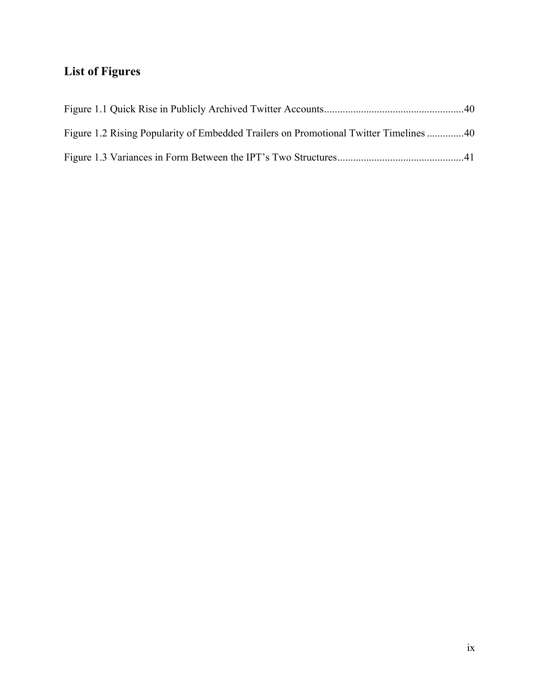# **List of Figures**

| Figure 1.2 Rising Popularity of Embedded Trailers on Promotional Twitter Timelines 40 |  |
|---------------------------------------------------------------------------------------|--|
|                                                                                       |  |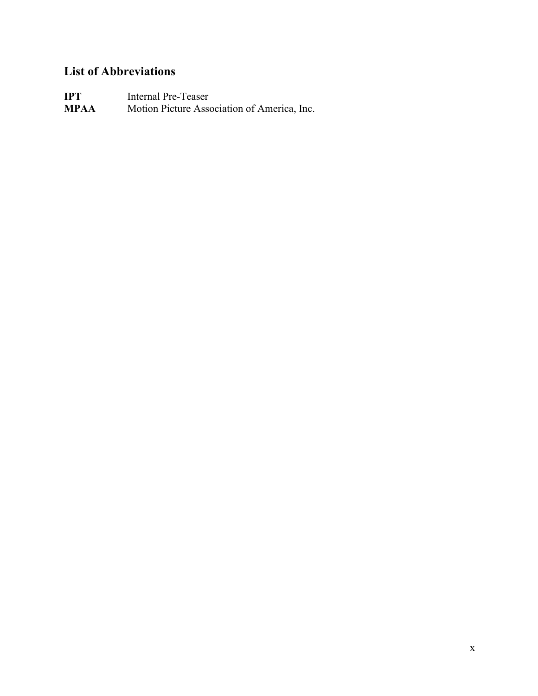## **List of Abbreviations**

**IPT** Internal Pre-Teaser<br>**MPAA** Motion Picture Asse Motion Picture Association of America, Inc.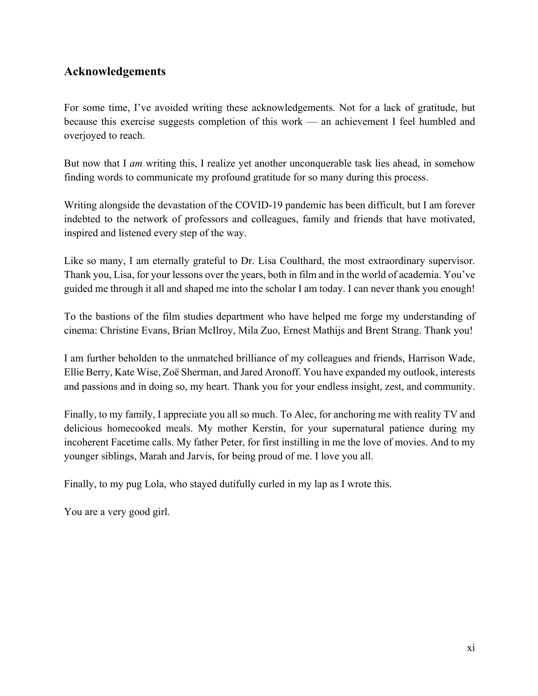### **Acknowledgements**

For some time, I've avoided writing these acknowledgements. Not for a lack of gratitude, but because this exercise suggests completion of this work — an achievement I feel humbled and overjoyed to reach.

But now that I *am* writing this, I realize yet another unconquerable task lies ahead, in somehow finding words to communicate my profound gratitude for so many during this process.

Writing alongside the devastation of the COVID-19 pandemic has been difficult, but I am forever indebted to the network of professors and colleagues, family and friends that have motivated, inspired and listened every step of the way.

Like so many, I am eternally grateful to Dr. Lisa Coulthard, the most extraordinary supervisor. Thank you, Lisa, for your lessons over the years, both in film and in the world of academia. You've guided me through it all and shaped me into the scholar I am today. I can never thank you enough!

To the bastions of the film studies department who have helped me forge my understanding of cinema: Christine Evans, Brian McIlroy, Mila Zuo, Ernest Mathijs and Brent Strang. Thank you!

I am further beholden to the unmatched brilliance of my colleagues and friends, Harrison Wade, Ellie Berry, Kate Wise, Zoë Sherman, and Jared Aronoff. You have expanded my outlook, interests and passions and in doing so, my heart. Thank you for your endless insight, zest, and community.

Finally, to my family, I appreciate you all so much. To Alec, for anchoring me with reality TV and delicious homecooked meals. My mother Kerstin, for your supernatural patience during my incoherent Facetime calls. My father Peter, for first instilling in me the love of movies. And to my younger siblings, Marah and Jarvis, for being proud of me. I love you all.

Finally, to my pug Lola, who stayed dutifully curled in my lap as I wrote this.

You are a very good girl.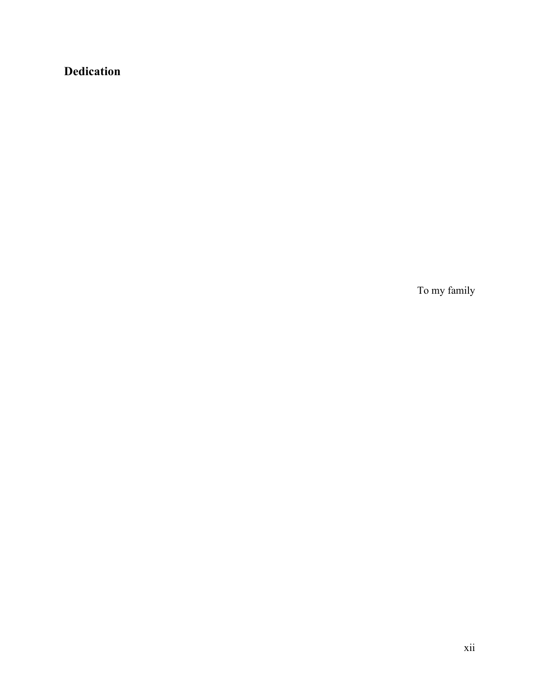## **Dedication**

To my family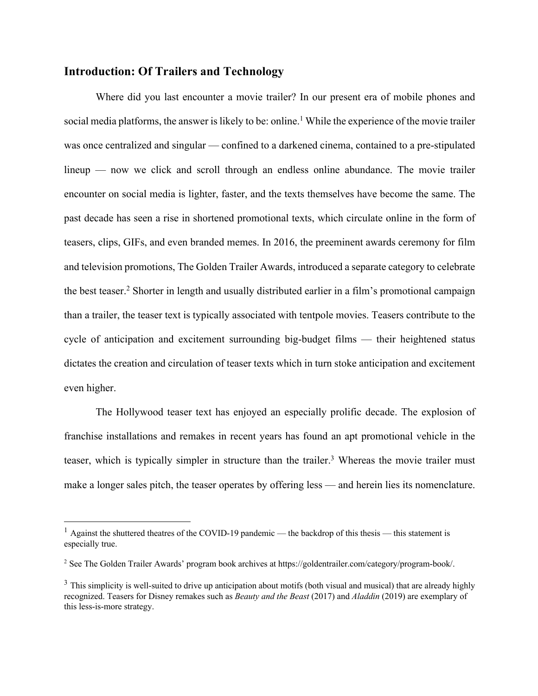### **Introduction: Of Trailers and Technology**

Where did you last encounter a movie trailer? In our present era of mobile phones and social media platforms, the answer is likely to be: online. <sup>1</sup> While the experience of the movie trailer was once centralized and singular — confined to a darkened cinema, contained to a pre-stipulated lineup — now we click and scroll through an endless online abundance. The movie trailer encounter on social media is lighter, faster, and the texts themselves have become the same. The past decade has seen a rise in shortened promotional texts, which circulate online in the form of teasers, clips, GIFs, and even branded memes. In 2016, the preeminent awards ceremony for film and television promotions, The Golden Trailer Awards, introduced a separate category to celebrate the best teaser. <sup>2</sup> Shorter in length and usually distributed earlier in a film's promotional campaign than a trailer, the teaser text is typically associated with tentpole movies. Teasers contribute to the cycle of anticipation and excitement surrounding big-budget films — their heightened status dictates the creation and circulation of teaser texts which in turn stoke anticipation and excitement even higher.

The Hollywood teaser text has enjoyed an especially prolific decade. The explosion of franchise installations and remakes in recent years has found an apt promotional vehicle in the teaser, which is typically simpler in structure than the trailer.<sup>3</sup> Whereas the movie trailer must make a longer sales pitch, the teaser operates by offering less — and herein lies its nomenclature.

<sup>&</sup>lt;sup>1</sup> Against the shuttered theatres of the COVID-19 pandemic — the backdrop of this thesis — this statement is especially true.

<sup>2</sup> See The Golden Trailer Awards' program book archives at https://goldentrailer.com/category/program-book/.

 $3$  This simplicity is well-suited to drive up anticipation about motifs (both visual and musical) that are already highly recognized. Teasers for Disney remakes such as *Beauty and the Beast* (2017) and *Aladdin* (2019) are exemplary of this less-is-more strategy.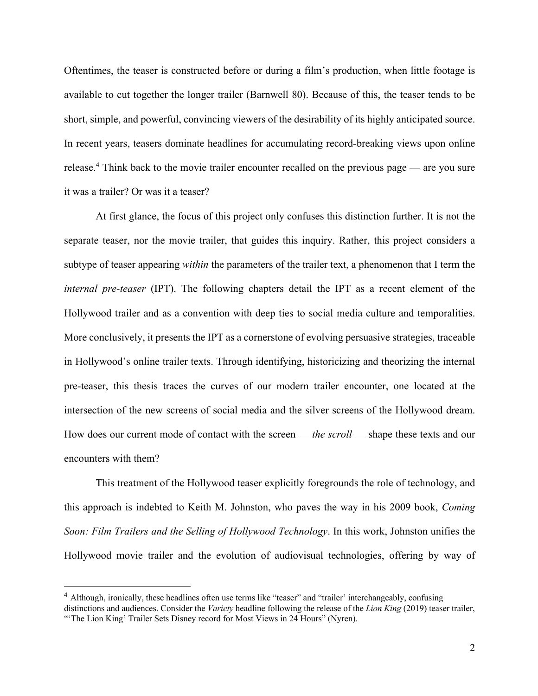Oftentimes, the teaser is constructed before or during a film's production, when little footage is available to cut together the longer trailer (Barnwell 80). Because of this, the teaser tends to be short, simple, and powerful, convincing viewers of the desirability of its highly anticipated source. In recent years, teasers dominate headlines for accumulating record-breaking views upon online release.<sup>4</sup> Think back to the movie trailer encounter recalled on the previous page — are you sure it was a trailer? Or was it a teaser?

At first glance, the focus of this project only confuses this distinction further. It is not the separate teaser, nor the movie trailer, that guides this inquiry. Rather, this project considers a subtype of teaser appearing *within* the parameters of the trailer text, a phenomenon that I term the *internal pre-teaser* (IPT). The following chapters detail the IPT as a recent element of the Hollywood trailer and as a convention with deep ties to social media culture and temporalities. More conclusively, it presents the IPT as a cornerstone of evolving persuasive strategies, traceable in Hollywood's online trailer texts. Through identifying, historicizing and theorizing the internal pre-teaser, this thesis traces the curves of our modern trailer encounter, one located at the intersection of the new screens of social media and the silver screens of the Hollywood dream. How does our current mode of contact with the screen — *the scroll* — shape these texts and our encounters with them?

This treatment of the Hollywood teaser explicitly foregrounds the role of technology, and this approach is indebted to Keith M. Johnston, who paves the way in his 2009 book, *Coming Soon: Film Trailers and the Selling of Hollywood Technology*. In this work, Johnston unifies the Hollywood movie trailer and the evolution of audiovisual technologies, offering by way of

<sup>&</sup>lt;sup>4</sup> Although, ironically, these headlines often use terms like "teaser" and "trailer" interchangeably, confusing

distinctions and audiences. Consider the *Variety* headline following the release of the *Lion King* (2019) teaser trailer, "The Lion King' Trailer Sets Disney record for Most Views in 24 Hours" (Nyren).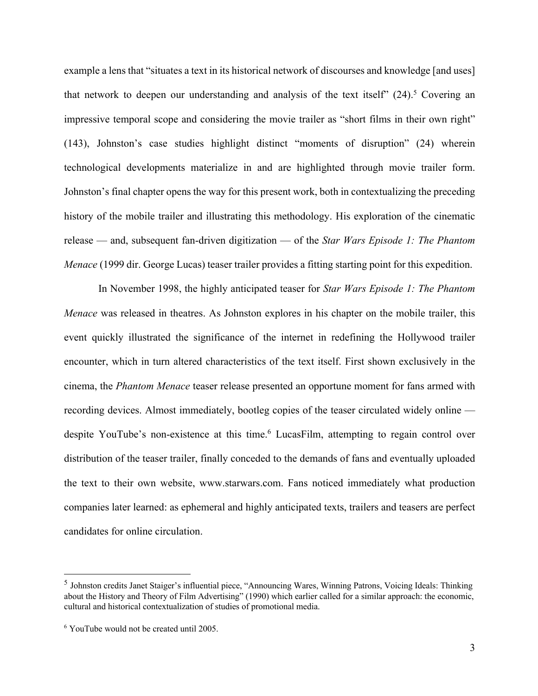example a lens that "situates a text in its historical network of discourses and knowledge [and uses] that network to deepen our understanding and analysis of the text itself" (24).<sup>5</sup> Covering an impressive temporal scope and considering the movie trailer as "short films in their own right" (143), Johnston's case studies highlight distinct "moments of disruption" (24) wherein technological developments materialize in and are highlighted through movie trailer form. Johnston's final chapter opens the way for this present work, both in contextualizing the preceding history of the mobile trailer and illustrating this methodology. His exploration of the cinematic release — and, subsequent fan-driven digitization — of the *Star Wars Episode 1: The Phantom Menace* (1999 dir. George Lucas) teaser trailer provides a fitting starting point for this expedition.

In November 1998, the highly anticipated teaser for *Star Wars Episode 1: The Phantom Menace* was released in theatres. As Johnston explores in his chapter on the mobile trailer, this event quickly illustrated the significance of the internet in redefining the Hollywood trailer encounter, which in turn altered characteristics of the text itself. First shown exclusively in the cinema, the *Phantom Menace* teaser release presented an opportune moment for fans armed with recording devices. Almost immediately, bootleg copies of the teaser circulated widely online despite YouTube's non-existence at this time. <sup>6</sup> LucasFilm, attempting to regain control over distribution of the teaser trailer, finally conceded to the demands of fans and eventually uploaded the text to their own website, www.starwars.com. Fans noticed immediately what production companies later learned: as ephemeral and highly anticipated texts, trailers and teasers are perfect candidates for online circulation.

<sup>5</sup> Johnston credits Janet Staiger's influential piece, "Announcing Wares, Winning Patrons, Voicing Ideals: Thinking about the History and Theory of Film Advertising" (1990) which earlier called for a similar approach: the economic, cultural and historical contextualization of studies of promotional media.

<sup>6</sup> YouTube would not be created until 2005.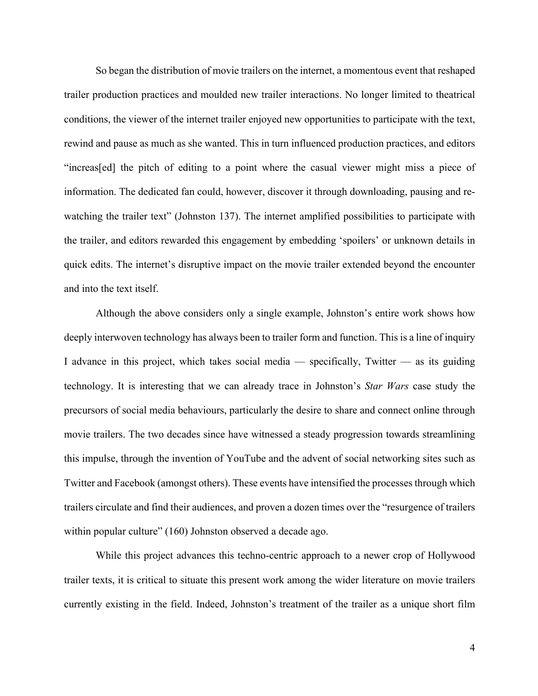So began the distribution of movie trailers on the internet, a momentous event that reshaped trailer production practices and moulded new trailer interactions. No longer limited to theatrical conditions, the viewer of the internet trailer enjoyed new opportunities to participate with the text, rewind and pause as much as she wanted. This in turn influenced production practices, and editors "increas[ed] the pitch of editing to a point where the casual viewer might miss a piece of information. The dedicated fan could, however, discover it through downloading, pausing and rewatching the trailer text" (Johnston 137). The internet amplified possibilities to participate with the trailer, and editors rewarded this engagement by embedding 'spoilers' or unknown details in quick edits. The internet's disruptive impact on the movie trailer extended beyond the encounter and into the text itself.

Although the above considers only a single example, Johnston's entire work shows how deeply interwoven technology has always been to trailer form and function. This is a line of inquiry I advance in this project, which takes social media — specifically, Twitter — as its guiding technology. It is interesting that we can already trace in Johnston's *Star Wars* case study the precursors of social media behaviours, particularly the desire to share and connect online through movie trailers. The two decades since have witnessed a steady progression towards streamlining this impulse, through the invention of YouTube and the advent of social networking sites such as Twitter and Facebook (amongst others). These events have intensified the processes through which trailers circulate and find their audiences, and proven a dozen times over the "resurgence of trailers within popular culture" (160) Johnston observed a decade ago.

While this project advances this techno-centric approach to a newer crop of Hollywood trailer texts, it is critical to situate this present work among the wider literature on movie trailers currently existing in the field. Indeed, Johnston's treatment of the trailer as a unique short film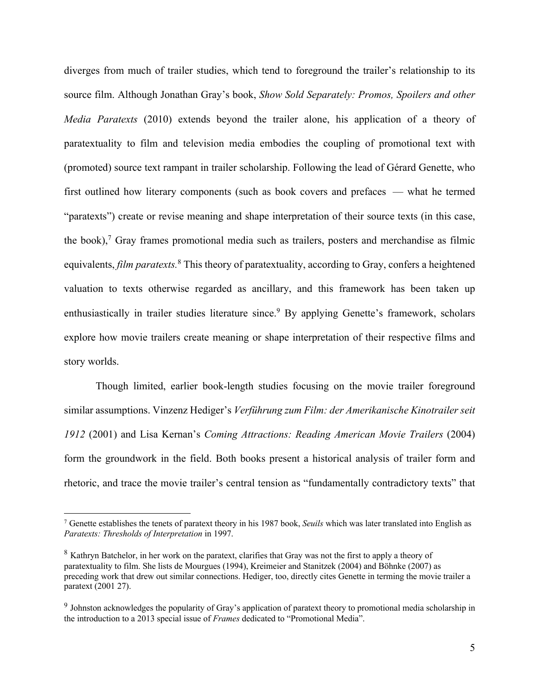diverges from much of trailer studies, which tend to foreground the trailer's relationship to its source film. Although Jonathan Gray's book, *Show Sold Separately: Promos, Spoilers and other Media Paratexts* (2010) extends beyond the trailer alone, his application of a theory of paratextuality to film and television media embodies the coupling of promotional text with (promoted) source text rampant in trailer scholarship. Following the lead of Gérard Genette, who first outlined how literary components (such as book covers and prefaces — what he termed "paratexts") create or revise meaning and shape interpretation of their source texts (in this case, the book), <sup>7</sup> Gray frames promotional media such as trailers, posters and merchandise as filmic equivalents, *film paratexts*.<sup>8</sup> This theory of paratextuality, according to Gray, confers a heightened valuation to texts otherwise regarded as ancillary, and this framework has been taken up enthusiastically in trailer studies literature since.<sup>9</sup> By applying Genette's framework, scholars explore how movie trailers create meaning or shape interpretation of their respective films and story worlds.

Though limited, earlier book-length studies focusing on the movie trailer foreground similar assumptions. Vinzenz Hediger's *Verführung zum Film: der Amerikanische Kinotrailer seit 1912* (2001) and Lisa Kernan's *Coming Attractions: Reading American Movie Trailers* (2004) form the groundwork in the field. Both books present a historical analysis of trailer form and rhetoric, and trace the movie trailer's central tension as "fundamentally contradictory texts" that

<sup>7</sup> Genette establishes the tenets of paratext theory in his 1987 book, *Seuils* which was later translated into English as *Paratexts: Thresholds of Interpretation* in 1997.

<sup>8</sup> Kathryn Batchelor, in her work on the paratext, clarifies that Gray was not the first to apply a theory of paratextuality to film. She lists de Mourgues (1994), Kreimeier and Stanitzek (2004) and Böhnke (2007) as preceding work that drew out similar connections. Hediger, too, directly cites Genette in terming the movie trailer a paratext (2001 27).

<sup>&</sup>lt;sup>9</sup> Johnston acknowledges the popularity of Gray's application of paratext theory to promotional media scholarship in the introduction to a 2013 special issue of *Frames* dedicated to "Promotional Media".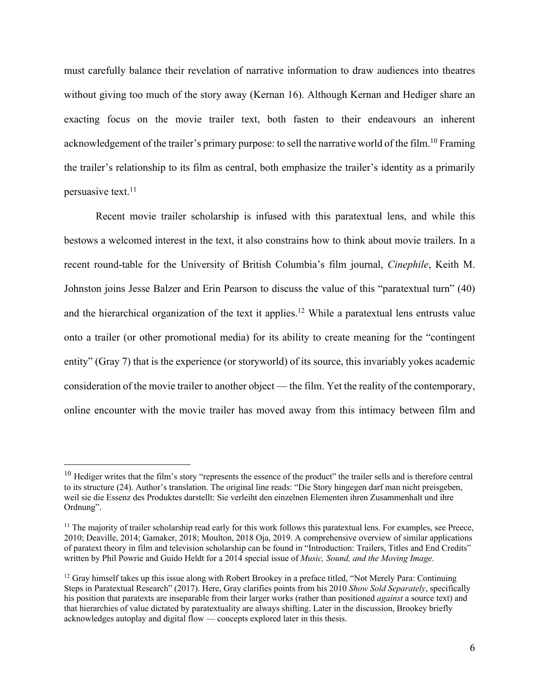must carefully balance their revelation of narrative information to draw audiences into theatres without giving too much of the story away (Kernan 16). Although Kernan and Hediger share an exacting focus on the movie trailer text, both fasten to their endeavours an inherent acknowledgement of the trailer's primary purpose: to sell the narrative world of the film.<sup>10</sup> Framing the trailer's relationship to its film as central, both emphasize the trailer's identity as a primarily persuasive text. 11

Recent movie trailer scholarship is infused with this paratextual lens, and while this bestows a welcomed interest in the text, it also constrains how to think about movie trailers. In a recent round-table for the University of British Columbia's film journal, *Cinephile*, Keith M. Johnston joins Jesse Balzer and Erin Pearson to discuss the value of this "paratextual turn" (40) and the hierarchical organization of the text it applies.<sup>12</sup> While a paratextual lens entrusts value onto a trailer (or other promotional media) for its ability to create meaning for the "contingent entity" (Gray 7) that is the experience (or storyworld) of its source, this invariably yokes academic consideration of the movie trailer to another object — the film. Yet the reality of the contemporary, online encounter with the movie trailer has moved away from this intimacy between film and

 $10$  Hediger writes that the film's story "represents the essence of the product" the trailer sells and is therefore central to its structure (24). Author's translation. The original line reads: "Die Story hingegen darf man nicht preisgeben, weil sie die Essenz des Produktes darstellt: Sie verleiht den einzelnen Elementen ihren Zusammenhalt und ihre Ordnung".

 $11$  The majority of trailer scholarship read early for this work follows this paratextual lens. For examples, see Preece, 2010; Deaville, 2014; Gamaker, 2018; Moulton, 2018 Oja, 2019. A comprehensive overview of similar applications of paratext theory in film and television scholarship can be found in "Introduction: Trailers, Titles and End Credits" written by Phil Powrie and Guido Heldt for a 2014 special issue of *Music, Sound, and the Moving Image*.

<sup>&</sup>lt;sup>12</sup> Gray himself takes up this issue along with Robert Brookey in a preface titled, "Not Merely Para: Continuing Steps in Paratextual Research" (2017). Here, Gray clarifies points from his 2010 *Show Sold Separately*, specifically his position that paratexts are inseparable from their larger works (rather than positioned *against* a source text) and that hierarchies of value dictated by paratextuality are always shifting. Later in the discussion, Brookey briefly acknowledges autoplay and digital flow — concepts explored later in this thesis.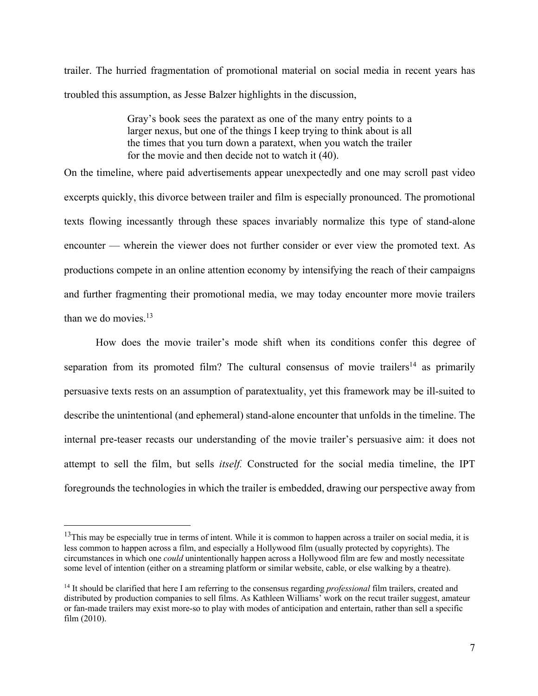trailer. The hurried fragmentation of promotional material on social media in recent years has troubled this assumption, as Jesse Balzer highlights in the discussion,

> Gray's book sees the paratext as one of the many entry points to a larger nexus, but one of the things I keep trying to think about is all the times that you turn down a paratext, when you watch the trailer for the movie and then decide not to watch it (40).

On the timeline, where paid advertisements appear unexpectedly and one may scroll past video excerpts quickly, this divorce between trailer and film is especially pronounced. The promotional texts flowing incessantly through these spaces invariably normalize this type of stand-alone encounter — wherein the viewer does not further consider or ever view the promoted text. As productions compete in an online attention economy by intensifying the reach of their campaigns and further fragmenting their promotional media, we may today encounter more movie trailers than we do movies. 13

How does the movie trailer's mode shift when its conditions confer this degree of separation from its promoted film? The cultural consensus of movie trailers<sup>14</sup> as primarily persuasive texts rests on an assumption of paratextuality, yet this framework may be ill-suited to describe the unintentional (and ephemeral) stand-alone encounter that unfolds in the timeline. The internal pre-teaser recasts our understanding of the movie trailer's persuasive aim: it does not attempt to sell the film, but sells *itself.* Constructed for the social media timeline, the IPT foregrounds the technologies in which the trailer is embedded, drawing our perspective away from

 $13$ This may be especially true in terms of intent. While it is common to happen across a trailer on social media, it is less common to happen across a film, and especially a Hollywood film (usually protected by copyrights). The circumstances in which one *could* unintentionally happen across a Hollywood film are few and mostly necessitate some level of intention (either on a streaming platform or similar website, cable, or else walking by a theatre).

<sup>14</sup> It should be clarified that here I am referring to the consensus regarding *professional* film trailers, created and distributed by production companies to sell films. As Kathleen Williams' work on the recut trailer suggest, amateur or fan-made trailers may exist more-so to play with modes of anticipation and entertain, rather than sell a specific film (2010).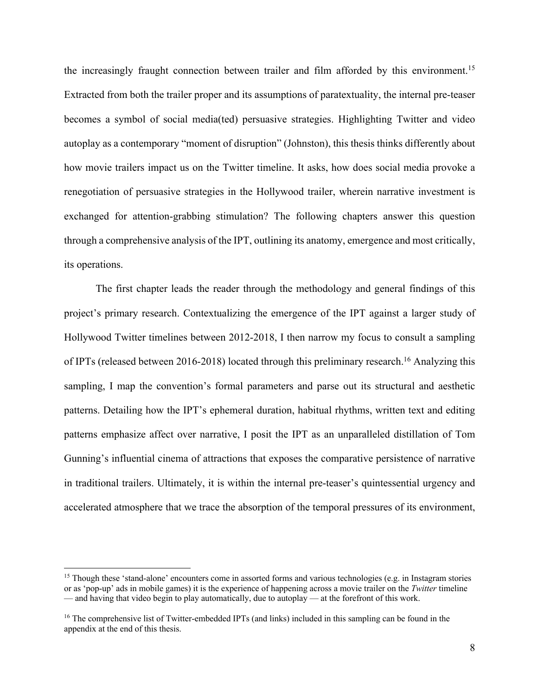the increasingly fraught connection between trailer and film afforded by this environment.<sup>15</sup> Extracted from both the trailer proper and its assumptions of paratextuality, the internal pre-teaser becomes a symbol of social media(ted) persuasive strategies. Highlighting Twitter and video autoplay as a contemporary "moment of disruption" (Johnston), this thesis thinks differently about how movie trailers impact us on the Twitter timeline. It asks, how does social media provoke a renegotiation of persuasive strategies in the Hollywood trailer, wherein narrative investment is exchanged for attention-grabbing stimulation? The following chapters answer this question through a comprehensive analysis of the IPT, outlining its anatomy, emergence and most critically, its operations.

 The first chapter leads the reader through the methodology and general findings of this project's primary research. Contextualizing the emergence of the IPT against a larger study of Hollywood Twitter timelines between 2012-2018, I then narrow my focus to consult a sampling of IPTs (released between 2016-2018) located through this preliminary research.<sup>16</sup> Analyzing this sampling, I map the convention's formal parameters and parse out its structural and aesthetic patterns. Detailing how the IPT's ephemeral duration, habitual rhythms, written text and editing patterns emphasize affect over narrative, I posit the IPT as an unparalleled distillation of Tom Gunning's influential cinema of attractions that exposes the comparative persistence of narrative in traditional trailers. Ultimately, it is within the internal pre-teaser's quintessential urgency and accelerated atmosphere that we trace the absorption of the temporal pressures of its environment,

<sup>&</sup>lt;sup>15</sup> Though these 'stand-alone' encounters come in assorted forms and various technologies (e.g. in Instagram stories or as 'pop-up' ads in mobile games) it is the experience of happening across a movie trailer on the *Twitter* timeline — and having that video begin to play automatically, due to autoplay — at the forefront of this work.

<sup>&</sup>lt;sup>16</sup> The comprehensive list of Twitter-embedded IPTs (and links) included in this sampling can be found in the appendix at the end of this thesis.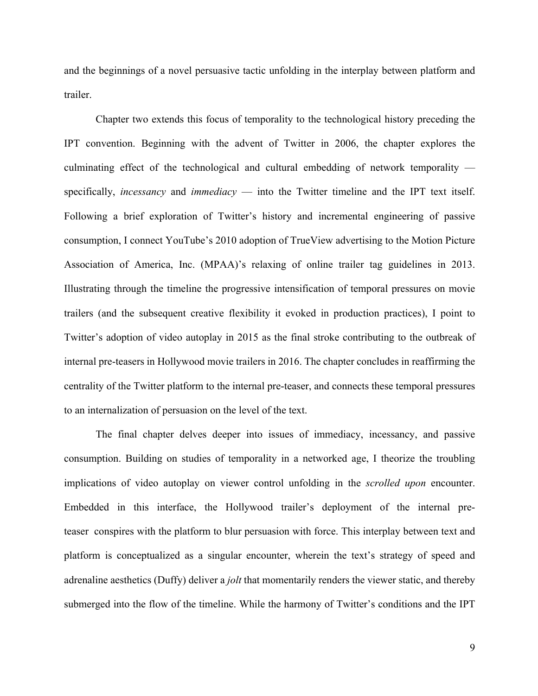and the beginnings of a novel persuasive tactic unfolding in the interplay between platform and trailer.

Chapter two extends this focus of temporality to the technological history preceding the IPT convention. Beginning with the advent of Twitter in 2006, the chapter explores the culminating effect of the technological and cultural embedding of network temporality specifically, *incessancy* and *immediacy* — into the Twitter timeline and the IPT text itself. Following a brief exploration of Twitter's history and incremental engineering of passive consumption, I connect YouTube's 2010 adoption of TrueView advertising to the Motion Picture Association of America, Inc. (MPAA)'s relaxing of online trailer tag guidelines in 2013. Illustrating through the timeline the progressive intensification of temporal pressures on movie trailers (and the subsequent creative flexibility it evoked in production practices), I point to Twitter's adoption of video autoplay in 2015 as the final stroke contributing to the outbreak of internal pre-teasers in Hollywood movie trailers in 2016. The chapter concludes in reaffirming the centrality of the Twitter platform to the internal pre-teaser, and connects these temporal pressures to an internalization of persuasion on the level of the text.

The final chapter delves deeper into issues of immediacy, incessancy, and passive consumption. Building on studies of temporality in a networked age, I theorize the troubling implications of video autoplay on viewer control unfolding in the *scrolled upon* encounter. Embedded in this interface, the Hollywood trailer's deployment of the internal preteaser conspires with the platform to blur persuasion with force. This interplay between text and platform is conceptualized as a singular encounter, wherein the text's strategy of speed and adrenaline aesthetics (Duffy) deliver a *jolt* that momentarily renders the viewer static, and thereby submerged into the flow of the timeline. While the harmony of Twitter's conditions and the IPT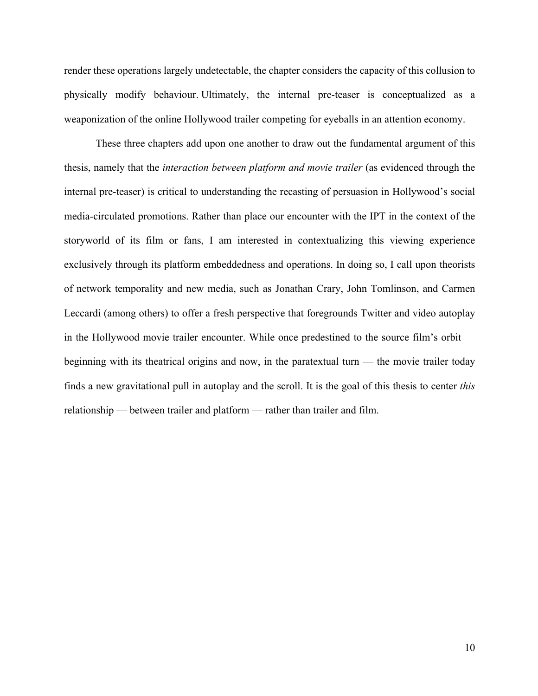render these operations largely undetectable, the chapter considers the capacity of this collusion to physically modify behaviour. Ultimately, the internal pre-teaser is conceptualized as a weaponization of the online Hollywood trailer competing for eyeballs in an attention economy.

These three chapters add upon one another to draw out the fundamental argument of this thesis, namely that the *interaction between platform and movie trailer* (as evidenced through the internal pre-teaser) is critical to understanding the recasting of persuasion in Hollywood's social media-circulated promotions. Rather than place our encounter with the IPT in the context of the storyworld of its film or fans, I am interested in contextualizing this viewing experience exclusively through its platform embeddedness and operations. In doing so, I call upon theorists of network temporality and new media, such as Jonathan Crary, John Tomlinson, and Carmen Leccardi (among others) to offer a fresh perspective that foregrounds Twitter and video autoplay in the Hollywood movie trailer encounter. While once predestined to the source film's orbit beginning with its theatrical origins and now, in the paratextual turn — the movie trailer today finds a new gravitational pull in autoplay and the scroll. It is the goal of this thesis to center *this*  relationship — between trailer and platform — rather than trailer and film.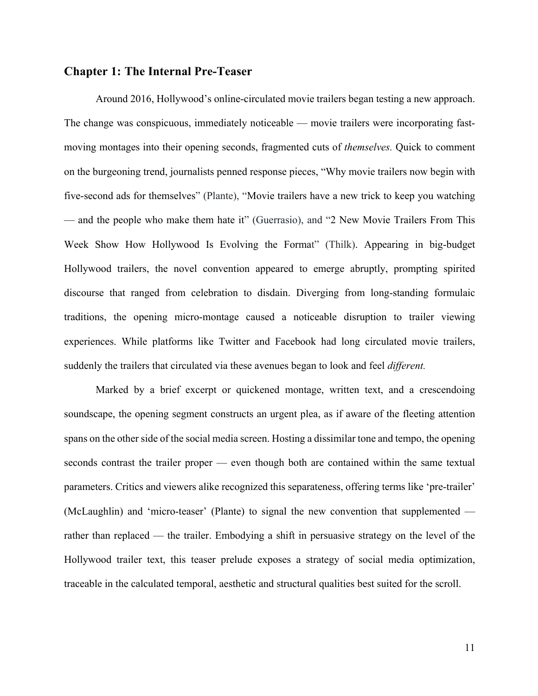### **Chapter 1: The Internal Pre-Teaser**

Around 2016, Hollywood's online-circulated movie trailers began testing a new approach. The change was conspicuous, immediately noticeable — movie trailers were incorporating fastmoving montages into their opening seconds, fragmented cuts of *themselves.* Quick to comment on the burgeoning trend, journalists penned response pieces, "Why movie trailers now begin with five-second ads for themselves" (Plante), "Movie trailers have a new trick to keep you watching — and the people who make them hate it" (Guerrasio), and "2 New Movie Trailers From This Week Show How Hollywood Is Evolving the Format" (Thilk). Appearing in big-budget Hollywood trailers, the novel convention appeared to emerge abruptly, prompting spirited discourse that ranged from celebration to disdain. Diverging from long-standing formulaic traditions, the opening micro-montage caused a noticeable disruption to trailer viewing experiences. While platforms like Twitter and Facebook had long circulated movie trailers, suddenly the trailers that circulated via these avenues began to look and feel *different.*

Marked by a brief excerpt or quickened montage, written text, and a crescendoing soundscape, the opening segment constructs an urgent plea, as if aware of the fleeting attention spans on the other side of the social media screen. Hosting a dissimilar tone and tempo, the opening seconds contrast the trailer proper — even though both are contained within the same textual parameters. Critics and viewers alike recognized this separateness, offering terms like 'pre-trailer' (McLaughlin) and 'micro-teaser' (Plante) to signal the new convention that supplemented rather than replaced — the trailer. Embodying a shift in persuasive strategy on the level of the Hollywood trailer text, this teaser prelude exposes a strategy of social media optimization, traceable in the calculated temporal, aesthetic and structural qualities best suited for the scroll.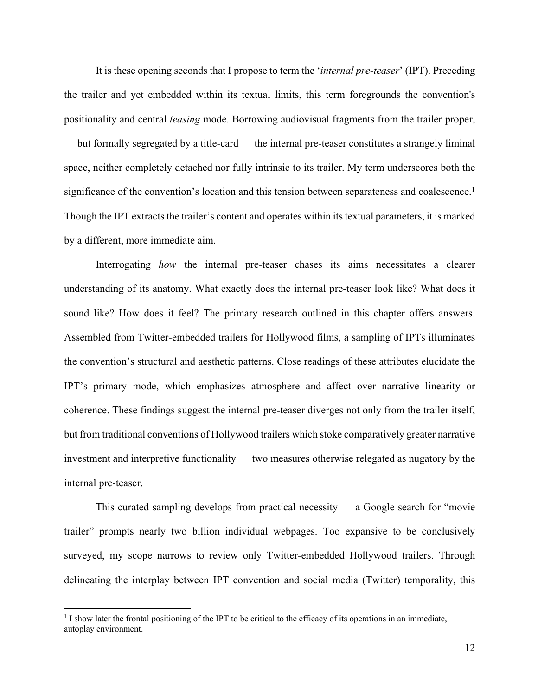It is these opening seconds that I propose to term the '*internal pre-teaser*' (IPT). Preceding the trailer and yet embedded within its textual limits, this term foregrounds the convention's positionality and central *teasing* mode. Borrowing audiovisual fragments from the trailer proper, — but formally segregated by a title-card — the internal pre-teaser constitutes a strangely liminal space, neither completely detached nor fully intrinsic to its trailer. My term underscores both the significance of the convention's location and this tension between separateness and coalescence. 1 Though the IPT extracts the trailer's content and operates within its textual parameters, it is marked by a different, more immediate aim.

Interrogating *how* the internal pre-teaser chases its aims necessitates a clearer understanding of its anatomy. What exactly does the internal pre-teaser look like? What does it sound like? How does it feel? The primary research outlined in this chapter offers answers. Assembled from Twitter-embedded trailers for Hollywood films, a sampling of IPTs illuminates the convention's structural and aesthetic patterns. Close readings of these attributes elucidate the IPT's primary mode, which emphasizes atmosphere and affect over narrative linearity or coherence. These findings suggest the internal pre-teaser diverges not only from the trailer itself, but from traditional conventions of Hollywood trailers which stoke comparatively greater narrative investment and interpretive functionality — two measures otherwise relegated as nugatory by the internal pre-teaser.

This curated sampling develops from practical necessity — a Google search for "movie trailer" prompts nearly two billion individual webpages. Too expansive to be conclusively surveyed, my scope narrows to review only Twitter-embedded Hollywood trailers. Through delineating the interplay between IPT convention and social media (Twitter) temporality, this

 $1$  I show later the frontal positioning of the IPT to be critical to the efficacy of its operations in an immediate, autoplay environment.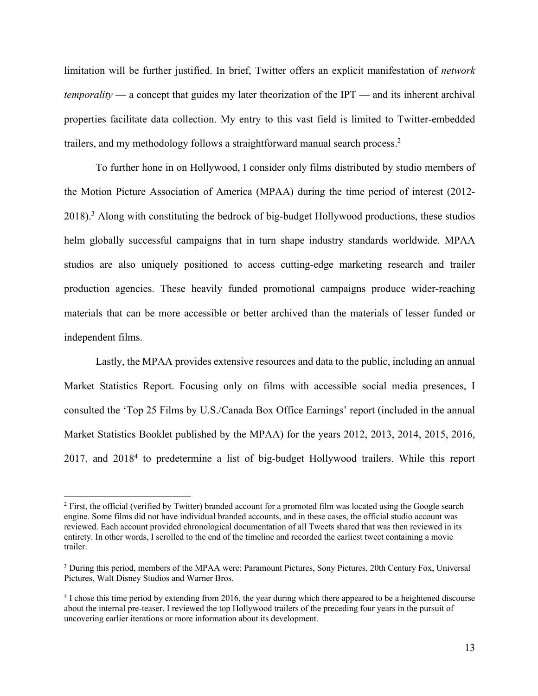limitation will be further justified. In brief, Twitter offers an explicit manifestation of *network temporality* — a concept that guides my later theorization of the IPT — and its inherent archival properties facilitate data collection. My entry to this vast field is limited to Twitter-embedded trailers, and my methodology follows a straightforward manual search process. 2

To further hone in on Hollywood, I consider only films distributed by studio members of the Motion Picture Association of America (MPAA) during the time period of interest (2012- 2018).<sup>3</sup> Along with constituting the bedrock of big-budget Hollywood productions, these studios helm globally successful campaigns that in turn shape industry standards worldwide. MPAA studios are also uniquely positioned to access cutting-edge marketing research and trailer production agencies. These heavily funded promotional campaigns produce wider-reaching materials that can be more accessible or better archived than the materials of lesser funded or independent films.

Lastly, the MPAA provides extensive resources and data to the public, including an annual Market Statistics Report. Focusing only on films with accessible social media presences, I consulted the 'Top 25 Films by U.S./Canada Box Office Earnings' report (included in the annual Market Statistics Booklet published by the MPAA) for the years 2012, 2013, 2014, 2015, 2016, 2017, and 20184 to predetermine a list of big-budget Hollywood trailers. While this report

<sup>&</sup>lt;sup>2</sup> First, the official (verified by Twitter) branded account for a promoted film was located using the Google search engine. Some films did not have individual branded accounts, and in these cases, the official studio account was reviewed. Each account provided chronological documentation of all Tweets shared that was then reviewed in its entirety. In other words, I scrolled to the end of the timeline and recorded the earliest tweet containing a movie trailer.

<sup>3</sup> During this period, members of the MPAA were: Paramount Pictures, Sony Pictures, 20th Century Fox, Universal Pictures, Walt Disney Studios and Warner Bros.

<sup>&</sup>lt;sup>4</sup> I chose this time period by extending from 2016, the year during which there appeared to be a heightened discourse about the internal pre-teaser. I reviewed the top Hollywood trailers of the preceding four years in the pursuit of uncovering earlier iterations or more information about its development.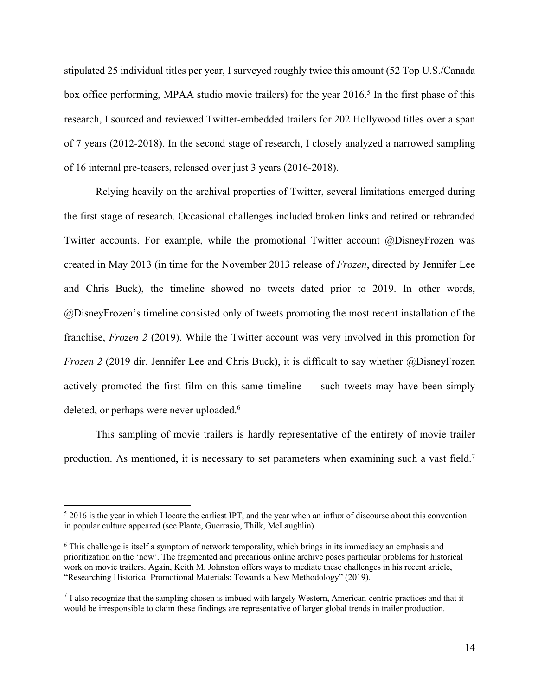stipulated 25 individual titles per year, I surveyed roughly twice this amount (52 Top U.S./Canada box office performing, MPAA studio movie trailers) for the year 2016. <sup>5</sup> In the first phase of this research, I sourced and reviewed Twitter-embedded trailers for 202 Hollywood titles over a span of 7 years (2012-2018). In the second stage of research, I closely analyzed a narrowed sampling of 16 internal pre-teasers, released over just 3 years (2016-2018).

Relying heavily on the archival properties of Twitter, several limitations emerged during the first stage of research. Occasional challenges included broken links and retired or rebranded Twitter accounts. For example, while the promotional Twitter account @DisneyFrozen was created in May 2013 (in time for the November 2013 release of *Frozen*, directed by Jennifer Lee and Chris Buck), the timeline showed no tweets dated prior to 2019. In other words, @DisneyFrozen's timeline consisted only of tweets promoting the most recent installation of the franchise, *Frozen 2* (2019). While the Twitter account was very involved in this promotion for *Frozen 2* (2019 dir. Jennifer Lee and Chris Buck), it is difficult to say whether @DisneyFrozen actively promoted the first film on this same timeline — such tweets may have been simply deleted, or perhaps were never uploaded.<sup>6</sup>

This sampling of movie trailers is hardly representative of the entirety of movie trailer production. As mentioned, it is necessary to set parameters when examining such a vast field.<sup>7</sup>

<sup>5</sup> 2016 is the year in which I locate the earliest IPT, and the year when an influx of discourse about this convention in popular culture appeared (see Plante, Guerrasio, Thilk, McLaughlin).

<sup>6</sup> This challenge is itself a symptom of network temporality, which brings in its immediacy an emphasis and prioritization on the 'now'. The fragmented and precarious online archive poses particular problems for historical work on movie trailers. Again, Keith M. Johnston offers ways to mediate these challenges in his recent article, "Researching Historical Promotional Materials: Towards a New Methodology" (2019).

 $<sup>7</sup>$  I also recognize that the sampling chosen is imbued with largely Western, American-centric practices and that it</sup> would be irresponsible to claim these findings are representative of larger global trends in trailer production.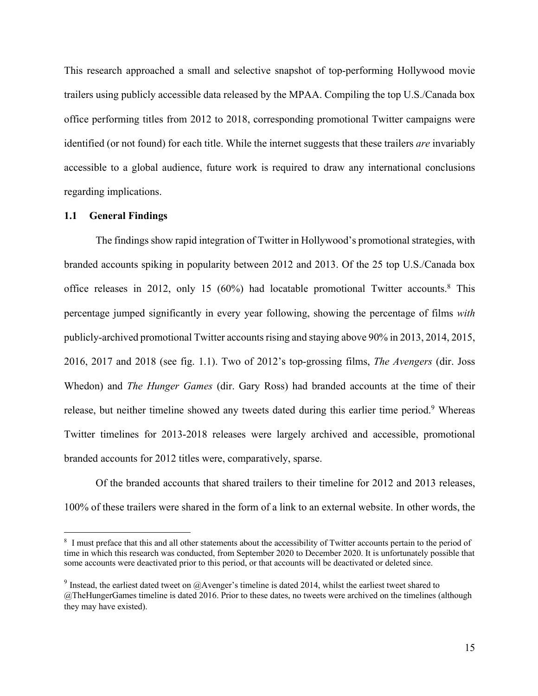This research approached a small and selective snapshot of top-performing Hollywood movie trailers using publicly accessible data released by the MPAA. Compiling the top U.S./Canada box office performing titles from 2012 to 2018, corresponding promotional Twitter campaigns were identified (or not found) for each title. While the internet suggests that these trailers *are* invariably accessible to a global audience, future work is required to draw any international conclusions regarding implications.

#### **1.1 General Findings**

The findings show rapid integration of Twitter in Hollywood's promotional strategies, with branded accounts spiking in popularity between 2012 and 2013. Of the 25 top U.S./Canada box office releases in 2012, only 15 (60%) had locatable promotional Twitter accounts. <sup>8</sup> This percentage jumped significantly in every year following, showing the percentage of films *with* publicly-archived promotional Twitter accounts rising and staying above 90% in 2013, 2014, 2015, 2016, 2017 and 2018 (see fig. 1.1). Two of 2012's top-grossing films, *The Avengers* (dir. Joss Whedon) and *The Hunger Games* (dir. Gary Ross) had branded accounts at the time of their release, but neither timeline showed any tweets dated during this earlier time period.<sup>9</sup> Whereas Twitter timelines for 2013-2018 releases were largely archived and accessible, promotional branded accounts for 2012 titles were, comparatively, sparse.

Of the branded accounts that shared trailers to their timeline for 2012 and 2013 releases, 100% of these trailers were shared in the form of a link to an external website. In other words, the

<sup>&</sup>lt;sup>8</sup> I must preface that this and all other statements about the accessibility of Twitter accounts pertain to the period of time in which this research was conducted, from September 2020 to December 2020. It is unfortunately possible that some accounts were deactivated prior to this period, or that accounts will be deactivated or deleted since.

<sup>&</sup>lt;sup>9</sup> Instead, the earliest dated tweet on  $@$ Avenger's timeline is dated 2014, whilst the earliest tweet shared to @TheHungerGames timeline is dated 2016. Prior to these dates, no tweets were archived on the timelines (although they may have existed).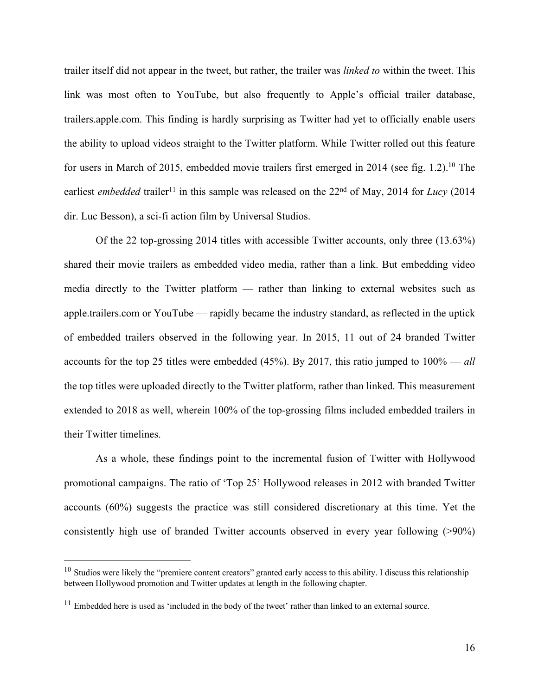trailer itself did not appear in the tweet, but rather, the trailer was *linked to* within the tweet. This link was most often to YouTube, but also frequently to Apple's official trailer database, trailers.apple.com. This finding is hardly surprising as Twitter had yet to officially enable users the ability to upload videos straight to the Twitter platform. While Twitter rolled out this feature for users in March of 2015, embedded movie trailers first emerged in 2014 (see fig. 1.2).<sup>10</sup> The earliest *embedded* trailer<sup>11</sup> in this sample was released on the  $22<sup>nd</sup>$  of May, 2014 for *Lucy* (2014) dir. Luc Besson), a sci-fi action film by Universal Studios.

Of the 22 top-grossing 2014 titles with accessible Twitter accounts, only three (13.63%) shared their movie trailers as embedded video media, rather than a link. But embedding video media directly to the Twitter platform — rather than linking to external websites such as apple.trailers.com or YouTube — rapidly became the industry standard, as reflected in the uptick of embedded trailers observed in the following year. In 2015, 11 out of 24 branded Twitter accounts for the top 25 titles were embedded (45%). By 2017, this ratio jumped to 100% — *all* the top titles were uploaded directly to the Twitter platform, rather than linked. This measurement extended to 2018 as well, wherein 100% of the top-grossing films included embedded trailers in their Twitter timelines.

As a whole, these findings point to the incremental fusion of Twitter with Hollywood promotional campaigns. The ratio of 'Top 25' Hollywood releases in 2012 with branded Twitter accounts (60%) suggests the practice was still considered discretionary at this time. Yet the consistently high use of branded Twitter accounts observed in every year following (>90%)

 $10$  Studios were likely the "premiere content creators" granted early access to this ability. I discuss this relationship between Hollywood promotion and Twitter updates at length in the following chapter.

 $11$  Embedded here is used as 'included in the body of the tweet' rather than linked to an external source.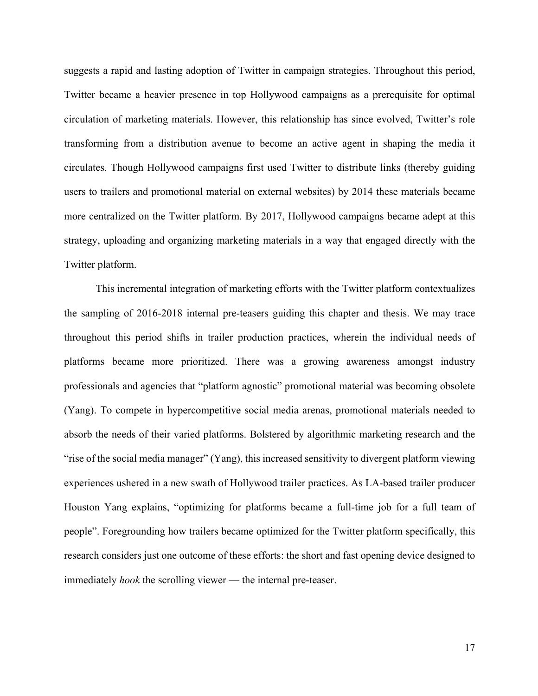suggests a rapid and lasting adoption of Twitter in campaign strategies. Throughout this period, Twitter became a heavier presence in top Hollywood campaigns as a prerequisite for optimal circulation of marketing materials. However, this relationship has since evolved, Twitter's role transforming from a distribution avenue to become an active agent in shaping the media it circulates. Though Hollywood campaigns first used Twitter to distribute links (thereby guiding users to trailers and promotional material on external websites) by 2014 these materials became more centralized on the Twitter platform. By 2017, Hollywood campaigns became adept at this strategy, uploading and organizing marketing materials in a way that engaged directly with the Twitter platform.

This incremental integration of marketing efforts with the Twitter platform contextualizes the sampling of 2016-2018 internal pre-teasers guiding this chapter and thesis. We may trace throughout this period shifts in trailer production practices, wherein the individual needs of platforms became more prioritized. There was a growing awareness amongst industry professionals and agencies that "platform agnostic" promotional material was becoming obsolete (Yang). To compete in hypercompetitive social media arenas, promotional materials needed to absorb the needs of their varied platforms. Bolstered by algorithmic marketing research and the "rise of the social media manager" (Yang), this increased sensitivity to divergent platform viewing experiences ushered in a new swath of Hollywood trailer practices. As LA-based trailer producer Houston Yang explains, "optimizing for platforms became a full-time job for a full team of people". Foregrounding how trailers became optimized for the Twitter platform specifically, this research considers just one outcome of these efforts: the short and fast opening device designed to immediately *hook* the scrolling viewer — the internal pre-teaser.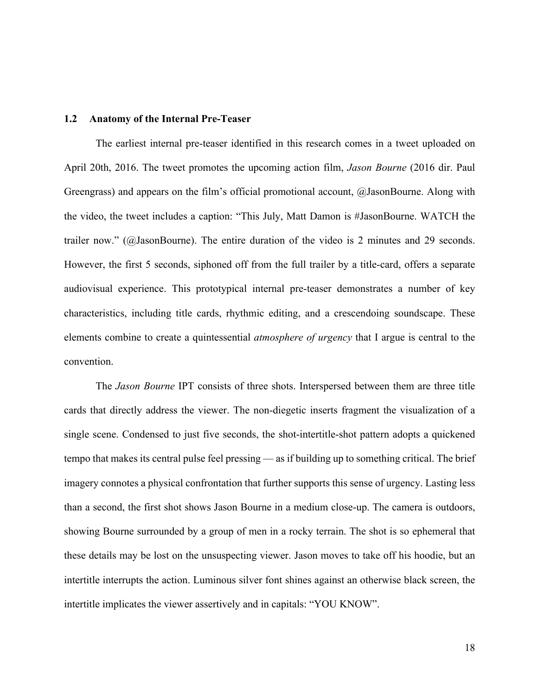### **1.2 Anatomy of the Internal Pre-Teaser**

The earliest internal pre-teaser identified in this research comes in a tweet uploaded on April 20th, 2016. The tweet promotes the upcoming action film, *Jason Bourne* (2016 dir. Paul Greengrass) and appears on the film's official promotional account, @JasonBourne. Along with the video, the tweet includes a caption: "This July, Matt Damon is #JasonBourne. WATCH the trailer now." (@JasonBourne). The entire duration of the video is 2 minutes and 29 seconds. However, the first 5 seconds, siphoned off from the full trailer by a title-card, offers a separate audiovisual experience. This prototypical internal pre-teaser demonstrates a number of key characteristics, including title cards, rhythmic editing, and a crescendoing soundscape. These elements combine to create a quintessential *atmosphere of urgency* that I argue is central to the convention.

The *Jason Bourne* IPT consists of three shots. Interspersed between them are three title cards that directly address the viewer. The non-diegetic inserts fragment the visualization of a single scene. Condensed to just five seconds, the shot-intertitle-shot pattern adopts a quickened tempo that makes its central pulse feel pressing — as if building up to something critical. The brief imagery connotes a physical confrontation that further supports this sense of urgency. Lasting less than a second, the first shot shows Jason Bourne in a medium close-up. The camera is outdoors, showing Bourne surrounded by a group of men in a rocky terrain. The shot is so ephemeral that these details may be lost on the unsuspecting viewer. Jason moves to take off his hoodie, but an intertitle interrupts the action. Luminous silver font shines against an otherwise black screen, the intertitle implicates the viewer assertively and in capitals: "YOU KNOW".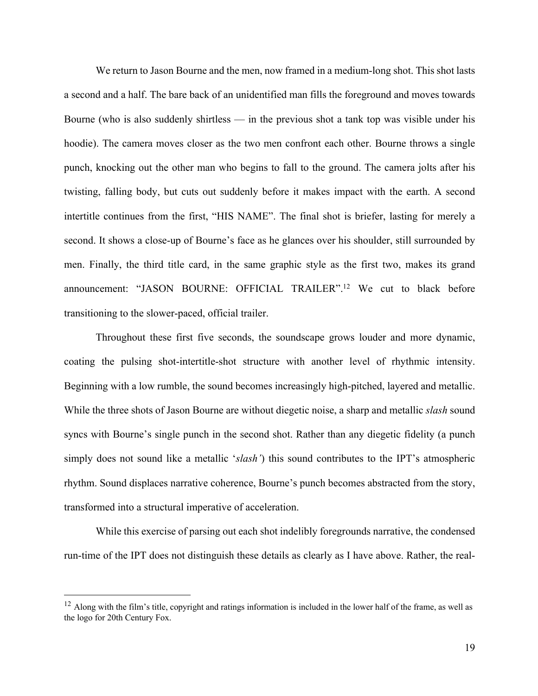We return to Jason Bourne and the men, now framed in a medium-long shot. This shot lasts a second and a half. The bare back of an unidentified man fills the foreground and moves towards Bourne (who is also suddenly shirtless — in the previous shot a tank top was visible under his hoodie). The camera moves closer as the two men confront each other. Bourne throws a single punch, knocking out the other man who begins to fall to the ground. The camera jolts after his twisting, falling body, but cuts out suddenly before it makes impact with the earth. A second intertitle continues from the first, "HIS NAME". The final shot is briefer, lasting for merely a second. It shows a close-up of Bourne's face as he glances over his shoulder, still surrounded by men. Finally, the third title card, in the same graphic style as the first two, makes its grand announcement: "JASON BOURNE: OFFICIAL TRAILER". <sup>12</sup> We cut to black before transitioning to the slower-paced, official trailer.

Throughout these first five seconds, the soundscape grows louder and more dynamic, coating the pulsing shot-intertitle-shot structure with another level of rhythmic intensity. Beginning with a low rumble, the sound becomes increasingly high-pitched, layered and metallic. While the three shots of Jason Bourne are without diegetic noise, a sharp and metallic *slash* sound syncs with Bourne's single punch in the second shot. Rather than any diegetic fidelity (a punch simply does not sound like a metallic '*slash'*) this sound contributes to the IPT's atmospheric rhythm. Sound displaces narrative coherence, Bourne's punch becomes abstracted from the story, transformed into a structural imperative of acceleration.

While this exercise of parsing out each shot indelibly foregrounds narrative, the condensed run-time of the IPT does not distinguish these details as clearly as I have above. Rather, the real-

 $12$  Along with the film's title, copyright and ratings information is included in the lower half of the frame, as well as the logo for 20th Century Fox.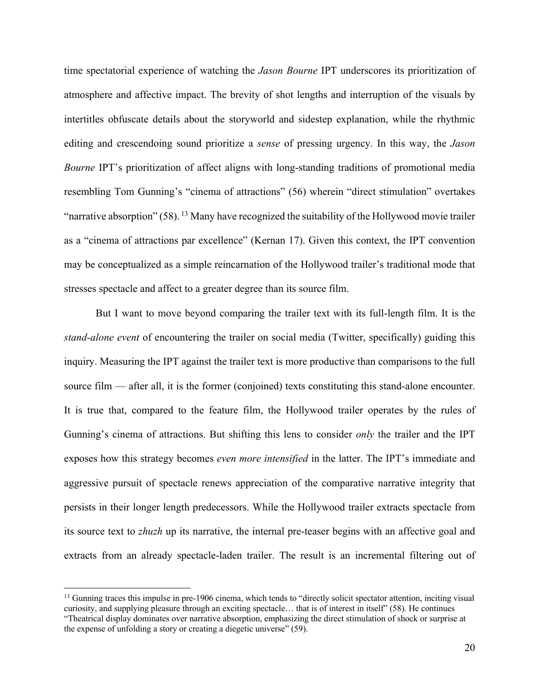time spectatorial experience of watching the *Jason Bourne* IPT underscores its prioritization of atmosphere and affective impact. The brevity of shot lengths and interruption of the visuals by intertitles obfuscate details about the storyworld and sidestep explanation, while the rhythmic editing and crescendoing sound prioritize a *sense* of pressing urgency. In this way, the *Jason Bourne* IPT's prioritization of affect aligns with long-standing traditions of promotional media resembling Tom Gunning's "cinema of attractions" (56) wherein "direct stimulation" overtakes "narrative absorption"  $(58)$ . <sup>13</sup> Many have recognized the suitability of the Hollywood movie trailer as a "cinema of attractions par excellence" (Kernan 17). Given this context, the IPT convention may be conceptualized as a simple reincarnation of the Hollywood trailer's traditional mode that stresses spectacle and affect to a greater degree than its source film.

But I want to move beyond comparing the trailer text with its full-length film. It is the *stand-alone event* of encountering the trailer on social media (Twitter, specifically) guiding this inquiry. Measuring the IPT against the trailer text is more productive than comparisons to the full source film — after all, it is the former (conjoined) texts constituting this stand-alone encounter. It is true that, compared to the feature film, the Hollywood trailer operates by the rules of Gunning's cinema of attractions. But shifting this lens to consider *only* the trailer and the IPT exposes how this strategy becomes *even more intensified* in the latter. The IPT's immediate and aggressive pursuit of spectacle renews appreciation of the comparative narrative integrity that persists in their longer length predecessors. While the Hollywood trailer extracts spectacle from its source text to *zhuzh* up its narrative, the internal pre-teaser begins with an affective goal and extracts from an already spectacle-laden trailer. The result is an incremental filtering out of

<sup>&</sup>lt;sup>13</sup> Gunning traces this impulse in pre-1906 cinema, which tends to "directly solicit spectator attention, inciting visual curiosity, and supplying pleasure through an exciting spectacle… that is of interest in itself" (58). He continues "Theatrical display dominates over narrative absorption, emphasizing the direct stimulation of shock or surprise at the expense of unfolding a story or creating a diegetic universe" (59).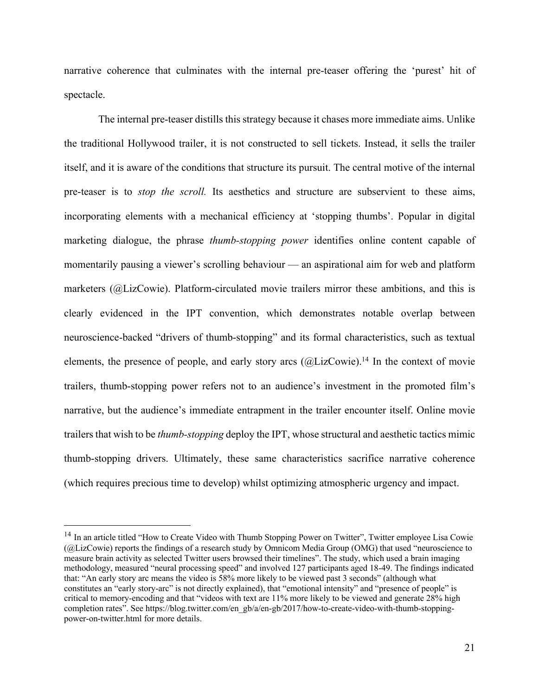narrative coherence that culminates with the internal pre-teaser offering the 'purest' hit of spectacle.

The internal pre-teaser distills this strategy because it chases more immediate aims. Unlike the traditional Hollywood trailer, it is not constructed to sell tickets. Instead, it sells the trailer itself, and it is aware of the conditions that structure its pursuit. The central motive of the internal pre-teaser is to *stop the scroll.* Its aesthetics and structure are subservient to these aims, incorporating elements with a mechanical efficiency at 'stopping thumbs'. Popular in digital marketing dialogue, the phrase *thumb-stopping power* identifies online content capable of momentarily pausing a viewer's scrolling behaviour — an aspirational aim for web and platform marketers (@LizCowie). Platform-circulated movie trailers mirror these ambitions, and this is clearly evidenced in the IPT convention, which demonstrates notable overlap between neuroscience-backed "drivers of thumb-stopping" and its formal characteristics, such as textual elements, the presence of people, and early story arcs  $(QLizCowie)$ .<sup>14</sup> In the context of movie trailers, thumb-stopping power refers not to an audience's investment in the promoted film's narrative, but the audience's immediate entrapment in the trailer encounter itself. Online movie trailers that wish to be *thumb-stopping* deploy the IPT, whose structural and aesthetic tactics mimic thumb-stopping drivers. Ultimately, these same characteristics sacrifice narrative coherence (which requires precious time to develop) whilst optimizing atmospheric urgency and impact.

<sup>&</sup>lt;sup>14</sup> In an article titled "How to Create Video with Thumb Stopping Power on Twitter", Twitter employee Lisa Cowie (@LizCowie) reports the findings of a research study by Omnicom Media Group (OMG) that used "neuroscience to measure brain activity as selected Twitter users browsed their timelines". The study, which used a brain imaging methodology, measured "neural processing speed" and involved 127 participants aged 18-49. The findings indicated that: "An early story arc means the video is 58% more likely to be viewed past 3 seconds" (although what constitutes an "early story-arc" is not directly explained), that "emotional intensity" and "presence of people" is critical to memory-encoding and that "videos with text are 11% more likely to be viewed and generate 28% high completion rates". See https://blog.twitter.com/en\_gb/a/en-gb/2017/how-to-create-video-with-thumb-stoppingpower-on-twitter.html for more details.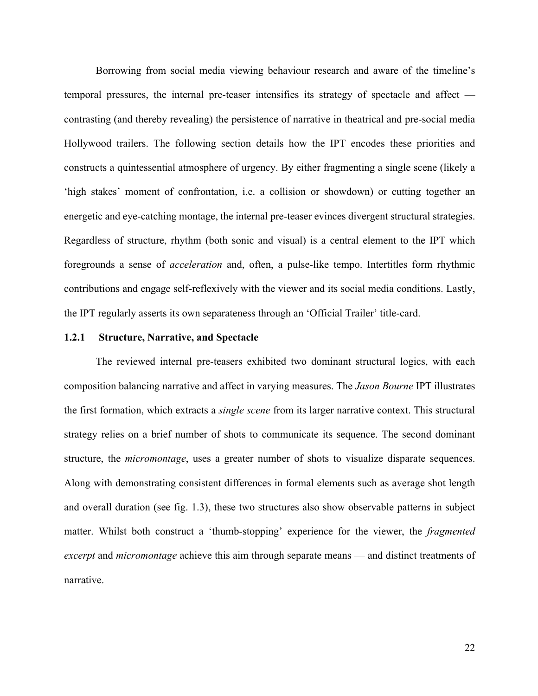Borrowing from social media viewing behaviour research and aware of the timeline's temporal pressures, the internal pre-teaser intensifies its strategy of spectacle and affect contrasting (and thereby revealing) the persistence of narrative in theatrical and pre-social media Hollywood trailers. The following section details how the IPT encodes these priorities and constructs a quintessential atmosphere of urgency. By either fragmenting a single scene (likely a 'high stakes' moment of confrontation, i.e. a collision or showdown) or cutting together an energetic and eye-catching montage, the internal pre-teaser evinces divergent structural strategies. Regardless of structure, rhythm (both sonic and visual) is a central element to the IPT which foregrounds a sense of *acceleration* and, often, a pulse-like tempo. Intertitles form rhythmic contributions and engage self-reflexively with the viewer and its social media conditions. Lastly, the IPT regularly asserts its own separateness through an 'Official Trailer' title-card.

### **1.2.1 Structure, Narrative, and Spectacle**

The reviewed internal pre-teasers exhibited two dominant structural logics, with each composition balancing narrative and affect in varying measures. The *Jason Bourne* IPT illustrates the first formation, which extracts a *single scene* from its larger narrative context. This structural strategy relies on a brief number of shots to communicate its sequence. The second dominant structure, the *micromontage*, uses a greater number of shots to visualize disparate sequences. Along with demonstrating consistent differences in formal elements such as average shot length and overall duration (see fig. 1.3), these two structures also show observable patterns in subject matter. Whilst both construct a 'thumb-stopping' experience for the viewer, the *fragmented excerpt* and *micromontage* achieve this aim through separate means — and distinct treatments of narrative.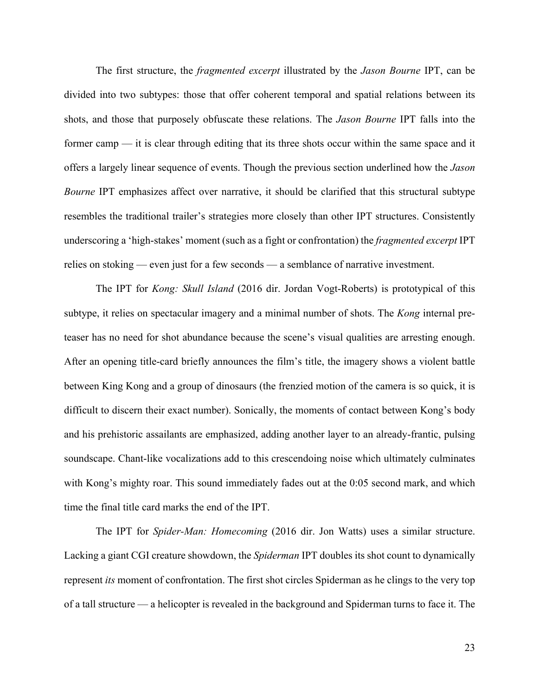The first structure, the *fragmented excerpt* illustrated by the *Jason Bourne* IPT, can be divided into two subtypes: those that offer coherent temporal and spatial relations between its shots, and those that purposely obfuscate these relations. The *Jason Bourne* IPT falls into the former camp — it is clear through editing that its three shots occur within the same space and it offers a largely linear sequence of events. Though the previous section underlined how the *Jason Bourne* IPT emphasizes affect over narrative, it should be clarified that this structural subtype resembles the traditional trailer's strategies more closely than other IPT structures. Consistently underscoring a 'high-stakes' moment (such as a fight or confrontation) the *fragmented excerpt* IPT relies on stoking — even just for a few seconds — a semblance of narrative investment.

The IPT for *Kong: Skull Island* (2016 dir. Jordan Vogt-Roberts) is prototypical of this subtype, it relies on spectacular imagery and a minimal number of shots. The *Kong* internal preteaser has no need for shot abundance because the scene's visual qualities are arresting enough. After an opening title-card briefly announces the film's title, the imagery shows a violent battle between King Kong and a group of dinosaurs (the frenzied motion of the camera is so quick, it is difficult to discern their exact number). Sonically, the moments of contact between Kong's body and his prehistoric assailants are emphasized, adding another layer to an already-frantic, pulsing soundscape. Chant-like vocalizations add to this crescendoing noise which ultimately culminates with Kong's mighty roar. This sound immediately fades out at the 0:05 second mark, and which time the final title card marks the end of the IPT.

The IPT for *Spider-Man: Homecoming* (2016 dir. Jon Watts) uses a similar structure. Lacking a giant CGI creature showdown, the *Spiderman* IPT doubles its shot count to dynamically represent *its* moment of confrontation. The first shot circles Spiderman as he clings to the very top of a tall structure — a helicopter is revealed in the background and Spiderman turns to face it. The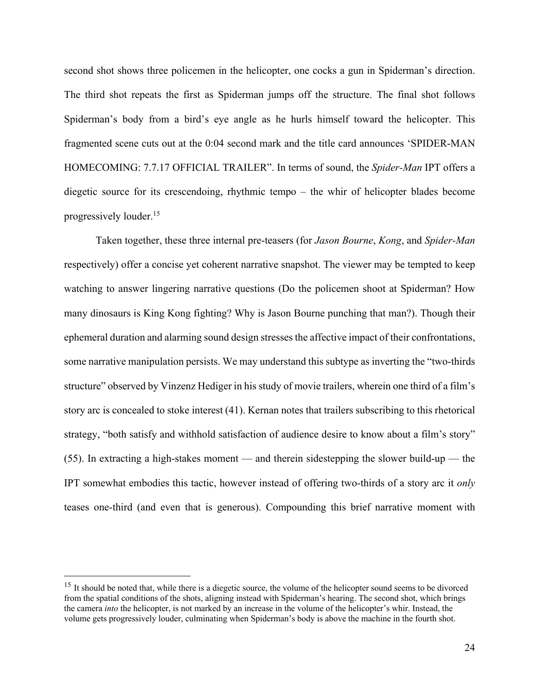second shot shows three policemen in the helicopter, one cocks a gun in Spiderman's direction. The third shot repeats the first as Spiderman jumps off the structure. The final shot follows Spiderman's body from a bird's eye angle as he hurls himself toward the helicopter. This fragmented scene cuts out at the 0:04 second mark and the title card announces 'SPIDER-MAN HOMECOMING: 7.7.17 OFFICIAL TRAILER". In terms of sound, the *Spider-Man* IPT offers a diegetic source for its crescendoing, rhythmic tempo – the whir of helicopter blades become progressively louder. 15

Taken together, these three internal pre-teasers (for *Jason Bourne*, *Kong*, and *Spider-Man* respectively) offer a concise yet coherent narrative snapshot. The viewer may be tempted to keep watching to answer lingering narrative questions (Do the policemen shoot at Spiderman? How many dinosaurs is King Kong fighting? Why is Jason Bourne punching that man?). Though their ephemeral duration and alarming sound design stresses the affective impact of their confrontations, some narrative manipulation persists. We may understand this subtype as inverting the "two-thirds structure" observed by Vinzenz Hediger in his study of movie trailers, wherein one third of a film's story arc is concealed to stoke interest (41). Kernan notes that trailers subscribing to this rhetorical strategy, "both satisfy and withhold satisfaction of audience desire to know about a film's story" (55). In extracting a high-stakes moment — and therein sidestepping the slower build-up — the IPT somewhat embodies this tactic, however instead of offering two-thirds of a story arc it *only*  teases one-third (and even that is generous). Compounding this brief narrative moment with

<sup>&</sup>lt;sup>15</sup> It should be noted that, while there is a diegetic source, the volume of the helicopter sound seems to be divorced from the spatial conditions of the shots, aligning instead with Spiderman's hearing. The second shot, which brings the camera *into* the helicopter, is not marked by an increase in the volume of the helicopter's whir. Instead, the volume gets progressively louder, culminating when Spiderman's body is above the machine in the fourth shot.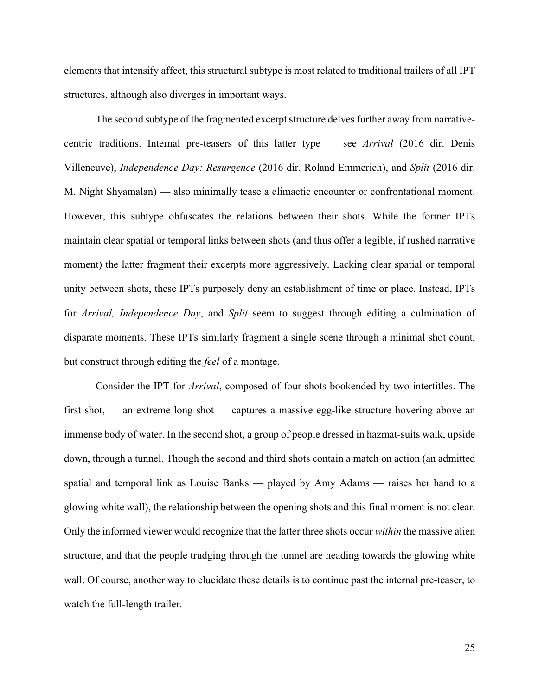elements that intensify affect, this structural subtype is most related to traditional trailers of all IPT structures, although also diverges in important ways.

The second subtype of the fragmented excerpt structure delves further away from narrativecentric traditions. Internal pre-teasers of this latter type — see *Arrival* (2016 dir. Denis Villeneuve), *Independence Day: Resurgence* (2016 dir. Roland Emmerich), and *Split* (2016 dir. M. Night Shyamalan) — also minimally tease a climactic encounter or confrontational moment. However, this subtype obfuscates the relations between their shots. While the former IPTs maintain clear spatial or temporal links between shots (and thus offer a legible, if rushed narrative moment) the latter fragment their excerpts more aggressively. Lacking clear spatial or temporal unity between shots, these IPTs purposely deny an establishment of time or place. Instead, IPTs for *Arrival, Independence Day*, and *Split* seem to suggest through editing a culmination of disparate moments. These IPTs similarly fragment a single scene through a minimal shot count, but construct through editing the *feel* of a montage.

Consider the IPT for *Arrival*, composed of four shots bookended by two intertitles. The first shot, — an extreme long shot — captures a massive egg-like structure hovering above an immense body of water. In the second shot, a group of people dressed in hazmat-suits walk, upside down, through a tunnel. Though the second and third shots contain a match on action (an admitted spatial and temporal link as Louise Banks — played by Amy Adams — raises her hand to a glowing white wall), the relationship between the opening shots and this final moment is not clear. Only the informed viewer would recognize that the latter three shots occur *within* the massive alien structure, and that the people trudging through the tunnel are heading towards the glowing white wall. Of course, another way to elucidate these details is to continue past the internal pre-teaser, to watch the full-length trailer.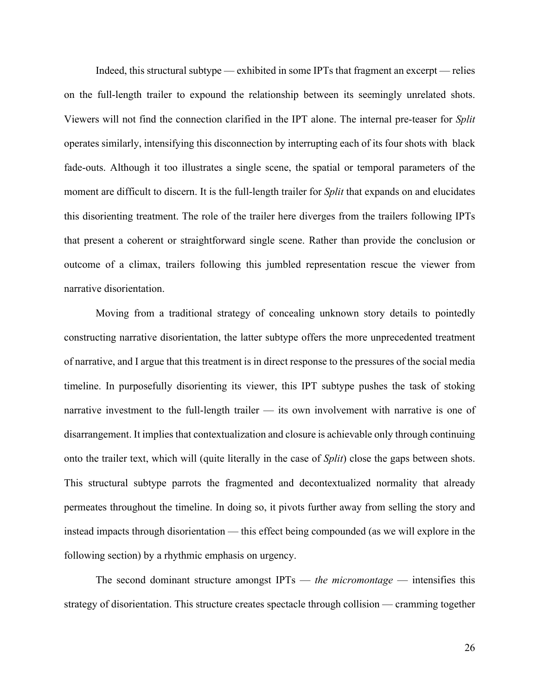Indeed, this structural subtype — exhibited in some IPTs that fragment an excerpt — relies on the full-length trailer to expound the relationship between its seemingly unrelated shots. Viewers will not find the connection clarified in the IPT alone. The internal pre-teaser for *Split* operates similarly, intensifying this disconnection by interrupting each of its four shots with black fade-outs. Although it too illustrates a single scene, the spatial or temporal parameters of the moment are difficult to discern. It is the full-length trailer for *Split* that expands on and elucidates this disorienting treatment. The role of the trailer here diverges from the trailers following IPTs that present a coherent or straightforward single scene. Rather than provide the conclusion or outcome of a climax, trailers following this jumbled representation rescue the viewer from narrative disorientation.

Moving from a traditional strategy of concealing unknown story details to pointedly constructing narrative disorientation, the latter subtype offers the more unprecedented treatment of narrative, and I argue that this treatment is in direct response to the pressures of the social media timeline. In purposefully disorienting its viewer, this IPT subtype pushes the task of stoking narrative investment to the full-length trailer — its own involvement with narrative is one of disarrangement. It implies that contextualization and closure is achievable only through continuing onto the trailer text, which will (quite literally in the case of *Split*) close the gaps between shots. This structural subtype parrots the fragmented and decontextualized normality that already permeates throughout the timeline. In doing so, it pivots further away from selling the story and instead impacts through disorientation — this effect being compounded (as we will explore in the following section) by a rhythmic emphasis on urgency.

The second dominant structure amongst IPTs — *the micromontage* — intensifies this strategy of disorientation. This structure creates spectacle through collision — cramming together

26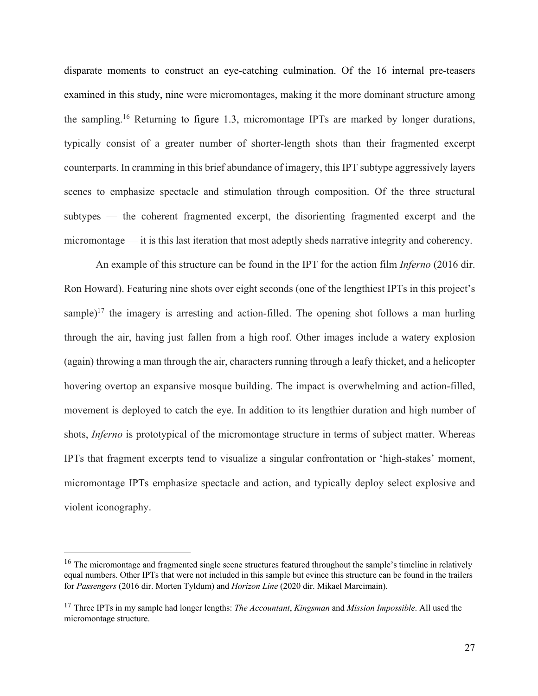disparate moments to construct an eye-catching culmination. Of the 16 internal pre-teasers examined in this study, nine were micromontages, making it the more dominant structure among the sampling. <sup>16</sup> Returning to figure 1.3, micromontage IPTs are marked by longer durations, typically consist of a greater number of shorter-length shots than their fragmented excerpt counterparts. In cramming in this brief abundance of imagery, this IPT subtype aggressively layers scenes to emphasize spectacle and stimulation through composition. Of the three structural subtypes — the coherent fragmented excerpt, the disorienting fragmented excerpt and the micromontage — it is this last iteration that most adeptly sheds narrative integrity and coherency.

An example of this structure can be found in the IPT for the action film *Inferno* (2016 dir. Ron Howard). Featuring nine shots over eight seconds (one of the lengthiest IPTs in this project's sample)<sup>17</sup> the imagery is arresting and action-filled. The opening shot follows a man hurling through the air, having just fallen from a high roof. Other images include a watery explosion (again) throwing a man through the air, characters running through a leafy thicket, and a helicopter hovering overtop an expansive mosque building. The impact is overwhelming and action-filled, movement is deployed to catch the eye. In addition to its lengthier duration and high number of shots, *Inferno* is prototypical of the micromontage structure in terms of subject matter. Whereas IPTs that fragment excerpts tend to visualize a singular confrontation or 'high-stakes' moment, micromontage IPTs emphasize spectacle and action, and typically deploy select explosive and violent iconography.

<sup>&</sup>lt;sup>16</sup> The micromontage and fragmented single scene structures featured throughout the sample's timeline in relatively equal numbers. Other IPTs that were not included in this sample but evince this structure can be found in the trailers for *Passengers* (2016 dir. Morten Tyldum) and *Horizon Line* (2020 dir. Mikael Marcimain).

<sup>17</sup> Three IPTs in my sample had longer lengths: *The Accountant*, *Kingsman* and *Mission Impossible*. All used the micromontage structure.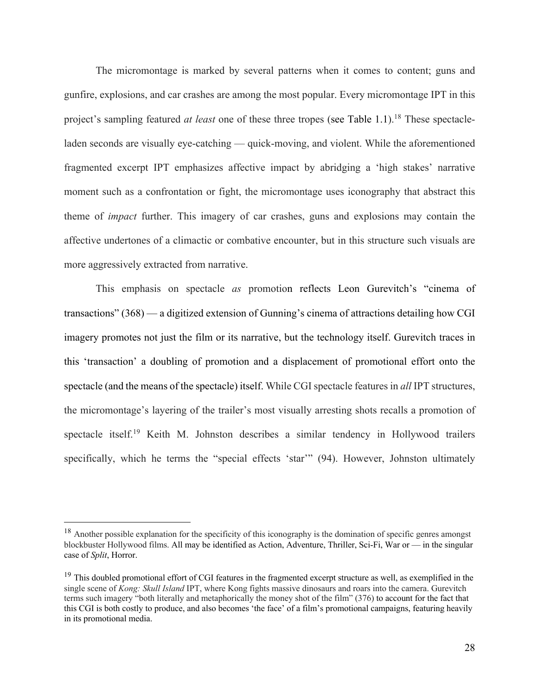The micromontage is marked by several patterns when it comes to content; guns and gunfire, explosions, and car crashes are among the most popular. Every micromontage IPT in this project's sampling featured *at least* one of these three tropes (see Table 1.1). <sup>18</sup> These spectacleladen seconds are visually eye-catching — quick-moving, and violent. While the aforementioned fragmented excerpt IPT emphasizes affective impact by abridging a 'high stakes' narrative moment such as a confrontation or fight, the micromontage uses iconography that abstract this theme of *impact* further. This imagery of car crashes, guns and explosions may contain the affective undertones of a climactic or combative encounter, but in this structure such visuals are more aggressively extracted from narrative.

This emphasis on spectacle *as* promotion reflects Leon Gurevitch's "cinema of transactions" (368) — a digitized extension of Gunning's cinema of attractions detailing how CGI imagery promotes not just the film or its narrative, but the technology itself. Gurevitch traces in this 'transaction' a doubling of promotion and a displacement of promotional effort onto the spectacle (and the means of the spectacle) itself. While CGI spectacle features in *all* IPT structures, the micromontage's layering of the trailer's most visually arresting shots recalls a promotion of spectacle itself.<sup>19</sup> Keith M. Johnston describes a similar tendency in Hollywood trailers specifically, which he terms the "special effects 'star" (94). However, Johnston ultimately

<sup>&</sup>lt;sup>18</sup> Another possible explanation for the specificity of this iconography is the domination of specific genres amongst blockbuster Hollywood films. All may be identified as Action, Adventure, Thriller, Sci-Fi, War or — in the singular case of *Split*, Horror.

<sup>&</sup>lt;sup>19</sup> This doubled promotional effort of CGI features in the fragmented excerpt structure as well, as exemplified in the single scene of *Kong: Skull Island* IPT, where Kong fights massive dinosaurs and roars into the camera. Gurevitch terms such imagery "both literally and metaphorically the money shot of the film" (376) to account for the fact that this CGI is both costly to produce, and also becomes 'the face' of a film's promotional campaigns, featuring heavily in its promotional media.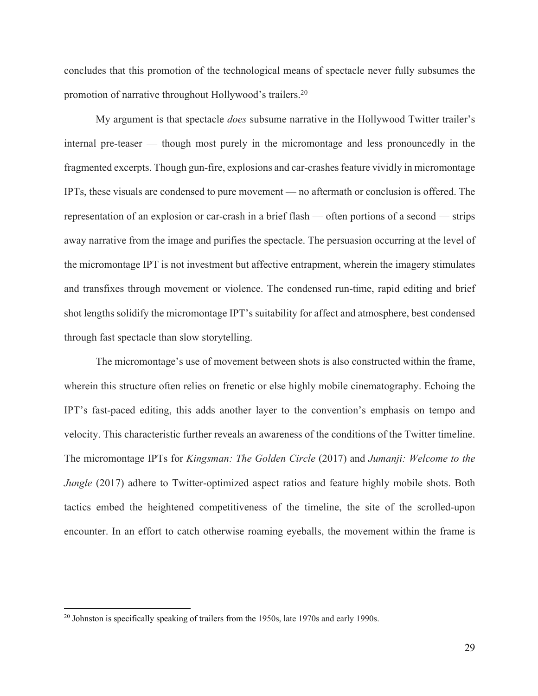concludes that this promotion of the technological means of spectacle never fully subsumes the promotion of narrative throughout Hollywood's trailers.<sup>20</sup>

My argument is that spectacle *does* subsume narrative in the Hollywood Twitter trailer's internal pre-teaser — though most purely in the micromontage and less pronouncedly in the fragmented excerpts. Though gun-fire, explosions and car-crashes feature vividly in micromontage IPTs, these visuals are condensed to pure movement — no aftermath or conclusion is offered. The representation of an explosion or car-crash in a brief flash — often portions of a second — strips away narrative from the image and purifies the spectacle. The persuasion occurring at the level of the micromontage IPT is not investment but affective entrapment, wherein the imagery stimulates and transfixes through movement or violence. The condensed run-time, rapid editing and brief shot lengths solidify the micromontage IPT's suitability for affect and atmosphere, best condensed through fast spectacle than slow storytelling.

The micromontage's use of movement between shots is also constructed within the frame, wherein this structure often relies on frenetic or else highly mobile cinematography. Echoing the IPT's fast-paced editing, this adds another layer to the convention's emphasis on tempo and velocity. This characteristic further reveals an awareness of the conditions of the Twitter timeline. The micromontage IPTs for *Kingsman: The Golden Circle* (2017) and *Jumanji: Welcome to the Jungle* (2017) adhere to Twitter-optimized aspect ratios and feature highly mobile shots. Both tactics embed the heightened competitiveness of the timeline, the site of the scrolled-upon encounter. In an effort to catch otherwise roaming eyeballs, the movement within the frame is

 $20$  Johnston is specifically speaking of trailers from the 1950s, late 1970s and early 1990s.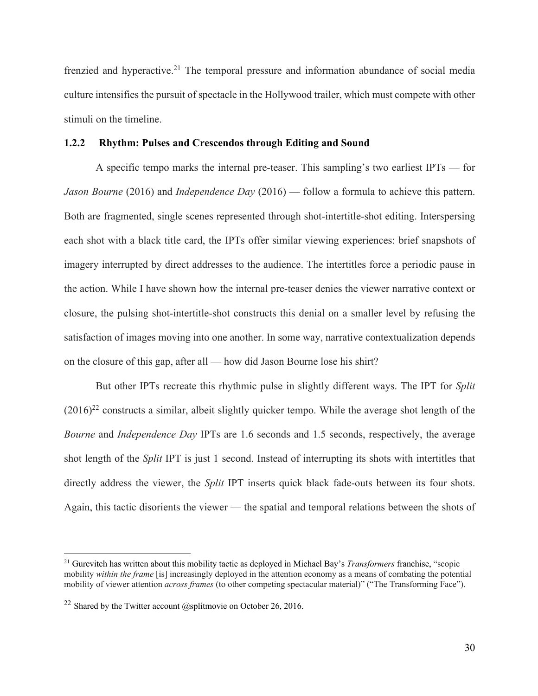frenzied and hyperactive.<sup>21</sup> The temporal pressure and information abundance of social media culture intensifies the pursuit of spectacle in the Hollywood trailer, which must compete with other stimuli on the timeline.

## **1.2.2 Rhythm: Pulses and Crescendos through Editing and Sound**

A specific tempo marks the internal pre-teaser. This sampling's two earliest IPTs — for *Jason Bourne* (2016) and *Independence Day* (2016) — follow a formula to achieve this pattern. Both are fragmented, single scenes represented through shot-intertitle-shot editing. Interspersing each shot with a black title card, the IPTs offer similar viewing experiences: brief snapshots of imagery interrupted by direct addresses to the audience. The intertitles force a periodic pause in the action. While I have shown how the internal pre-teaser denies the viewer narrative context or closure, the pulsing shot-intertitle-shot constructs this denial on a smaller level by refusing the satisfaction of images moving into one another. In some way, narrative contextualization depends on the closure of this gap, after all — how did Jason Bourne lose his shirt?

But other IPTs recreate this rhythmic pulse in slightly different ways. The IPT for *Split*  $(2016)^{22}$  constructs a similar, albeit slightly quicker tempo. While the average shot length of the *Bourne* and *Independence Day* IPTs are 1.6 seconds and 1.5 seconds, respectively, the average shot length of the *Split* IPT is just 1 second. Instead of interrupting its shots with intertitles that directly address the viewer, the *Split* IPT inserts quick black fade-outs between its four shots. Again, this tactic disorients the viewer — the spatial and temporal relations between the shots of

<sup>21</sup> Gurevitch has written about this mobility tactic as deployed in Michael Bay's *Transformers* franchise, "scopic mobility *within the frame* [is] increasingly deployed in the attention economy as a means of combating the potential mobility of viewer attention *across frames* (to other competing spectacular material)" ("The Transforming Face").

<sup>&</sup>lt;sup>22</sup> Shared by the Twitter account  $@$ splitmovie on October 26, 2016.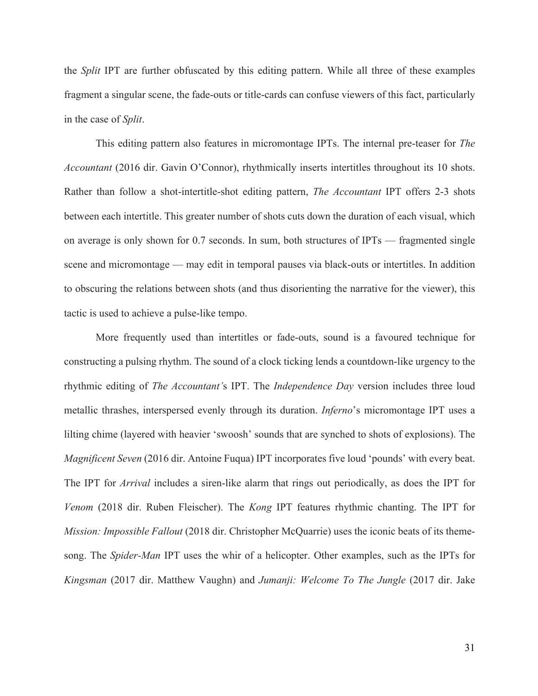the *Split* IPT are further obfuscated by this editing pattern. While all three of these examples fragment a singular scene, the fade-outs or title-cards can confuse viewers of this fact, particularly in the case of *Split*.

This editing pattern also features in micromontage IPTs. The internal pre-teaser for *The Accountant* (2016 dir. Gavin O'Connor), rhythmically inserts intertitles throughout its 10 shots. Rather than follow a shot-intertitle-shot editing pattern, *The Accountant* IPT offers 2-3 shots between each intertitle. This greater number of shots cuts down the duration of each visual, which on average is only shown for 0.7 seconds. In sum, both structures of IPTs — fragmented single scene and micromontage — may edit in temporal pauses via black-outs or intertitles. In addition to obscuring the relations between shots (and thus disorienting the narrative for the viewer), this tactic is used to achieve a pulse-like tempo.

More frequently used than intertitles or fade-outs, sound is a favoured technique for constructing a pulsing rhythm. The sound of a clock ticking lends a countdown-like urgency to the rhythmic editing of *The Accountant'*s IPT. The *Independence Day* version includes three loud metallic thrashes, interspersed evenly through its duration. *Inferno*'s micromontage IPT uses a lilting chime (layered with heavier 'swoosh' sounds that are synched to shots of explosions). The *Magnificent Seven* (2016 dir. Antoine Fuqua) IPT incorporates five loud 'pounds' with every beat. The IPT for *Arrival* includes a siren-like alarm that rings out periodically, as does the IPT for *Venom* (2018 dir. Ruben Fleischer). The *Kong* IPT features rhythmic chanting. The IPT for *Mission: Impossible Fallout* (2018 dir. Christopher McQuarrie) uses the iconic beats of its themesong. The *Spider-Man* IPT uses the whir of a helicopter. Other examples, such as the IPTs for *Kingsman* (2017 dir. Matthew Vaughn) and *Jumanji: Welcome To The Jungle* (2017 dir. Jake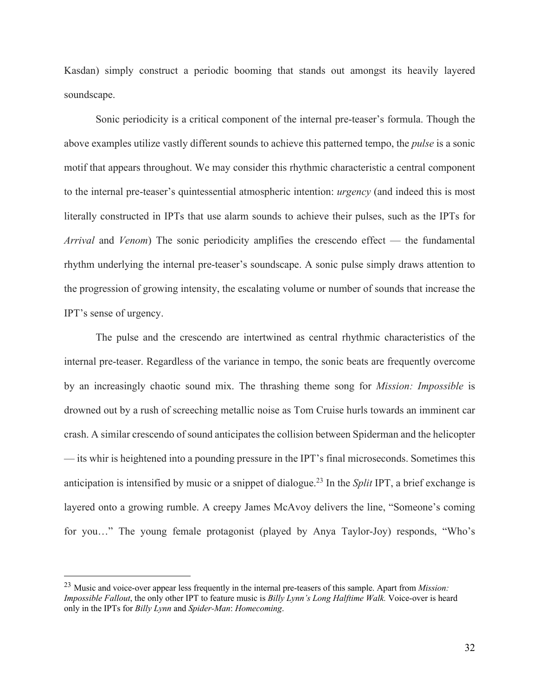Kasdan) simply construct a periodic booming that stands out amongst its heavily layered soundscape.

Sonic periodicity is a critical component of the internal pre-teaser's formula. Though the above examples utilize vastly different sounds to achieve this patterned tempo, the *pulse* is a sonic motif that appears throughout. We may consider this rhythmic characteristic a central component to the internal pre-teaser's quintessential atmospheric intention: *urgency* (and indeed this is most literally constructed in IPTs that use alarm sounds to achieve their pulses, such as the IPTs for *Arrival* and *Venom*) The sonic periodicity amplifies the crescendo effect — the fundamental rhythm underlying the internal pre-teaser's soundscape. A sonic pulse simply draws attention to the progression of growing intensity, the escalating volume or number of sounds that increase the IPT's sense of urgency.

The pulse and the crescendo are intertwined as central rhythmic characteristics of the internal pre-teaser. Regardless of the variance in tempo, the sonic beats are frequently overcome by an increasingly chaotic sound mix. The thrashing theme song for *Mission: Impossible* is drowned out by a rush of screeching metallic noise as Tom Cruise hurls towards an imminent car crash. A similar crescendo of sound anticipates the collision between Spiderman and the helicopter — its whir is heightened into a pounding pressure in the IPT's final microseconds. Sometimes this anticipation is intensified by music or a snippet of dialogue. <sup>23</sup> In the *Split* IPT, a brief exchange is layered onto a growing rumble. A creepy James McAvoy delivers the line, "Someone's coming for you…" The young female protagonist (played by Anya Taylor-Joy) responds, "Who's

<sup>23</sup> Music and voice-over appear less frequently in the internal pre-teasers of this sample. Apart from *Mission: Impossible Fallout*, the only other IPT to feature music is *Billy Lynn's Long Halftime Walk.* Voice-over is heard only in the IPTs for *Billy Lynn* and *Spider-Man*: *Homecoming*.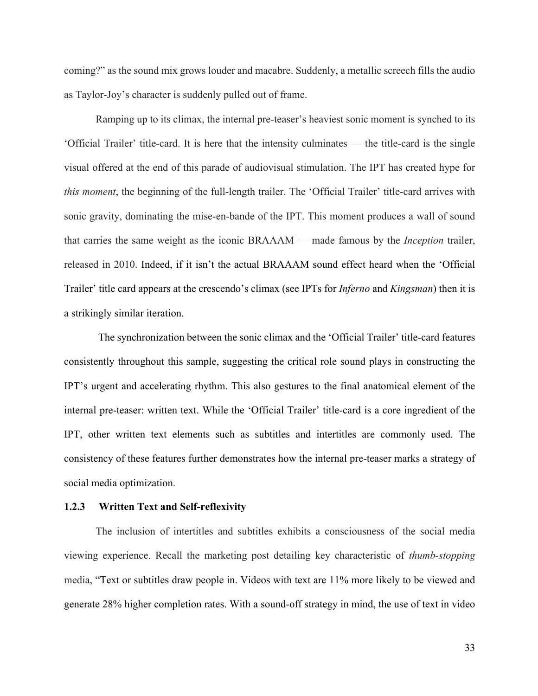coming?" as the sound mix grows louder and macabre. Suddenly, a metallic screech fills the audio as Taylor-Joy's character is suddenly pulled out of frame.

Ramping up to its climax, the internal pre-teaser's heaviest sonic moment is synched to its 'Official Trailer' title-card. It is here that the intensity culminates — the title-card is the single visual offered at the end of this parade of audiovisual stimulation. The IPT has created hype for *this moment*, the beginning of the full-length trailer. The 'Official Trailer' title-card arrives with sonic gravity, dominating the mise-en-bande of the IPT. This moment produces a wall of sound that carries the same weight as the iconic BRAAAM — made famous by the *Inception* trailer, released in 2010. Indeed, if it isn't the actual BRAAAM sound effect heard when the 'Official Trailer' title card appears at the crescendo's climax (see IPTs for *Inferno* and *Kingsman*) then it is a strikingly similar iteration.

The synchronization between the sonic climax and the 'Official Trailer' title-card features consistently throughout this sample, suggesting the critical role sound plays in constructing the IPT's urgent and accelerating rhythm. This also gestures to the final anatomical element of the internal pre-teaser: written text. While the 'Official Trailer' title-card is a core ingredient of the IPT, other written text elements such as subtitles and intertitles are commonly used. The consistency of these features further demonstrates how the internal pre-teaser marks a strategy of social media optimization.

## **1.2.3 Written Text and Self-reflexivity**

The inclusion of intertitles and subtitles exhibits a consciousness of the social media viewing experience. Recall the marketing post detailing key characteristic of *thumb-stopping* media, "Text or subtitles draw people in. Videos with text are 11% more likely to be viewed and generate 28% higher completion rates. With a sound-off strategy in mind, the use of text in video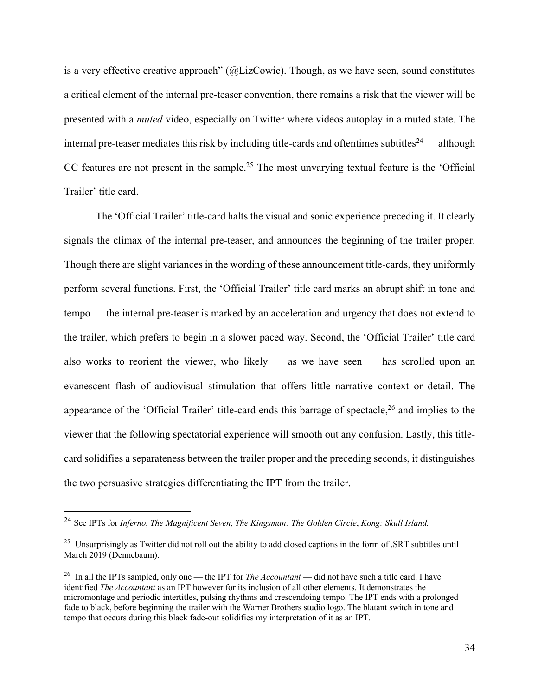is a very effective creative approach" (@LizCowie). Though, as we have seen, sound constitutes a critical element of the internal pre-teaser convention, there remains a risk that the viewer will be presented with a *muted* video, especially on Twitter where videos autoplay in a muted state. The internal pre-teaser mediates this risk by including title-cards and oftentimes subtitles<sup>24</sup> — although CC features are not present in the sample.<sup>25</sup> The most unvarying textual feature is the 'Official Trailer' title card.

The 'Official Trailer' title-card halts the visual and sonic experience preceding it. It clearly signals the climax of the internal pre-teaser, and announces the beginning of the trailer proper. Though there are slight variances in the wording of these announcement title-cards, they uniformly perform several functions. First, the 'Official Trailer' title card marks an abrupt shift in tone and tempo — the internal pre-teaser is marked by an acceleration and urgency that does not extend to the trailer, which prefers to begin in a slower paced way. Second, the 'Official Trailer' title card also works to reorient the viewer, who likely — as we have seen — has scrolled upon an evanescent flash of audiovisual stimulation that offers little narrative context or detail. The appearance of the 'Official Trailer' title-card ends this barrage of spectacle,<sup>26</sup> and implies to the viewer that the following spectatorial experience will smooth out any confusion. Lastly, this titlecard solidifies a separateness between the trailer proper and the preceding seconds, it distinguishes the two persuasive strategies differentiating the IPT from the trailer.

<sup>24</sup> See IPTs for *Inferno*, *The Magnificent Seven*, *The Kingsman: The Golden Circle*, *Kong: Skull Island.*

<sup>&</sup>lt;sup>25</sup> Unsurprisingly as Twitter did not roll out the ability to add closed captions in the form of .SRT subtitles until March 2019 (Dennebaum).

<sup>26</sup> In all the IPTs sampled, only one — the IPT for *The Accountant* — did not have such a title card. I have identified *The Accountant* as an IPT however for its inclusion of all other elements. It demonstrates the micromontage and periodic intertitles, pulsing rhythms and crescendoing tempo. The IPT ends with a prolonged fade to black, before beginning the trailer with the Warner Brothers studio logo. The blatant switch in tone and tempo that occurs during this black fade-out solidifies my interpretation of it as an IPT.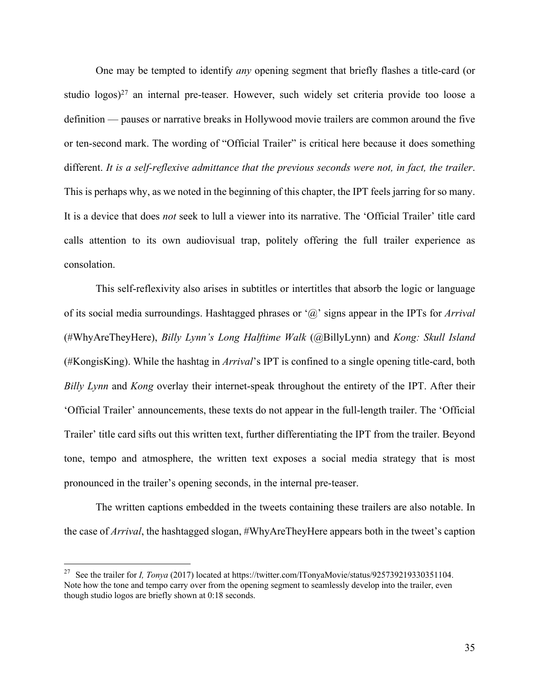One may be tempted to identify *any* opening segment that briefly flashes a title-card (or studio logos)<sup>27</sup> an internal pre-teaser. However, such widely set criteria provide too loose a definition — pauses or narrative breaks in Hollywood movie trailers are common around the five or ten-second mark. The wording of "Official Trailer" is critical here because it does something different. *It is a self-reflexive admittance that the previous seconds were not, in fact, the trailer*. This is perhaps why, as we noted in the beginning of this chapter, the IPT feels jarring for so many. It is a device that does *not* seek to lull a viewer into its narrative. The 'Official Trailer' title card calls attention to its own audiovisual trap, politely offering the full trailer experience as consolation.

This self-reflexivity also arises in subtitles or intertitles that absorb the logic or language of its social media surroundings. Hashtagged phrases or '@' signs appear in the IPTs for *Arrival* (#WhyAreTheyHere), *Billy Lynn's Long Halftime Walk* (@BillyLynn) and *Kong: Skull Island* (#KongisKing). While the hashtag in *Arrival*'s IPT is confined to a single opening title-card, both *Billy Lynn* and *Kong* overlay their internet-speak throughout the entirety of the IPT. After their 'Official Trailer' announcements, these texts do not appear in the full-length trailer. The 'Official Trailer' title card sifts out this written text, further differentiating the IPT from the trailer. Beyond tone, tempo and atmosphere, the written text exposes a social media strategy that is most pronounced in the trailer's opening seconds, in the internal pre-teaser.

The written captions embedded in the tweets containing these trailers are also notable. In the case of *Arrival*, the hashtagged slogan, #WhyAreTheyHere appears both in the tweet's caption

<sup>&</sup>lt;sup>27</sup> See the trailer for *I, Tonya* (2017) located at https://twitter.com/ITonyaMovie/status/925739219330351104. Note how the tone and tempo carry over from the opening segment to seamlessly develop into the trailer, even though studio logos are briefly shown at 0:18 seconds.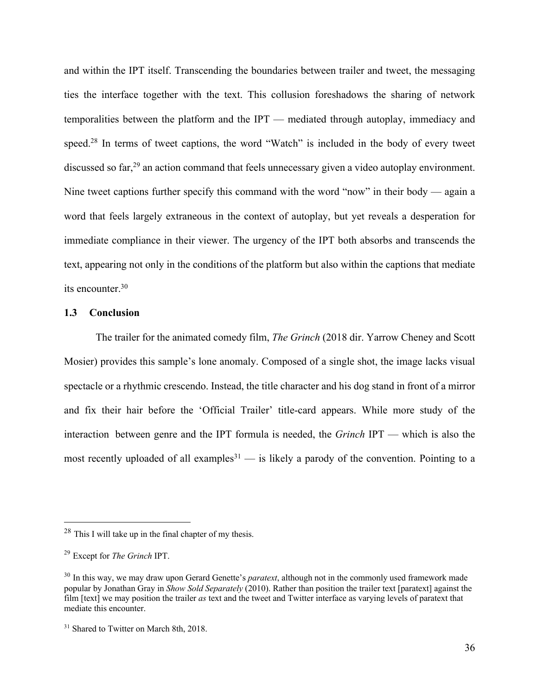and within the IPT itself. Transcending the boundaries between trailer and tweet, the messaging ties the interface together with the text. This collusion foreshadows the sharing of network temporalities between the platform and the IPT — mediated through autoplay, immediacy and speed.<sup>28</sup> In terms of tweet captions, the word "Watch" is included in the body of every tweet discussed so far,<sup>29</sup> an action command that feels unnecessary given a video autoplay environment. Nine tweet captions further specify this command with the word "now" in their body — again a word that feels largely extraneous in the context of autoplay, but yet reveals a desperation for immediate compliance in their viewer. The urgency of the IPT both absorbs and transcends the text, appearing not only in the conditions of the platform but also within the captions that mediate its encounter. 30

### **1.3 Conclusion**

The trailer for the animated comedy film, *The Grinch* (2018 dir. Yarrow Cheney and Scott Mosier) provides this sample's lone anomaly. Composed of a single shot, the image lacks visual spectacle or a rhythmic crescendo. Instead, the title character and his dog stand in front of a mirror and fix their hair before the 'Official Trailer' title-card appears. While more study of the interaction between genre and the IPT formula is needed, the *Grinch* IPT — which is also the most recently uploaded of all examples<sup>31</sup> — is likely a parody of the convention. Pointing to a

 $28$  This I will take up in the final chapter of my thesis.

<sup>29</sup> Except for *The Grinch* IPT.

<sup>30</sup> In this way, we may draw upon Gerard Genette's *paratext*, although not in the commonly used framework made popular by Jonathan Gray in *Show Sold Separately* (2010). Rather than position the trailer text [paratext] against the film [text] we may position the trailer *as* text and the tweet and Twitter interface as varying levels of paratext that mediate this encounter.

<sup>&</sup>lt;sup>31</sup> Shared to Twitter on March 8th, 2018.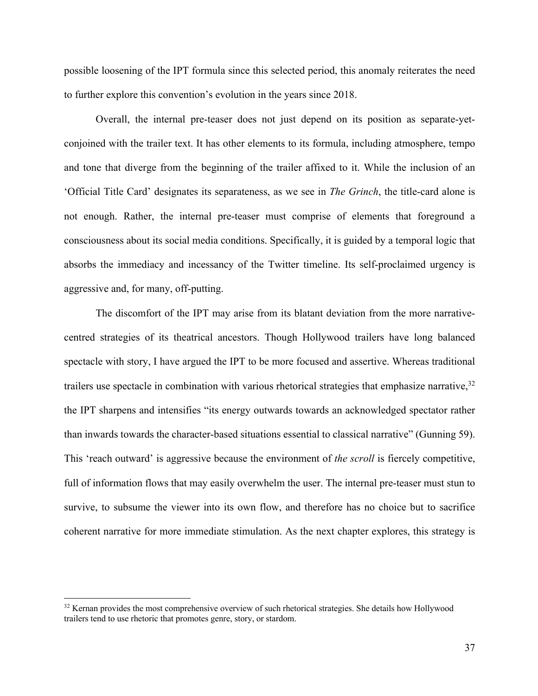possible loosening of the IPT formula since this selected period, this anomaly reiterates the need to further explore this convention's evolution in the years since 2018.

Overall, the internal pre-teaser does not just depend on its position as separate-yetconjoined with the trailer text. It has other elements to its formula, including atmosphere, tempo and tone that diverge from the beginning of the trailer affixed to it. While the inclusion of an 'Official Title Card' designates its separateness, as we see in *The Grinch*, the title-card alone is not enough. Rather, the internal pre-teaser must comprise of elements that foreground a consciousness about its social media conditions. Specifically, it is guided by a temporal logic that absorbs the immediacy and incessancy of the Twitter timeline. Its self-proclaimed urgency is aggressive and, for many, off-putting.

The discomfort of the IPT may arise from its blatant deviation from the more narrativecentred strategies of its theatrical ancestors. Though Hollywood trailers have long balanced spectacle with story, I have argued the IPT to be more focused and assertive. Whereas traditional trailers use spectacle in combination with various rhetorical strategies that emphasize narrative,<sup>32</sup> the IPT sharpens and intensifies "its energy outwards towards an acknowledged spectator rather than inwards towards the character-based situations essential to classical narrative" (Gunning 59). This 'reach outward' is aggressive because the environment of *the scroll* is fiercely competitive, full of information flows that may easily overwhelm the user. The internal pre-teaser must stun to survive, to subsume the viewer into its own flow, and therefore has no choice but to sacrifice coherent narrative for more immediate stimulation. As the next chapter explores, this strategy is

<sup>&</sup>lt;sup>32</sup> Kernan provides the most comprehensive overview of such rhetorical strategies. She details how Hollywood trailers tend to use rhetoric that promotes genre, story, or stardom.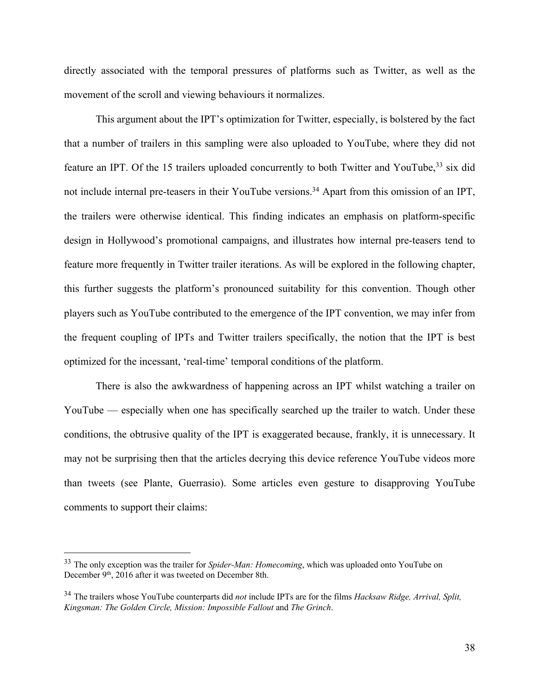directly associated with the temporal pressures of platforms such as Twitter, as well as the movement of the scroll and viewing behaviours it normalizes.

This argument about the IPT's optimization for Twitter, especially, is bolstered by the fact that a number of trailers in this sampling were also uploaded to YouTube, where they did not feature an IPT. Of the 15 trailers uploaded concurrently to both Twitter and YouTube,<sup>33</sup> six did not include internal pre-teasers in their YouTube versions.<sup>34</sup> Apart from this omission of an IPT, the trailers were otherwise identical. This finding indicates an emphasis on platform-specific design in Hollywood's promotional campaigns, and illustrates how internal pre-teasers tend to feature more frequently in Twitter trailer iterations. As will be explored in the following chapter, this further suggests the platform's pronounced suitability for this convention. Though other players such as YouTube contributed to the emergence of the IPT convention, we may infer from the frequent coupling of IPTs and Twitter trailers specifically, the notion that the IPT is best optimized for the incessant, 'real-time' temporal conditions of the platform.

There is also the awkwardness of happening across an IPT whilst watching a trailer on YouTube — especially when one has specifically searched up the trailer to watch. Under these conditions, the obtrusive quality of the IPT is exaggerated because, frankly, it is unnecessary. It may not be surprising then that the articles decrying this device reference YouTube videos more than tweets (see Plante, Guerrasio). Some articles even gesture to disapproving YouTube comments to support their claims:

<sup>33</sup> The only exception was the trailer for *Spider-Man: Homecoming*, which was uploaded onto YouTube on December 9<sup>th</sup>, 2016 after it was tweeted on December 8th.

<sup>34</sup> The trailers whose YouTube counterparts did *not* include IPTs are for the films *Hacksaw Ridge, Arrival, Split, Kingsman: The Golden Circle, Mission: Impossible Fallout* and *The Grinch*.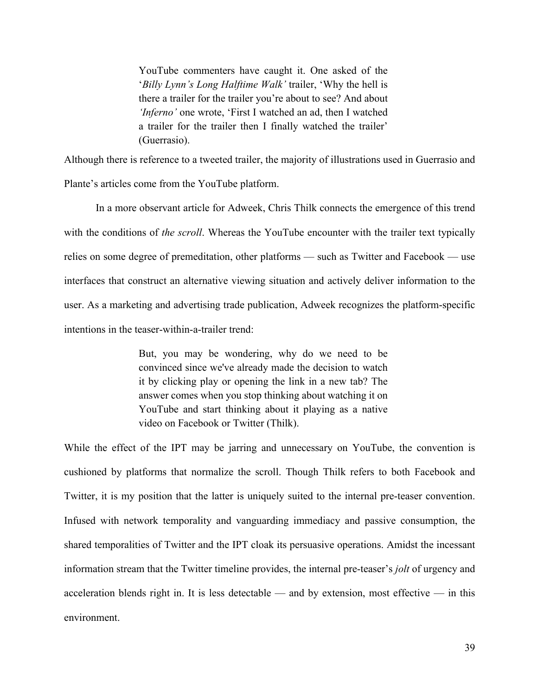YouTube commenters have caught it. One asked of the '*Billy Lynn's Long Halftime Walk'* trailer, 'Why the hell is there a trailer for the trailer you're about to see? And about *'Inferno'* one wrote, 'First I watched an ad, then I watched a trailer for the trailer then I finally watched the trailer' (Guerrasio).

Although there is reference to a tweeted trailer, the majority of illustrations used in Guerrasio and Plante's articles come from the YouTube platform.

In a more observant article for Adweek, Chris Thilk connects the emergence of this trend with the conditions of *the scroll*. Whereas the YouTube encounter with the trailer text typically relies on some degree of premeditation, other platforms — such as Twitter and Facebook — use interfaces that construct an alternative viewing situation and actively deliver information to the user. As a marketing and advertising trade publication, Adweek recognizes the platform-specific intentions in the teaser-within-a-trailer trend:

> But, you may be wondering, why do we need to be convinced since we've already made the decision to watch it by clicking play or opening the link in a new tab? The answer comes when you stop thinking about watching it on YouTube and start thinking about it playing as a native video on Facebook or Twitter (Thilk).

While the effect of the IPT may be jarring and unnecessary on YouTube, the convention is cushioned by platforms that normalize the scroll. Though Thilk refers to both Facebook and Twitter, it is my position that the latter is uniquely suited to the internal pre-teaser convention. Infused with network temporality and vanguarding immediacy and passive consumption, the shared temporalities of Twitter and the IPT cloak its persuasive operations. Amidst the incessant information stream that the Twitter timeline provides, the internal pre-teaser's *jolt* of urgency and acceleration blends right in. It is less detectable — and by extension, most effective — in this environment.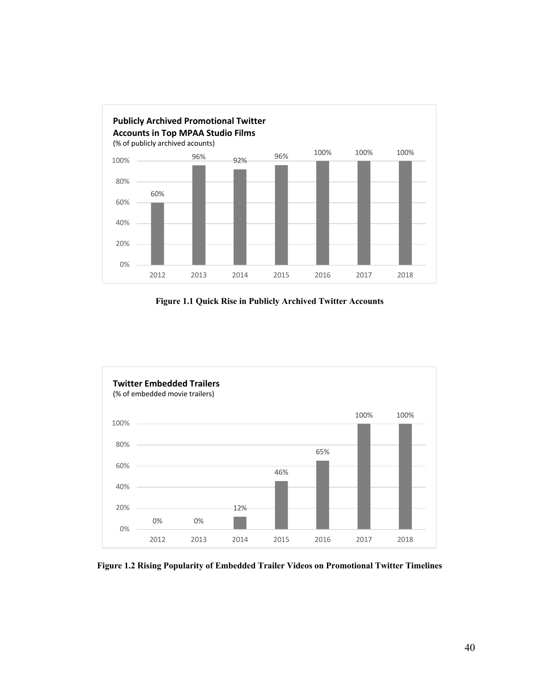

**Figure 1.1 Quick Rise in Publicly Archived Twitter Accounts**



**Figure 1.2 Rising Popularity of Embedded Trailer Videos on Promotional Twitter Timelines**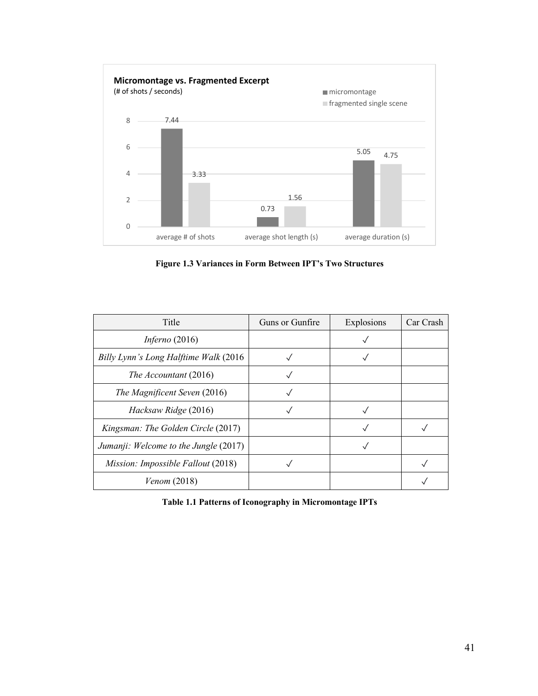

**Figure 1.3 Variances in Form Between IPT's Two Structures**

| Title                                 | Guns or Gunfire | Explosions | Car Crash |
|---------------------------------------|-----------------|------------|-----------|
| Inferno $(2016)$                      |                 |            |           |
| Billy Lynn's Long Halftime Walk (2016 |                 |            |           |
| The Accountant (2016)                 |                 |            |           |
| The Magnificent Seven (2016)          |                 |            |           |
| Hacksaw Ridge (2016)                  |                 |            |           |
| Kingsman: The Golden Circle (2017)    |                 |            |           |
| Jumanji: Welcome to the Jungle (2017) |                 |            |           |
| Mission: Impossible Fallout (2018)    |                 |            |           |
| Venom(2018)                           |                 |            |           |

**Table 1.1 Patterns of Iconography in Micromontage IPTs**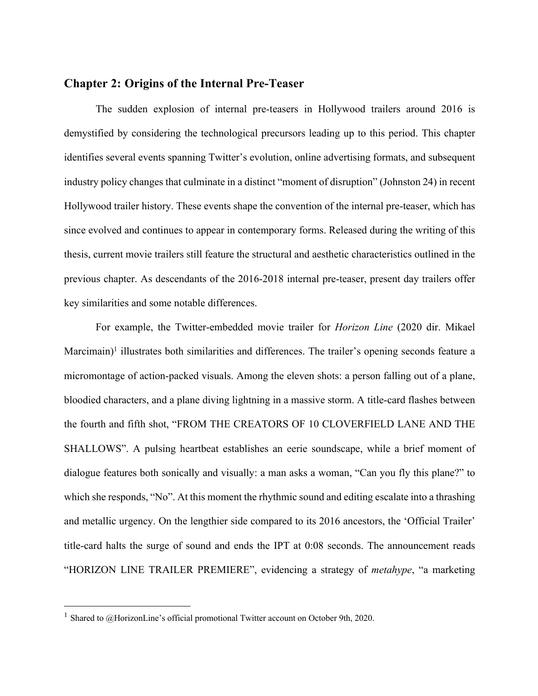# **Chapter 2: Origins of the Internal Pre-Teaser**

The sudden explosion of internal pre-teasers in Hollywood trailers around 2016 is demystified by considering the technological precursors leading up to this period. This chapter identifies several events spanning Twitter's evolution, online advertising formats, and subsequent industry policy changes that culminate in a distinct "moment of disruption" (Johnston 24) in recent Hollywood trailer history. These events shape the convention of the internal pre-teaser, which has since evolved and continues to appear in contemporary forms. Released during the writing of this thesis, current movie trailers still feature the structural and aesthetic characteristics outlined in the previous chapter. As descendants of the 2016-2018 internal pre-teaser, present day trailers offer key similarities and some notable differences.

For example, the Twitter-embedded movie trailer for *Horizon Line* (2020 dir. Mikael  $Marcimain$ <sup> $1$ </sup> illustrates both similarities and differences. The trailer's opening seconds feature a micromontage of action-packed visuals. Among the eleven shots: a person falling out of a plane, bloodied characters, and a plane diving lightning in a massive storm. A title-card flashes between the fourth and fifth shot, "FROM THE CREATORS OF 10 CLOVERFIELD LANE AND THE SHALLOWS". A pulsing heartbeat establishes an eerie soundscape, while a brief moment of dialogue features both sonically and visually: a man asks a woman, "Can you fly this plane?" to which she responds, "No". At this moment the rhythmic sound and editing escalate into a thrashing and metallic urgency. On the lengthier side compared to its 2016 ancestors, the 'Official Trailer' title-card halts the surge of sound and ends the IPT at 0:08 seconds. The announcement reads "HORIZON LINE TRAILER PREMIERE", evidencing a strategy of *metahype*, "a marketing

<sup>&</sup>lt;sup>1</sup> Shared to  $@$ HorizonLine's official promotional Twitter account on October 9th, 2020.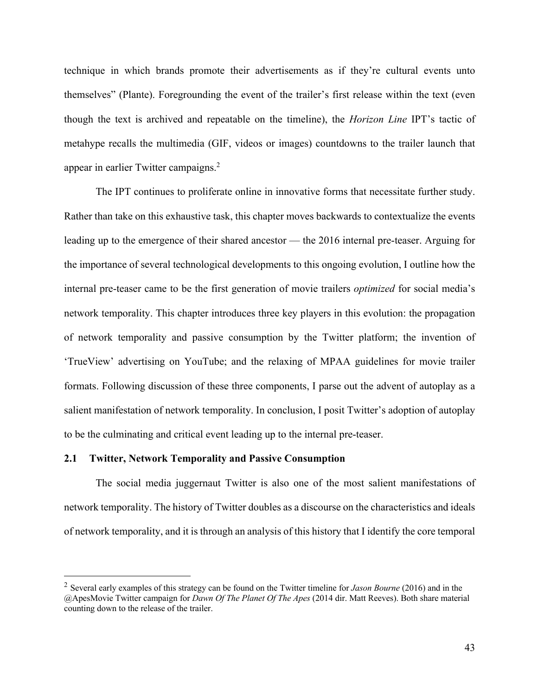technique in which brands promote their advertisements as if they're cultural events unto themselves" (Plante). Foregrounding the event of the trailer's first release within the text (even though the text is archived and repeatable on the timeline), the *Horizon Line* IPT's tactic of metahype recalls the multimedia (GIF, videos or images) countdowns to the trailer launch that appear in earlier Twitter campaigns. 2

The IPT continues to proliferate online in innovative forms that necessitate further study. Rather than take on this exhaustive task, this chapter moves backwards to contextualize the events leading up to the emergence of their shared ancestor — the 2016 internal pre-teaser. Arguing for the importance of several technological developments to this ongoing evolution, I outline how the internal pre-teaser came to be the first generation of movie trailers *optimized* for social media's network temporality. This chapter introduces three key players in this evolution: the propagation of network temporality and passive consumption by the Twitter platform; the invention of 'TrueView' advertising on YouTube; and the relaxing of MPAA guidelines for movie trailer formats. Following discussion of these three components, I parse out the advent of autoplay as a salient manifestation of network temporality. In conclusion, I posit Twitter's adoption of autoplay to be the culminating and critical event leading up to the internal pre-teaser.

### **2.1 Twitter, Network Temporality and Passive Consumption**

The social media juggernaut Twitter is also one of the most salient manifestations of network temporality. The history of Twitter doubles as a discourse on the characteristics and ideals of network temporality, and it is through an analysis of this history that I identify the core temporal

<sup>2</sup> Several early examples of this strategy can be found on the Twitter timeline for *Jason Bourne* (2016) and in the @ApesMovie Twitter campaign for *Dawn Of The Planet Of The Apes* (2014 dir. Matt Reeves). Both share material counting down to the release of the trailer.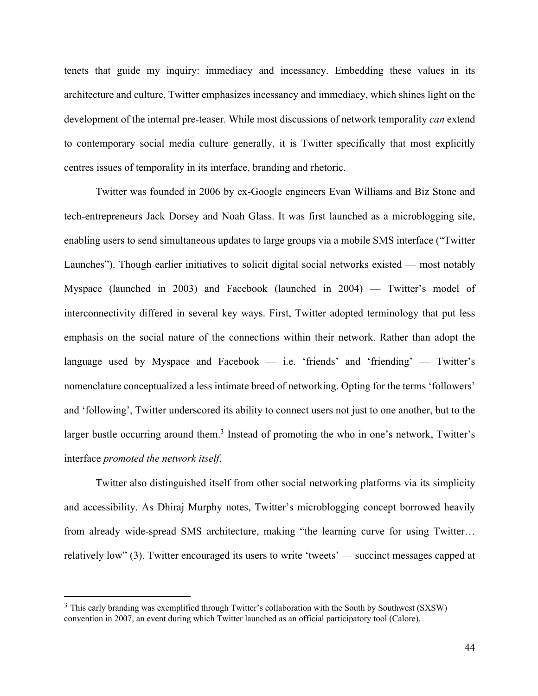tenets that guide my inquiry: immediacy and incessancy. Embedding these values in its architecture and culture, Twitter emphasizes incessancy and immediacy, which shines light on the development of the internal pre-teaser. While most discussions of network temporality *can* extend to contemporary social media culture generally, it is Twitter specifically that most explicitly centres issues of temporality in its interface, branding and rhetoric.

Twitter was founded in 2006 by ex-Google engineers Evan Williams and Biz Stone and tech-entrepreneurs Jack Dorsey and Noah Glass. It was first launched as a microblogging site, enabling users to send simultaneous updates to large groups via a mobile SMS interface ("Twitter Launches"). Though earlier initiatives to solicit digital social networks existed — most notably Myspace (launched in 2003) and Facebook (launched in 2004) — Twitter's model of interconnectivity differed in several key ways. First, Twitter adopted terminology that put less emphasis on the social nature of the connections within their network. Rather than adopt the language used by Myspace and Facebook  $-$  i.e. 'friends' and 'friending'  $-$  Twitter's nomenclature conceptualized a less intimate breed of networking. Opting for the terms 'followers' and 'following', Twitter underscored its ability to connect users not just to one another, but to the larger bustle occurring around them.<sup>3</sup> Instead of promoting the who in one's network, Twitter's interface *promoted the network itself*.

Twitter also distinguished itself from other social networking platforms via its simplicity and accessibility. As Dhiraj Murphy notes, Twitter's microblogging concept borrowed heavily from already wide-spread SMS architecture, making "the learning curve for using Twitter… relatively low" (3). Twitter encouraged its users to write 'tweets' — succinct messages capped at

<sup>&</sup>lt;sup>3</sup> This early branding was exemplified through Twitter's collaboration with the South by Southwest (SXSW) convention in 2007, an event during which Twitter launched as an official participatory tool (Calore).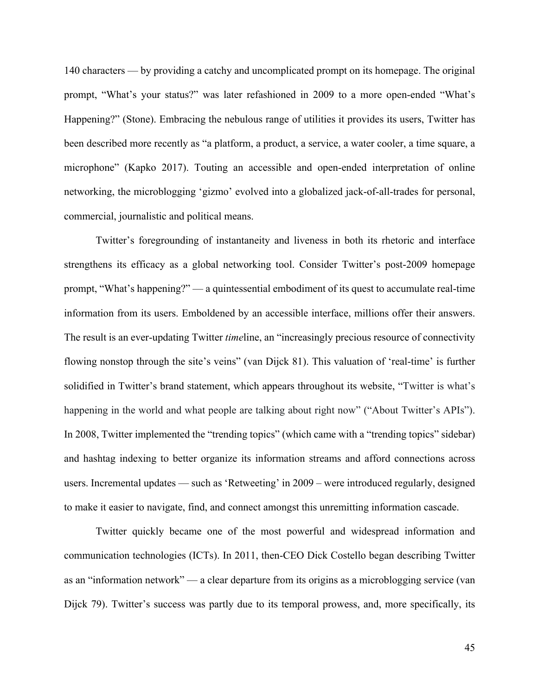140 characters — by providing a catchy and uncomplicated prompt on its homepage. The original prompt, "What's your status?" was later refashioned in 2009 to a more open-ended "What's Happening?" (Stone). Embracing the nebulous range of utilities it provides its users, Twitter has been described more recently as "a platform, a product, a service, a water cooler, a time square, a microphone" (Kapko 2017). Touting an accessible and open-ended interpretation of online networking, the microblogging 'gizmo' evolved into a globalized jack-of-all-trades for personal, commercial, journalistic and political means.

Twitter's foregrounding of instantaneity and liveness in both its rhetoric and interface strengthens its efficacy as a global networking tool. Consider Twitter's post-2009 homepage prompt, "What's happening?" — a quintessential embodiment of its quest to accumulate real-time information from its users. Emboldened by an accessible interface, millions offer their answers. The result is an ever-updating Twitter *time*line, an "increasingly precious resource of connectivity flowing nonstop through the site's veins" (van Dijck 81). This valuation of 'real-time' is further solidified in Twitter's brand statement, which appears throughout its website, "Twitter is what's happening in the world and what people are talking about right now" ("About Twitter's APIs"). In 2008, Twitter implemented the "trending topics" (which came with a "trending topics" sidebar) and hashtag indexing to better organize its information streams and afford connections across users. Incremental updates — such as 'Retweeting' in 2009 – were introduced regularly, designed to make it easier to navigate, find, and connect amongst this unremitting information cascade.

Twitter quickly became one of the most powerful and widespread information and communication technologies (ICTs). In 2011, then-CEO Dick Costello began describing Twitter as an "information network" — a clear departure from its origins as a microblogging service (van Dijck 79). Twitter's success was partly due to its temporal prowess, and, more specifically, its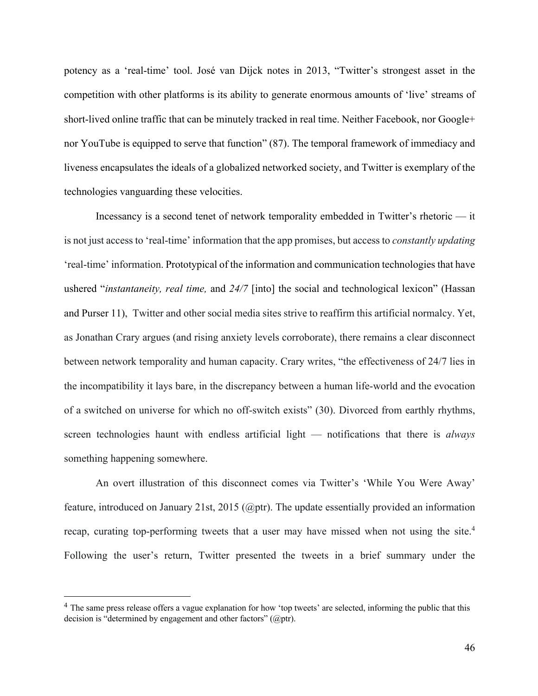potency as a 'real-time' tool. José van Dijck notes in 2013, "Twitter's strongest asset in the competition with other platforms is its ability to generate enormous amounts of 'live' streams of short-lived online traffic that can be minutely tracked in real time. Neither Facebook, nor Google+ nor YouTube is equipped to serve that function" (87). The temporal framework of immediacy and liveness encapsulates the ideals of a globalized networked society, and Twitter is exemplary of the technologies vanguarding these velocities.

Incessancy is a second tenet of network temporality embedded in Twitter's rhetoric — it is not just access to 'real-time' information that the app promises, but access to *constantly updating* 'real-time' information. Prototypical of the information and communication technologies that have ushered "*instantaneity, real time,* and *24/7* [into] the social and technological lexicon" (Hassan and Purser 11), Twitter and other social media sites strive to reaffirm this artificial normalcy. Yet, as Jonathan Crary argues (and rising anxiety levels corroborate), there remains a clear disconnect between network temporality and human capacity. Crary writes, "the effectiveness of 24/7 lies in the incompatibility it lays bare, in the discrepancy between a human life-world and the evocation of a switched on universe for which no off-switch exists" (30). Divorced from earthly rhythms, screen technologies haunt with endless artificial light — notifications that there is *always* something happening somewhere.

An overt illustration of this disconnect comes via Twitter's 'While You Were Away' feature, introduced on January 21st, 2015 (@ptr). The update essentially provided an information recap, curating top-performing tweets that a user may have missed when not using the site.<sup>4</sup> Following the user's return, Twitter presented the tweets in a brief summary under the

<sup>&</sup>lt;sup>4</sup> The same press release offers a vague explanation for how 'top tweets' are selected, informing the public that this decision is "determined by engagement and other factors" (@ptr).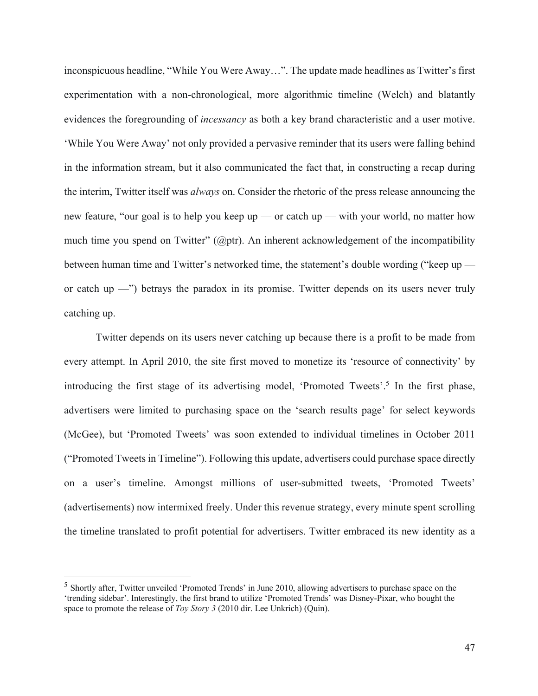inconspicuous headline, "While You Were Away…". The update made headlines as Twitter's first experimentation with a non-chronological, more algorithmic timeline (Welch) and blatantly evidences the foregrounding of *incessancy* as both a key brand characteristic and a user motive. 'While You Were Away' not only provided a pervasive reminder that its users were falling behind in the information stream, but it also communicated the fact that, in constructing a recap during the interim, Twitter itself was *always* on. Consider the rhetoric of the press release announcing the new feature, "our goal is to help you keep up — or catch up — with your world, no matter how much time you spend on Twitter" (@ptr). An inherent acknowledgement of the incompatibility between human time and Twitter's networked time, the statement's double wording ("keep up or catch up —") betrays the paradox in its promise. Twitter depends on its users never truly catching up.

Twitter depends on its users never catching up because there is a profit to be made from every attempt. In April 2010, the site first moved to monetize its 'resource of connectivity' by introducing the first stage of its advertising model, 'Promoted Tweets'. <sup>5</sup> In the first phase, advertisers were limited to purchasing space on the 'search results page' for select keywords (McGee), but 'Promoted Tweets' was soon extended to individual timelines in October 2011 ("Promoted Tweets in Timeline"). Following this update, advertisers could purchase space directly on a user's timeline. Amongst millions of user-submitted tweets, 'Promoted Tweets' (advertisements) now intermixed freely. Under this revenue strategy, every minute spent scrolling the timeline translated to profit potential for advertisers. Twitter embraced its new identity as a

<sup>&</sup>lt;sup>5</sup> Shortly after, Twitter unveiled 'Promoted Trends' in June 2010, allowing advertisers to purchase space on the 'trending sidebar'. Interestingly, the first brand to utilize 'Promoted Trends' was Disney-Pixar, who bought the space to promote the release of *Toy Story 3* (2010 dir. Lee Unkrich) (Quin).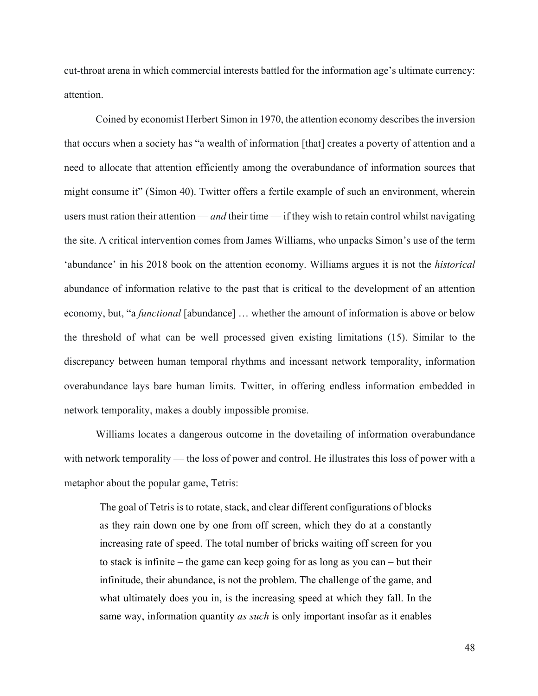cut-throat arena in which commercial interests battled for the information age's ultimate currency: attention.

Coined by economist Herbert Simon in 1970, the attention economy describes the inversion that occurs when a society has "a wealth of information [that] creates a poverty of attention and a need to allocate that attention efficiently among the overabundance of information sources that might consume it" (Simon 40). Twitter offers a fertile example of such an environment, wherein users must ration their attention — *and* their time — if they wish to retain control whilst navigating the site. A critical intervention comes from James Williams, who unpacks Simon's use of the term 'abundance' in his 2018 book on the attention economy. Williams argues it is not the *historical* abundance of information relative to the past that is critical to the development of an attention economy, but, "a *functional* [abundance] … whether the amount of information is above or below the threshold of what can be well processed given existing limitations (15). Similar to the discrepancy between human temporal rhythms and incessant network temporality, information overabundance lays bare human limits. Twitter, in offering endless information embedded in network temporality, makes a doubly impossible promise.

Williams locates a dangerous outcome in the dovetailing of information overabundance with network temporality — the loss of power and control. He illustrates this loss of power with a metaphor about the popular game, Tetris:

The goal of Tetris is to rotate, stack, and clear different configurations of blocks as they rain down one by one from off screen, which they do at a constantly increasing rate of speed. The total number of bricks waiting off screen for you to stack is infinite – the game can keep going for as long as you can – but their infinitude, their abundance, is not the problem. The challenge of the game, and what ultimately does you in, is the increasing speed at which they fall. In the same way, information quantity *as such* is only important insofar as it enables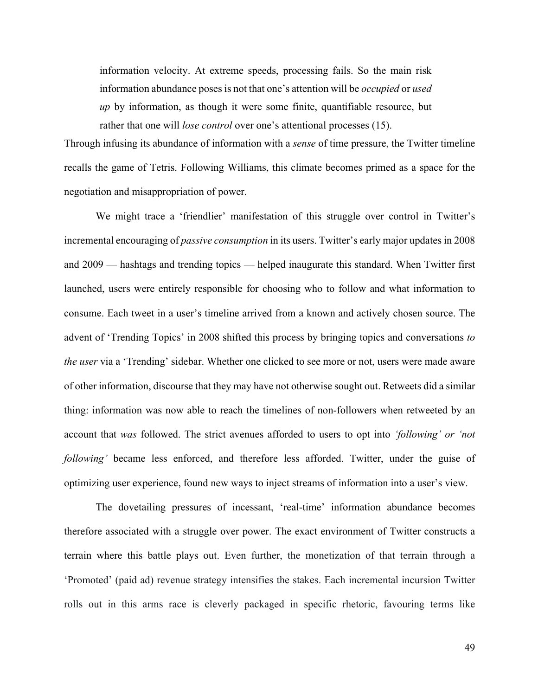information velocity. At extreme speeds, processing fails. So the main risk information abundance poses is not that one's attention will be *occupied* or *used up* by information, as though it were some finite, quantifiable resource, but rather that one will *lose control* over one's attentional processes (15).

Through infusing its abundance of information with a *sense* of time pressure, the Twitter timeline recalls the game of Tetris. Following Williams, this climate becomes primed as a space for the negotiation and misappropriation of power.

We might trace a 'friendlier' manifestation of this struggle over control in Twitter's incremental encouraging of *passive consumption* in its users. Twitter's early major updates in 2008 and 2009 — hashtags and trending topics — helped inaugurate this standard. When Twitter first launched, users were entirely responsible for choosing who to follow and what information to consume. Each tweet in a user's timeline arrived from a known and actively chosen source. The advent of 'Trending Topics' in 2008 shifted this process by bringing topics and conversations *to the user* via a 'Trending' sidebar. Whether one clicked to see more or not, users were made aware of other information, discourse that they may have not otherwise sought out. Retweets did a similar thing: information was now able to reach the timelines of non-followers when retweeted by an account that *was* followed. The strict avenues afforded to users to opt into *'following' or 'not following'* became less enforced, and therefore less afforded. Twitter, under the guise of optimizing user experience, found new ways to inject streams of information into a user's view.

The dovetailing pressures of incessant, 'real-time' information abundance becomes therefore associated with a struggle over power. The exact environment of Twitter constructs a terrain where this battle plays out. Even further, the monetization of that terrain through a 'Promoted' (paid ad) revenue strategy intensifies the stakes. Each incremental incursion Twitter rolls out in this arms race is cleverly packaged in specific rhetoric, favouring terms like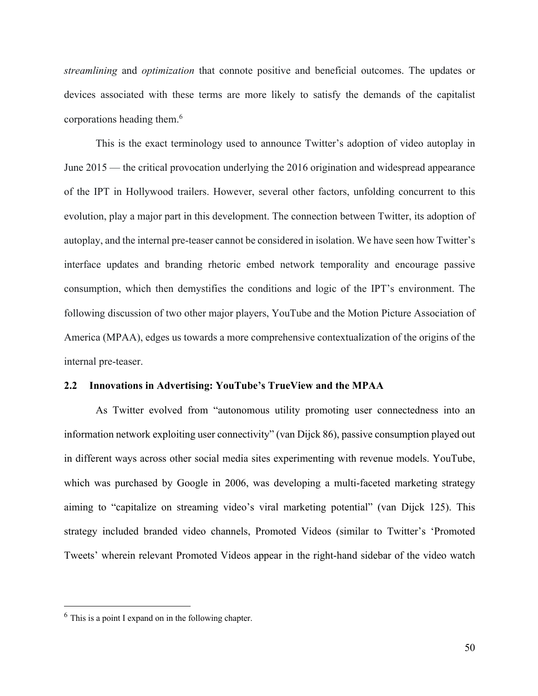*streamlining* and *optimization* that connote positive and beneficial outcomes. The updates or devices associated with these terms are more likely to satisfy the demands of the capitalist corporations heading them. 6

This is the exact terminology used to announce Twitter's adoption of video autoplay in June 2015 — the critical provocation underlying the 2016 origination and widespread appearance of the IPT in Hollywood trailers. However, several other factors, unfolding concurrent to this evolution, play a major part in this development. The connection between Twitter, its adoption of autoplay, and the internal pre-teaser cannot be considered in isolation. We have seen how Twitter's interface updates and branding rhetoric embed network temporality and encourage passive consumption, which then demystifies the conditions and logic of the IPT's environment. The following discussion of two other major players, YouTube and the Motion Picture Association of America (MPAA), edges us towards a more comprehensive contextualization of the origins of the internal pre-teaser.

### **2.2 Innovations in Advertising: YouTube's TrueView and the MPAA**

As Twitter evolved from "autonomous utility promoting user connectedness into an information network exploiting user connectivity" (van Dijck 86), passive consumption played out in different ways across other social media sites experimenting with revenue models. YouTube, which was purchased by Google in 2006, was developing a multi-faceted marketing strategy aiming to "capitalize on streaming video's viral marketing potential" (van Dijck 125). This strategy included branded video channels, Promoted Videos (similar to Twitter's 'Promoted Tweets' wherein relevant Promoted Videos appear in the right-hand sidebar of the video watch

 $<sup>6</sup>$  This is a point I expand on in the following chapter.</sup>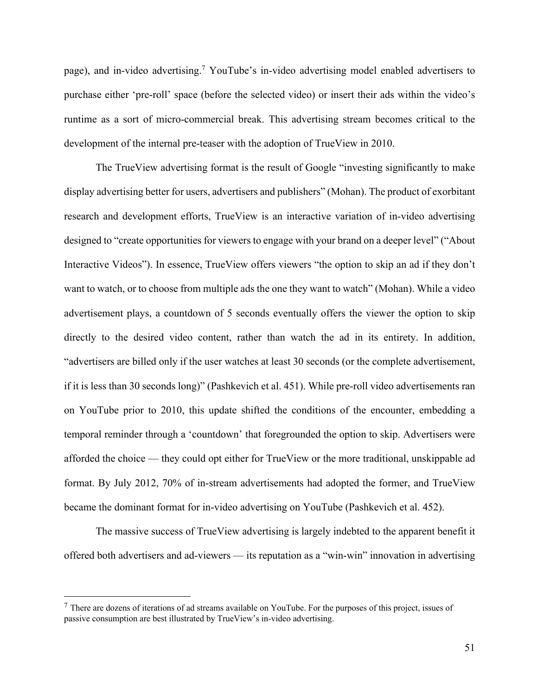page), and in-video advertising.<sup>7</sup> YouTube's in-video advertising model enabled advertisers to purchase either 'pre-roll' space (before the selected video) or insert their ads within the video's runtime as a sort of micro-commercial break. This advertising stream becomes critical to the development of the internal pre-teaser with the adoption of TrueView in 2010.

The TrueView advertising format is the result of Google "investing significantly to make display advertising better for users, advertisers and publishers" (Mohan). The product of exorbitant research and development efforts, TrueView is an interactive variation of in-video advertising designed to "create opportunities for viewers to engage with your brand on a deeper level" ("About Interactive Videos"). In essence, TrueView offers viewers "the option to skip an ad if they don't want to watch, or to choose from multiple ads the one they want to watch" (Mohan). While a video advertisement plays, a countdown of 5 seconds eventually offers the viewer the option to skip directly to the desired video content, rather than watch the ad in its entirety. In addition, "advertisers are billed only if the user watches at least 30 seconds (or the complete advertisement, if it is less than 30 seconds long)" (Pashkevich et al. 451). While pre-roll video advertisements ran on YouTube prior to 2010, this update shifted the conditions of the encounter, embedding a temporal reminder through a 'countdown' that foregrounded the option to skip. Advertisers were afforded the choice — they could opt either for TrueView or the more traditional, unskippable ad format. By July 2012, 70% of in-stream advertisements had adopted the former, and TrueView became the dominant format for in-video advertising on YouTube (Pashkevich et al. 452).

The massive success of TrueView advertising is largely indebted to the apparent benefit it offered both advertisers and ad-viewers — its reputation as a "win-win" innovation in advertising

 $<sup>7</sup>$  There are dozens of iterations of ad streams available on YouTube. For the purposes of this project, issues of</sup> passive consumption are best illustrated by TrueView's in-video advertising.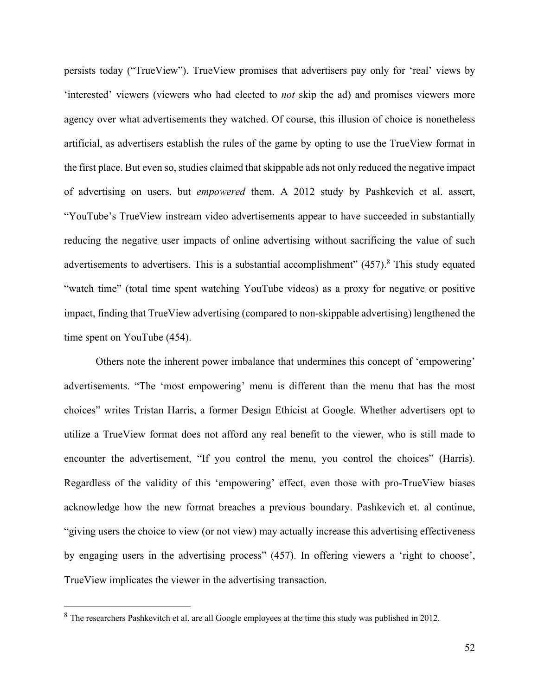persists today ("TrueView"). TrueView promises that advertisers pay only for 'real' views by 'interested' viewers (viewers who had elected to *not* skip the ad) and promises viewers more agency over what advertisements they watched. Of course, this illusion of choice is nonetheless artificial, as advertisers establish the rules of the game by opting to use the TrueView format in the first place. But even so, studies claimed that skippable ads not only reduced the negative impact of advertising on users, but *empowered* them. A 2012 study by Pashkevich et al. assert, "YouTube's TrueView instream video advertisements appear to have succeeded in substantially reducing the negative user impacts of online advertising without sacrificing the value of such advertisements to advertisers. This is a substantial accomplishment" (457).<sup>8</sup> This study equated "watch time" (total time spent watching YouTube videos) as a proxy for negative or positive impact, finding that TrueView advertising (compared to non-skippable advertising) lengthened the time spent on YouTube (454).

Others note the inherent power imbalance that undermines this concept of 'empowering' advertisements. "The 'most empowering' menu is different than the menu that has the most choices" writes Tristan Harris, a former Design Ethicist at Google*.* Whether advertisers opt to utilize a TrueView format does not afford any real benefit to the viewer, who is still made to encounter the advertisement, "If you control the menu, you control the choices" (Harris). Regardless of the validity of this 'empowering' effect, even those with pro-TrueView biases acknowledge how the new format breaches a previous boundary. Pashkevich et. al continue, "giving users the choice to view (or not view) may actually increase this advertising effectiveness by engaging users in the advertising process" (457). In offering viewers a 'right to choose', TrueView implicates the viewer in the advertising transaction.

<sup>8</sup> The researchers Pashkevitch et al. are all Google employees at the time this study was published in 2012.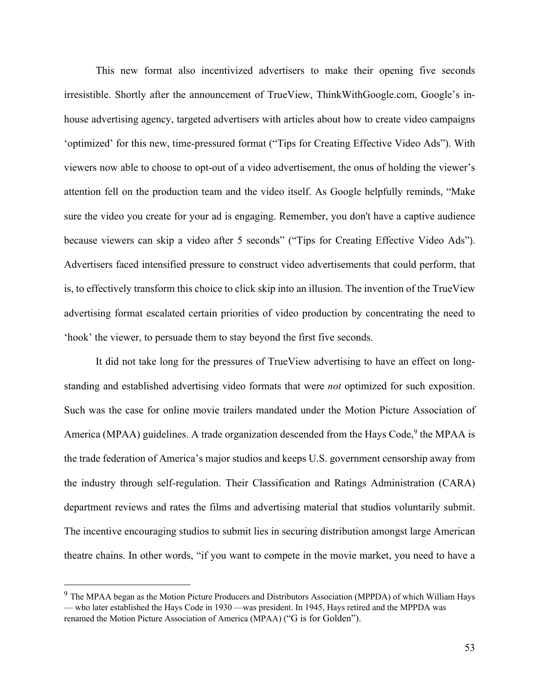This new format also incentivized advertisers to make their opening five seconds irresistible. Shortly after the announcement of TrueView, ThinkWithGoogle.com, Google's inhouse advertising agency, targeted advertisers with articles about how to create video campaigns 'optimized' for this new, time-pressured format ("Tips for Creating Effective Video Ads"). With viewers now able to choose to opt-out of a video advertisement, the onus of holding the viewer's attention fell on the production team and the video itself. As Google helpfully reminds, "Make sure the video you create for your ad is engaging. Remember, you don't have a captive audience because viewers can skip a video after 5 seconds" ("Tips for Creating Effective Video Ads"). Advertisers faced intensified pressure to construct video advertisements that could perform, that is, to effectively transform this choice to click skip into an illusion. The invention of the TrueView advertising format escalated certain priorities of video production by concentrating the need to 'hook' the viewer, to persuade them to stay beyond the first five seconds.

It did not take long for the pressures of TrueView advertising to have an effect on longstanding and established advertising video formats that were *not* optimized for such exposition. Such was the case for online movie trailers mandated under the Motion Picture Association of America (MPAA) guidelines. A trade organization descended from the Hays Code,<sup>9</sup> the MPAA is the trade federation of America's major studios and keeps U.S. government censorship away from the industry through self-regulation. Their Classification and Ratings Administration (CARA) department reviews and rates the films and advertising material that studios voluntarily submit. The incentive encouraging studios to submit lies in securing distribution amongst large American theatre chains. In other words, "if you want to compete in the movie market, you need to have a

<sup>&</sup>lt;sup>9</sup> The MPAA began as the Motion Picture Producers and Distributors Association (MPPDA) of which William Hays — who later established the Hays Code in 1930 —was president. In 1945, Hays retired and the MPPDA was renamed the Motion Picture Association of America (MPAA) ("G is for Golden").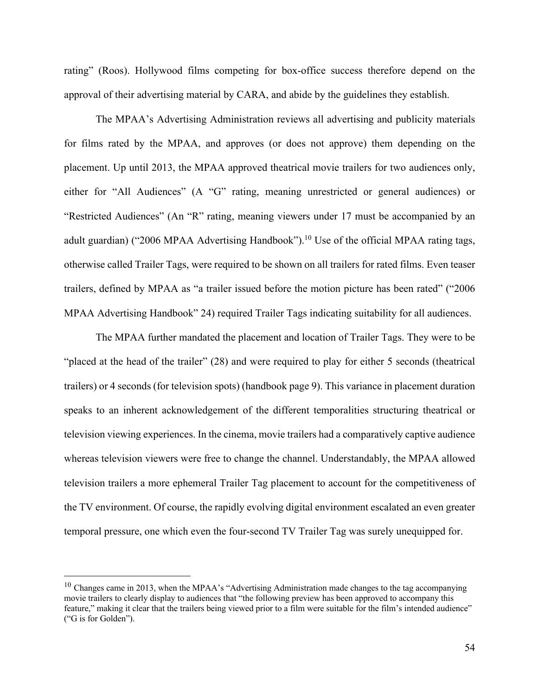rating" (Roos). Hollywood films competing for box-office success therefore depend on the approval of their advertising material by CARA, and abide by the guidelines they establish.

The MPAA's Advertising Administration reviews all advertising and publicity materials for films rated by the MPAA, and approves (or does not approve) them depending on the placement. Up until 2013, the MPAA approved theatrical movie trailers for two audiences only, either for "All Audiences" (A "G" rating, meaning unrestricted or general audiences) or "Restricted Audiences" (An "R" rating, meaning viewers under 17 must be accompanied by an adult guardian) ("2006 MPAA Advertising Handbook").<sup>10</sup> Use of the official MPAA rating tags, otherwise called Trailer Tags, were required to be shown on all trailers for rated films. Even teaser trailers, defined by MPAA as "a trailer issued before the motion picture has been rated" ("2006 MPAA Advertising Handbook" 24) required Trailer Tags indicating suitability for all audiences.

The MPAA further mandated the placement and location of Trailer Tags. They were to be "placed at the head of the trailer" (28) and were required to play for either 5 seconds (theatrical trailers) or 4 seconds (for television spots) (handbook page 9). This variance in placement duration speaks to an inherent acknowledgement of the different temporalities structuring theatrical or television viewing experiences. In the cinema, movie trailers had a comparatively captive audience whereas television viewers were free to change the channel. Understandably, the MPAA allowed television trailers a more ephemeral Trailer Tag placement to account for the competitiveness of the TV environment. Of course, the rapidly evolving digital environment escalated an even greater temporal pressure, one which even the four-second TV Trailer Tag was surely unequipped for.

 $10$  Changes came in 2013, when the MPAA's "Advertising Administration made changes to the tag accompanying movie trailers to clearly display to audiences that "the following preview has been approved to accompany this feature," making it clear that the trailers being viewed prior to a film were suitable for the film's intended audience" ("G is for Golden").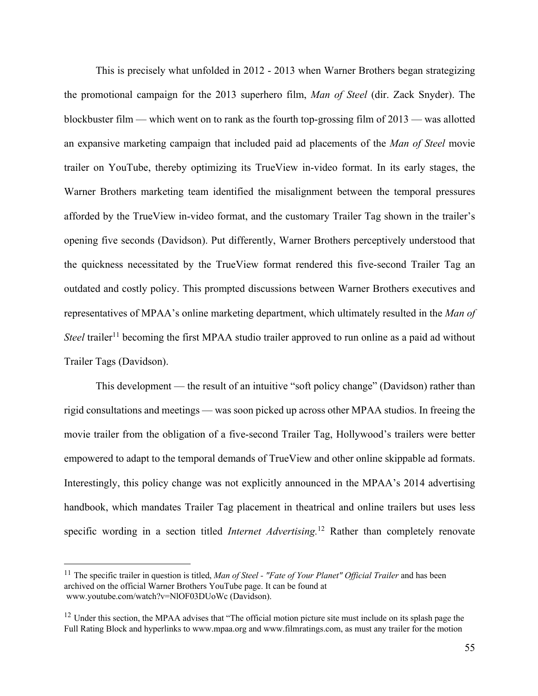This is precisely what unfolded in 2012 - 2013 when Warner Brothers began strategizing the promotional campaign for the 2013 superhero film, *Man of Steel* (dir. Zack Snyder). The blockbuster film — which went on to rank as the fourth top-grossing film of 2013 — was allotted an expansive marketing campaign that included paid ad placements of the *Man of Steel* movie trailer on YouTube, thereby optimizing its TrueView in-video format. In its early stages, the Warner Brothers marketing team identified the misalignment between the temporal pressures afforded by the TrueView in-video format, and the customary Trailer Tag shown in the trailer's opening five seconds (Davidson). Put differently, Warner Brothers perceptively understood that the quickness necessitated by the TrueView format rendered this five-second Trailer Tag an outdated and costly policy. This prompted discussions between Warner Brothers executives and representatives of MPAA's online marketing department, which ultimately resulted in the *Man of Steel* trailer<sup>11</sup> becoming the first MPAA studio trailer approved to run online as a paid ad without Trailer Tags (Davidson).

This development — the result of an intuitive "soft policy change" (Davidson) rather than rigid consultations and meetings — was soon picked up across other MPAA studios. In freeing the movie trailer from the obligation of a five-second Trailer Tag, Hollywood's trailers were better empowered to adapt to the temporal demands of TrueView and other online skippable ad formats. Interestingly, this policy change was not explicitly announced in the MPAA's 2014 advertising handbook, which mandates Trailer Tag placement in theatrical and online trailers but uses less specific wording in a section titled *Internet Advertising.* <sup>12</sup> Rather than completely renovate

<sup>11</sup> The specific trailer in question is titled, *Man of Steel - "Fate of Your Planet" Official Trailer* and has been archived on the official Warner Brothers YouTube page. It can be found at www.youtube.com/watch?v=NlOF03DUoWc (Davidson).

 $12$  Under this section, the MPAA advises that "The official motion picture site must include on its splash page the Full Rating Block and hyperlinks to www.mpaa.org and www.filmratings.com, as must any trailer for the motion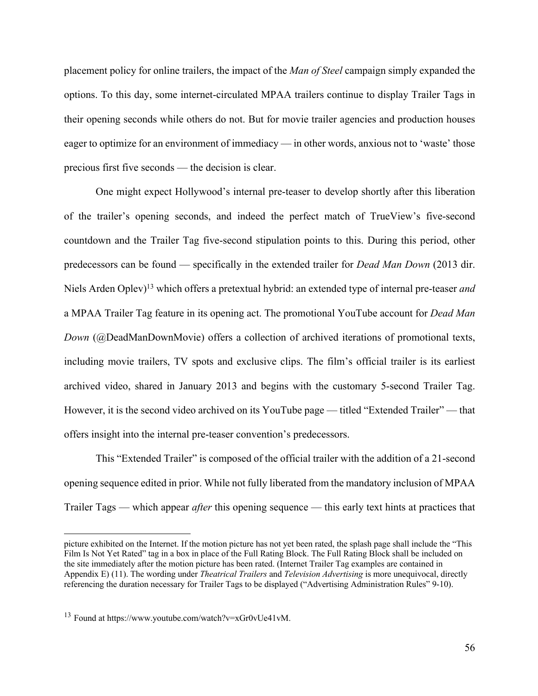placement policy for online trailers, the impact of the *Man of Steel* campaign simply expanded the options. To this day, some internet-circulated MPAA trailers continue to display Trailer Tags in their opening seconds while others do not. But for movie trailer agencies and production houses eager to optimize for an environment of immediacy — in other words, anxious not to 'waste' those precious first five seconds — the decision is clear.

One might expect Hollywood's internal pre-teaser to develop shortly after this liberation of the trailer's opening seconds, and indeed the perfect match of TrueView's five-second countdown and the Trailer Tag five-second stipulation points to this. During this period, other predecessors can be found — specifically in the extended trailer for *Dead Man Down* (2013 dir. Niels Arden Oplev)13 which offers a pretextual hybrid: an extended type of internal pre-teaser *and* a MPAA Trailer Tag feature in its opening act. The promotional YouTube account for *Dead Man Down* (@DeadManDownMovie) offers a collection of archived iterations of promotional texts, including movie trailers, TV spots and exclusive clips. The film's official trailer is its earliest archived video, shared in January 2013 and begins with the customary 5-second Trailer Tag. However, it is the second video archived on its YouTube page — titled "Extended Trailer" — that offers insight into the internal pre-teaser convention's predecessors.

This "Extended Trailer" is composed of the official trailer with the addition of a 21-second opening sequence edited in prior. While not fully liberated from the mandatory inclusion of MPAA Trailer Tags — which appear *after* this opening sequence — this early text hints at practices that

picture exhibited on the Internet. If the motion picture has not yet been rated, the splash page shall include the "This Film Is Not Yet Rated" tag in a box in place of the Full Rating Block. The Full Rating Block shall be included on the site immediately after the motion picture has been rated. (Internet Trailer Tag examples are contained in Appendix E) (11). The wording under *Theatrical Trailers* and *Television Advertising* is more unequivocal, directly referencing the duration necessary for Trailer Tags to be displayed ("Advertising Administration Rules" 9-10).

<sup>13</sup> Found at https://www.youtube.com/watch?v=xGr0vUe41vM.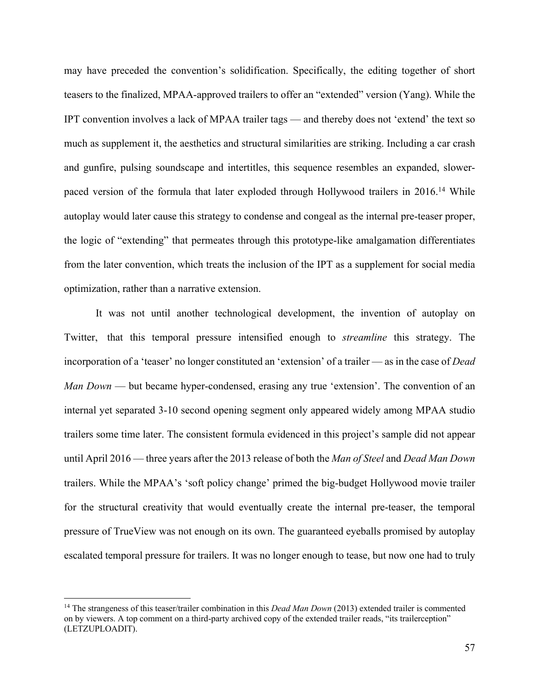may have preceded the convention's solidification. Specifically, the editing together of short teasers to the finalized, MPAA-approved trailers to offer an "extended" version (Yang). While the IPT convention involves a lack of MPAA trailer tags — and thereby does not 'extend' the text so much as supplement it, the aesthetics and structural similarities are striking. Including a car crash and gunfire, pulsing soundscape and intertitles, this sequence resembles an expanded, slowerpaced version of the formula that later exploded through Hollywood trailers in 2016.<sup>14</sup> While autoplay would later cause this strategy to condense and congeal as the internal pre-teaser proper, the logic of "extending" that permeates through this prototype-like amalgamation differentiates from the later convention, which treats the inclusion of the IPT as a supplement for social media optimization, rather than a narrative extension.

It was not until another technological development, the invention of autoplay on Twitter, that this temporal pressure intensified enough to *streamline* this strategy. The incorporation of a 'teaser' no longer constituted an 'extension' of a trailer — as in the case of *Dead Man Down* — but became hyper-condensed, erasing any true 'extension'. The convention of an internal yet separated 3-10 second opening segment only appeared widely among MPAA studio trailers some time later. The consistent formula evidenced in this project's sample did not appear until April 2016 — three years after the 2013 release of both the *Man of Steel* and *Dead Man Down* trailers. While the MPAA's 'soft policy change' primed the big-budget Hollywood movie trailer for the structural creativity that would eventually create the internal pre-teaser, the temporal pressure of TrueView was not enough on its own. The guaranteed eyeballs promised by autoplay escalated temporal pressure for trailers. It was no longer enough to tease, but now one had to truly

<sup>14</sup> The strangeness of this teaser/trailer combination in this *Dead Man Down* (2013) extended trailer is commented on by viewers. A top comment on a third-party archived copy of the extended trailer reads, "its trailerception" (LETZUPLOADIT).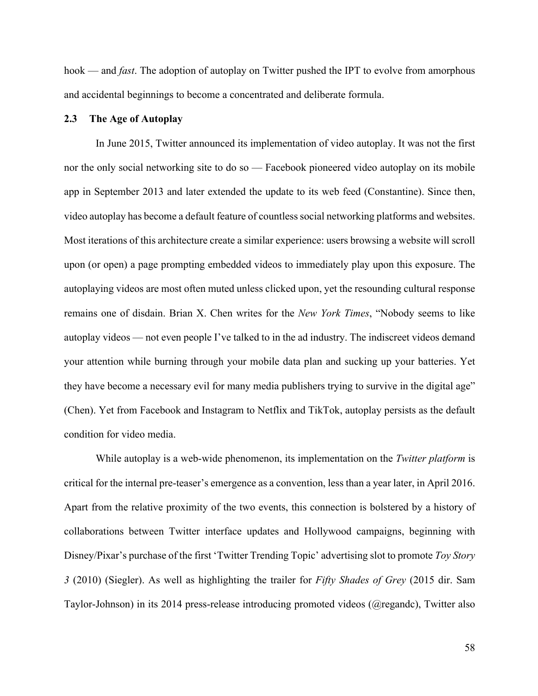hook — and *fast*. The adoption of autoplay on Twitter pushed the IPT to evolve from amorphous and accidental beginnings to become a concentrated and deliberate formula.

### **2.3 The Age of Autoplay**

In June 2015, Twitter announced its implementation of video autoplay. It was not the first nor the only social networking site to do so — Facebook pioneered video autoplay on its mobile app in September 2013 and later extended the update to its web feed (Constantine). Since then, video autoplay has become a default feature of countless social networking platforms and websites. Most iterations of this architecture create a similar experience: users browsing a website will scroll upon (or open) a page prompting embedded videos to immediately play upon this exposure. The autoplaying videos are most often muted unless clicked upon, yet the resounding cultural response remains one of disdain. Brian X. Chen writes for the *New York Times*, "Nobody seems to like autoplay videos — not even people I've talked to in the ad industry. The indiscreet videos demand your attention while burning through your mobile data plan and sucking up your batteries. Yet they have become a necessary evil for many media publishers trying to survive in the digital age" (Chen). Yet from Facebook and Instagram to Netflix and TikTok, autoplay persists as the default condition for video media.

While autoplay is a web-wide phenomenon, its implementation on the *Twitter platform* is critical for the internal pre-teaser's emergence as a convention, less than a year later, in April 2016. Apart from the relative proximity of the two events, this connection is bolstered by a history of collaborations between Twitter interface updates and Hollywood campaigns, beginning with Disney/Pixar's purchase of the first 'Twitter Trending Topic' advertising slot to promote *Toy Story 3* (2010) (Siegler). As well as highlighting the trailer for *Fifty Shades of Grey* (2015 dir. Sam Taylor-Johnson) in its 2014 press-release introducing promoted videos (@regandc), Twitter also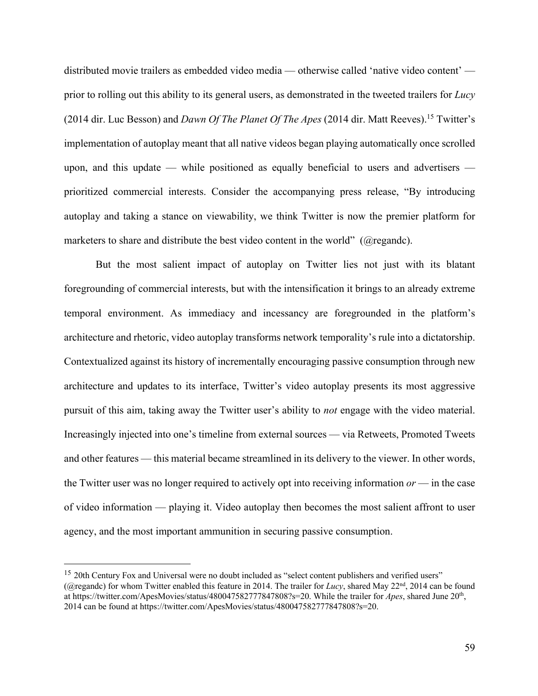distributed movie trailers as embedded video media — otherwise called 'native video content' prior to rolling out this ability to its general users, as demonstrated in the tweeted trailers for *Lucy*  (2014 dir. Luc Besson) and *Dawn Of The Planet Of The Apes* (2014 dir. Matt Reeves). <sup>15</sup> Twitter's implementation of autoplay meant that all native videos began playing automatically once scrolled upon, and this update — while positioned as equally beneficial to users and advertisers prioritized commercial interests. Consider the accompanying press release, "By introducing autoplay and taking a stance on viewability, we think Twitter is now the premier platform for marketers to share and distribute the best video content in the world" (@regandc).

But the most salient impact of autoplay on Twitter lies not just with its blatant foregrounding of commercial interests, but with the intensification it brings to an already extreme temporal environment. As immediacy and incessancy are foregrounded in the platform's architecture and rhetoric, video autoplay transforms network temporality's rule into a dictatorship. Contextualized against its history of incrementally encouraging passive consumption through new architecture and updates to its interface, Twitter's video autoplay presents its most aggressive pursuit of this aim, taking away the Twitter user's ability to *not* engage with the video material. Increasingly injected into one's timeline from external sources — via Retweets, Promoted Tweets and other features — this material became streamlined in its delivery to the viewer. In other words, the Twitter user was no longer required to actively opt into receiving information *or* — in the case of video information — playing it. Video autoplay then becomes the most salient affront to user agency, and the most important ammunition in securing passive consumption.

<sup>&</sup>lt;sup>15</sup> 20th Century Fox and Universal were no doubt included as "select content publishers and verified users" (@regandc) for whom Twitter enabled this feature in 2014. The trailer for *Lucy*, shared May 22nd, 2014 can be found at https://twitter.com/ApesMovies/status/480047582777847808?s=20. While the trailer for *Apes*, shared June 20th, 2014 can be found at https://twitter.com/ApesMovies/status/480047582777847808?s=20.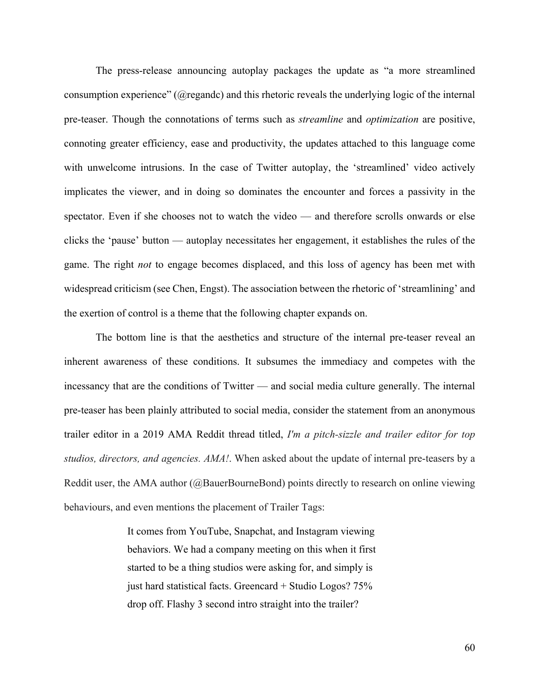The press-release announcing autoplay packages the update as "a more streamlined consumption experience" (@regandc) and this rhetoric reveals the underlying logic of the internal pre-teaser. Though the connotations of terms such as *streamline* and *optimization* are positive, connoting greater efficiency, ease and productivity, the updates attached to this language come with unwelcome intrusions. In the case of Twitter autoplay, the 'streamlined' video actively implicates the viewer, and in doing so dominates the encounter and forces a passivity in the spectator. Even if she chooses not to watch the video — and therefore scrolls onwards or else clicks the 'pause' button — autoplay necessitates her engagement, it establishes the rules of the game. The right *not* to engage becomes displaced, and this loss of agency has been met with widespread criticism (see Chen, Engst). The association between the rhetoric of 'streamlining' and the exertion of control is a theme that the following chapter expands on.

The bottom line is that the aesthetics and structure of the internal pre-teaser reveal an inherent awareness of these conditions. It subsumes the immediacy and competes with the incessancy that are the conditions of Twitter — and social media culture generally. The internal pre-teaser has been plainly attributed to social media, consider the statement from an anonymous trailer editor in a 2019 AMA Reddit thread titled, *I'm a pitch-sizzle and trailer editor for top studios, directors, and agencies. AMA!*. When asked about the update of internal pre-teasers by a Reddit user, the AMA author (@BauerBourneBond) points directly to research on online viewing behaviours, and even mentions the placement of Trailer Tags:

> It comes from YouTube, Snapchat, and Instagram viewing behaviors. We had a company meeting on this when it first started to be a thing studios were asking for, and simply is just hard statistical facts. Greencard + Studio Logos? 75% drop off. Flashy 3 second intro straight into the trailer?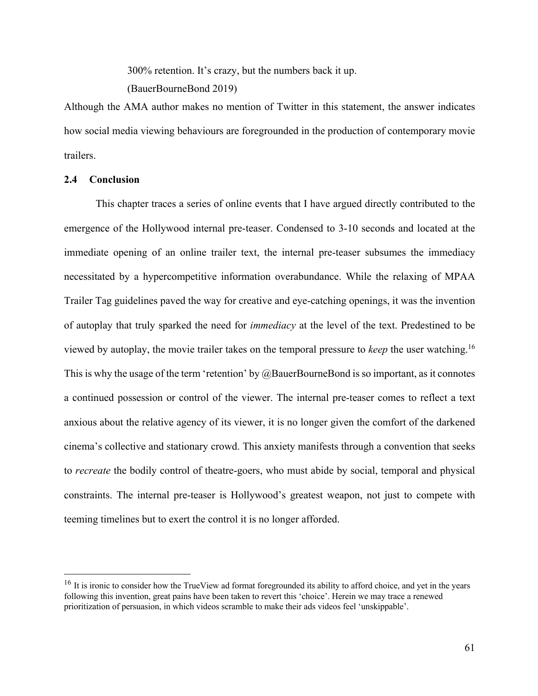300% retention. It's crazy, but the numbers back it up.

(BauerBourneBond 2019)

Although the AMA author makes no mention of Twitter in this statement, the answer indicates how social media viewing behaviours are foregrounded in the production of contemporary movie trailers.

# **2.4 Conclusion**

This chapter traces a series of online events that I have argued directly contributed to the emergence of the Hollywood internal pre-teaser. Condensed to 3-10 seconds and located at the immediate opening of an online trailer text, the internal pre-teaser subsumes the immediacy necessitated by a hypercompetitive information overabundance. While the relaxing of MPAA Trailer Tag guidelines paved the way for creative and eye-catching openings, it was the invention of autoplay that truly sparked the need for *immediacy* at the level of the text. Predestined to be viewed by autoplay, the movie trailer takes on the temporal pressure to *keep* the user watching. 16 This is why the usage of the term 'retention' by  $@$ BauerBourneBond is so important, as it connotes a continued possession or control of the viewer. The internal pre-teaser comes to reflect a text anxious about the relative agency of its viewer, it is no longer given the comfort of the darkened cinema's collective and stationary crowd. This anxiety manifests through a convention that seeks to *recreate* the bodily control of theatre-goers, who must abide by social, temporal and physical constraints. The internal pre-teaser is Hollywood's greatest weapon, not just to compete with teeming timelines but to exert the control it is no longer afforded.

<sup>&</sup>lt;sup>16</sup> It is ironic to consider how the TrueView ad format foregrounded its ability to afford choice, and yet in the years following this invention, great pains have been taken to revert this 'choice'. Herein we may trace a renewed prioritization of persuasion, in which videos scramble to make their ads videos feel 'unskippable'.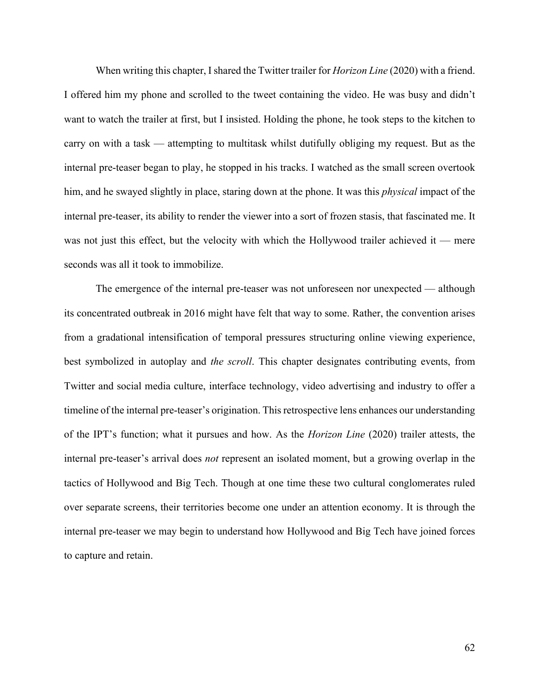When writing this chapter, Ishared the Twitter trailer for *Horizon Line* (2020) with a friend. I offered him my phone and scrolled to the tweet containing the video. He was busy and didn't want to watch the trailer at first, but I insisted. Holding the phone, he took steps to the kitchen to carry on with a task — attempting to multitask whilst dutifully obliging my request. But as the internal pre-teaser began to play, he stopped in his tracks. I watched as the small screen overtook him, and he swayed slightly in place, staring down at the phone. It was this *physical* impact of the internal pre-teaser, its ability to render the viewer into a sort of frozen stasis, that fascinated me. It was not just this effect, but the velocity with which the Hollywood trailer achieved it — mere seconds was all it took to immobilize.

The emergence of the internal pre-teaser was not unforeseen nor unexpected — although its concentrated outbreak in 2016 might have felt that way to some. Rather, the convention arises from a gradational intensification of temporal pressures structuring online viewing experience, best symbolized in autoplay and *the scroll*. This chapter designates contributing events, from Twitter and social media culture, interface technology, video advertising and industry to offer a timeline of the internal pre-teaser's origination. This retrospective lens enhances our understanding of the IPT's function; what it pursues and how. As the *Horizon Line* (2020) trailer attests, the internal pre-teaser's arrival does *not* represent an isolated moment, but a growing overlap in the tactics of Hollywood and Big Tech. Though at one time these two cultural conglomerates ruled over separate screens, their territories become one under an attention economy. It is through the internal pre-teaser we may begin to understand how Hollywood and Big Tech have joined forces to capture and retain.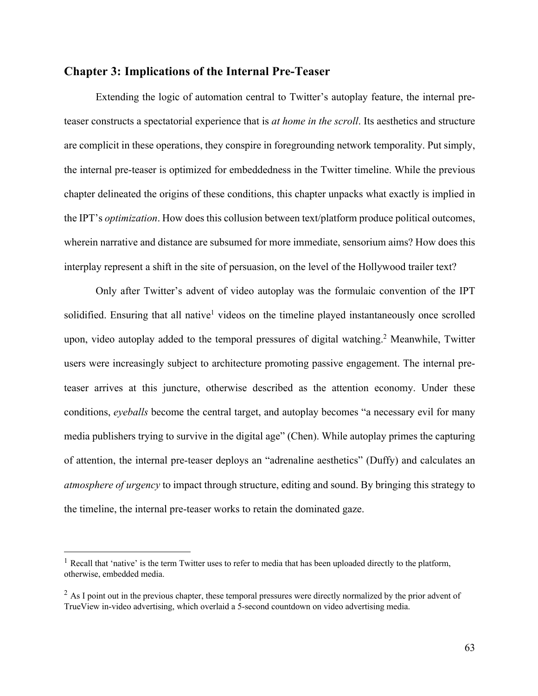# **Chapter 3: Implications of the Internal Pre-Teaser**

Extending the logic of automation central to Twitter's autoplay feature, the internal preteaser constructs a spectatorial experience that is *at home in the scroll*. Its aesthetics and structure are complicit in these operations, they conspire in foregrounding network temporality. Put simply, the internal pre-teaser is optimized for embeddedness in the Twitter timeline. While the previous chapter delineated the origins of these conditions, this chapter unpacks what exactly is implied in the IPT's *optimization*. How does this collusion between text/platform produce political outcomes, wherein narrative and distance are subsumed for more immediate, sensorium aims? How does this interplay represent a shift in the site of persuasion, on the level of the Hollywood trailer text?

Only after Twitter's advent of video autoplay was the formulaic convention of the IPT solidified. Ensuring that all native<sup>1</sup> videos on the timeline played instantaneously once scrolled upon, video autoplay added to the temporal pressures of digital watching. <sup>2</sup> Meanwhile, Twitter users were increasingly subject to architecture promoting passive engagement. The internal preteaser arrives at this juncture, otherwise described as the attention economy. Under these conditions, *eyeballs* become the central target, and autoplay becomes "a necessary evil for many media publishers trying to survive in the digital age" (Chen). While autoplay primes the capturing of attention, the internal pre-teaser deploys an "adrenaline aesthetics" (Duffy) and calculates an *atmosphere of urgency* to impact through structure, editing and sound. By bringing this strategy to the timeline, the internal pre-teaser works to retain the dominated gaze.

 $<sup>1</sup>$  Recall that 'native' is the term Twitter uses to refer to media that has been uploaded directly to the platform,</sup> otherwise, embedded media.

 $^{2}$  As I point out in the previous chapter, these temporal pressures were directly normalized by the prior advent of TrueView in-video advertising, which overlaid a 5-second countdown on video advertising media.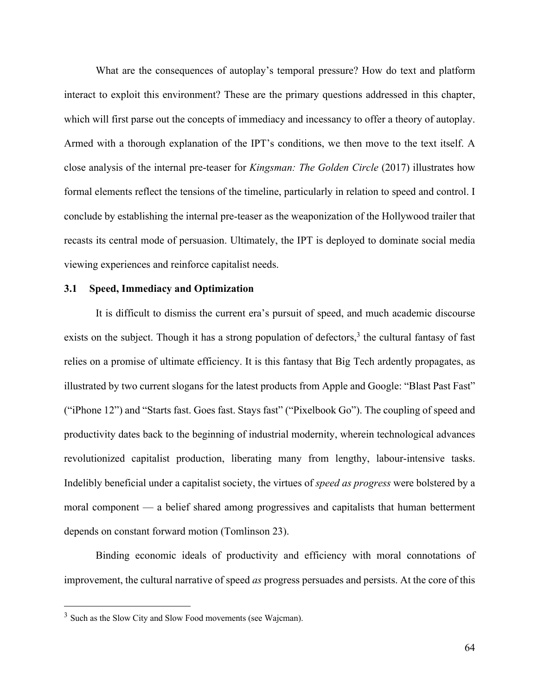What are the consequences of autoplay's temporal pressure? How do text and platform interact to exploit this environment? These are the primary questions addressed in this chapter, which will first parse out the concepts of immediacy and incessancy to offer a theory of autoplay. Armed with a thorough explanation of the IPT's conditions, we then move to the text itself. A close analysis of the internal pre-teaser for *Kingsman: The Golden Circle* (2017) illustrates how formal elements reflect the tensions of the timeline, particularly in relation to speed and control. I conclude by establishing the internal pre-teaser as the weaponization of the Hollywood trailer that recasts its central mode of persuasion. Ultimately, the IPT is deployed to dominate social media viewing experiences and reinforce capitalist needs.

### **3.1 Speed, Immediacy and Optimization**

It is difficult to dismiss the current era's pursuit of speed, and much academic discourse exists on the subject. Though it has a strong population of defectors,<sup>3</sup> the cultural fantasy of fast relies on a promise of ultimate efficiency. It is this fantasy that Big Tech ardently propagates, as illustrated by two current slogans for the latest products from Apple and Google: "Blast Past Fast" ("iPhone 12") and "Starts fast. Goes fast. Stays fast" ("Pixelbook Go"). The coupling of speed and productivity dates back to the beginning of industrial modernity, wherein technological advances revolutionized capitalist production, liberating many from lengthy, labour-intensive tasks. Indelibly beneficial under a capitalist society, the virtues of *speed as progress* were bolstered by a moral component — a belief shared among progressives and capitalists that human betterment depends on constant forward motion (Tomlinson 23).

Binding economic ideals of productivity and efficiency with moral connotations of improvement, the cultural narrative of speed *as* progress persuades and persists. At the core of this

<sup>&</sup>lt;sup>3</sup> Such as the Slow City and Slow Food movements (see Wajcman).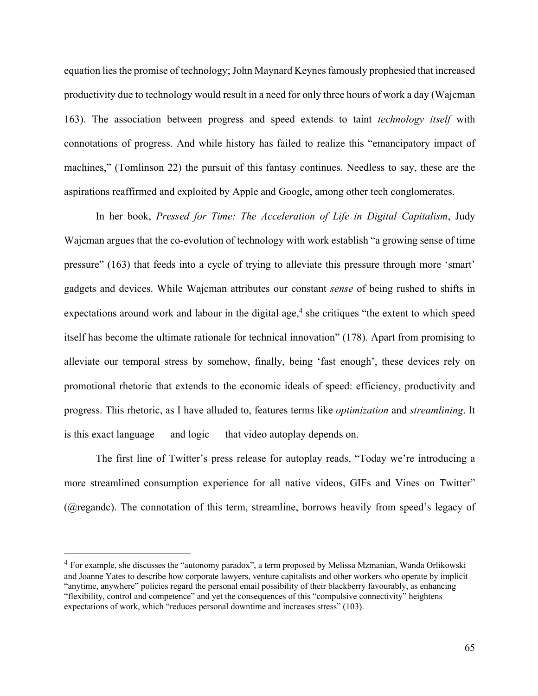equation lies the promise of technology; John Maynard Keynes famously prophesied that increased productivity due to technology would result in a need for only three hours of work a day (Wajcman 163). The association between progress and speed extends to taint *technology itself* with connotations of progress. And while history has failed to realize this "emancipatory impact of machines," (Tomlinson 22) the pursuit of this fantasy continues. Needless to say, these are the aspirations reaffirmed and exploited by Apple and Google, among other tech conglomerates.

In her book, *Pressed for Time: The Acceleration of Life in Digital Capitalism*, Judy Wajcman argues that the co-evolution of technology with work establish "a growing sense of time pressure" (163) that feeds into a cycle of trying to alleviate this pressure through more 'smart' gadgets and devices. While Wajcman attributes our constant *sense* of being rushed to shifts in expectations around work and labour in the digital age,<sup>4</sup> she critiques "the extent to which speed itself has become the ultimate rationale for technical innovation" (178). Apart from promising to alleviate our temporal stress by somehow, finally, being 'fast enough', these devices rely on promotional rhetoric that extends to the economic ideals of speed: efficiency, productivity and progress. This rhetoric, as I have alluded to, features terms like *optimization* and *streamlining*. It is this exact language — and logic — that video autoplay depends on.

The first line of Twitter's press release for autoplay reads, "Today we're introducing a more streamlined consumption experience for all native videos, GIFs and Vines on Twitter" (@regandc). The connotation of this term, streamline, borrows heavily from speed's legacy of

<sup>4</sup> For example, she discusses the "autonomy paradox", a term proposed by Melissa Mzmanian, Wanda Orlikowski and Joanne Yates to describe how corporate lawyers, venture capitalists and other workers who operate by implicit "anytime, anywhere" policies regard the personal email possibility of their blackberry favourably, as enhancing "flexibility, control and competence" and yet the consequences of this "compulsive connectivity" heightens expectations of work, which "reduces personal downtime and increases stress" (103).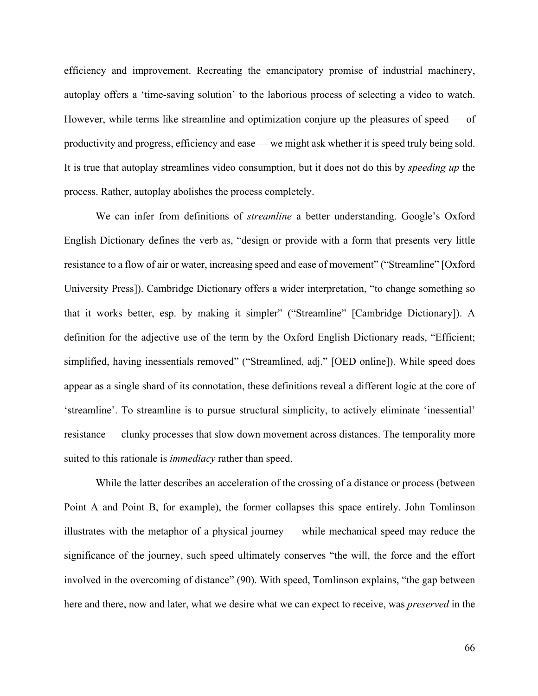efficiency and improvement. Recreating the emancipatory promise of industrial machinery, autoplay offers a 'time-saving solution' to the laborious process of selecting a video to watch. However, while terms like streamline and optimization conjure up the pleasures of speed — of productivity and progress, efficiency and ease — we might ask whether it is speed truly being sold. It is true that autoplay streamlines video consumption, but it does not do this by *speeding up* the process. Rather, autoplay abolishes the process completely.

We can infer from definitions of *streamline* a better understanding. Google's Oxford English Dictionary defines the verb as, "design or provide with a form that presents very little resistance to a flow of air or water, increasing speed and ease of movement" ("Streamline" [Oxford University Press]). Cambridge Dictionary offers a wider interpretation, "to change something so that it works better, esp. by making it simpler" ("Streamline" [Cambridge Dictionary]). A definition for the adjective use of the term by the Oxford English Dictionary reads, "Efficient; simplified, having inessentials removed" ("Streamlined, adj." [OED online]). While speed does appear as a single shard of its connotation, these definitions reveal a different logic at the core of 'streamline'. To streamline is to pursue structural simplicity, to actively eliminate 'inessential' resistance — clunky processes that slow down movement across distances. The temporality more suited to this rationale is *immediacy* rather than speed.

While the latter describes an acceleration of the crossing of a distance or process (between Point A and Point B, for example), the former collapses this space entirely. John Tomlinson illustrates with the metaphor of a physical journey — while mechanical speed may reduce the significance of the journey, such speed ultimately conserves "the will, the force and the effort involved in the overcoming of distance" (90). With speed, Tomlinson explains, "the gap between here and there, now and later, what we desire what we can expect to receive, was *preserved* in the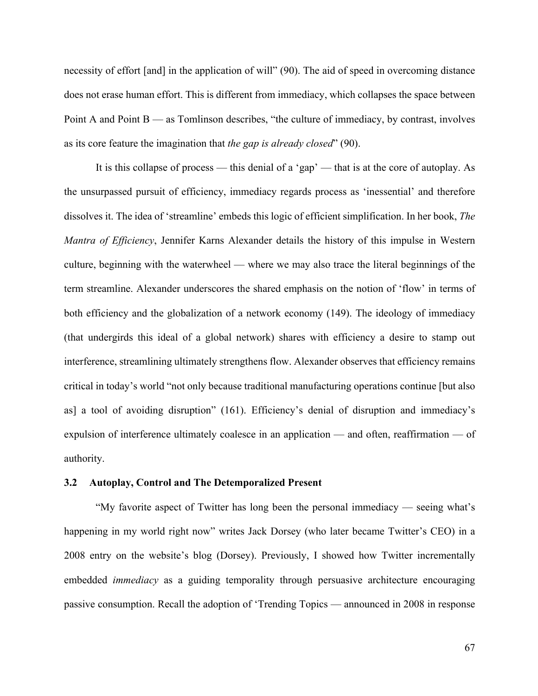necessity of effort [and] in the application of will" (90). The aid of speed in overcoming distance does not erase human effort. This is different from immediacy, which collapses the space between Point A and Point  $B$  — as Tomlinson describes, "the culture of immediacy, by contrast, involves as its core feature the imagination that *the gap is already closed*" (90).

It is this collapse of process — this denial of a 'gap' — that is at the core of autoplay. As the unsurpassed pursuit of efficiency, immediacy regards process as 'inessential' and therefore dissolves it. The idea of 'streamline' embeds this logic of efficient simplification. In her book, *The Mantra of Efficiency*, Jennifer Karns Alexander details the history of this impulse in Western culture, beginning with the waterwheel — where we may also trace the literal beginnings of the term streamline. Alexander underscores the shared emphasis on the notion of 'flow' in terms of both efficiency and the globalization of a network economy (149). The ideology of immediacy (that undergirds this ideal of a global network) shares with efficiency a desire to stamp out interference, streamlining ultimately strengthens flow. Alexander observes that efficiency remains critical in today's world "not only because traditional manufacturing operations continue [but also as] a tool of avoiding disruption" (161). Efficiency's denial of disruption and immediacy's expulsion of interference ultimately coalesce in an application — and often, reaffirmation — of authority.

### **3.2 Autoplay, Control and The Detemporalized Present**

"My favorite aspect of Twitter has long been the personal immediacy — seeing what's happening in my world right now" writes Jack Dorsey (who later became Twitter's CEO) in a 2008 entry on the website's blog (Dorsey). Previously, I showed how Twitter incrementally embedded *immediacy* as a guiding temporality through persuasive architecture encouraging passive consumption. Recall the adoption of 'Trending Topics — announced in 2008 in response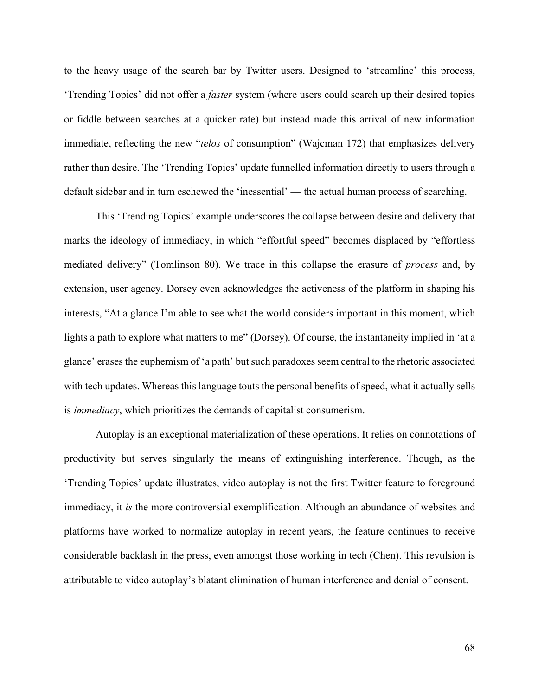to the heavy usage of the search bar by Twitter users. Designed to 'streamline' this process, 'Trending Topics' did not offer a *faster* system (where users could search up their desired topics or fiddle between searches at a quicker rate) but instead made this arrival of new information immediate, reflecting the new "*telos* of consumption" (Wajcman 172) that emphasizes delivery rather than desire. The 'Trending Topics' update funnelled information directly to users through a default sidebar and in turn eschewed the 'inessential' — the actual human process of searching.

This 'Trending Topics' example underscores the collapse between desire and delivery that marks the ideology of immediacy, in which "effortful speed" becomes displaced by "effortless mediated delivery" (Tomlinson 80). We trace in this collapse the erasure of *process* and, by extension, user agency. Dorsey even acknowledges the activeness of the platform in shaping his interests, "At a glance I'm able to see what the world considers important in this moment, which lights a path to explore what matters to me" (Dorsey). Of course, the instantaneity implied in 'at a glance' erases the euphemism of 'a path' but such paradoxes seem central to the rhetoric associated with tech updates. Whereas this language touts the personal benefits of speed, what it actually sells is *immediacy*, which prioritizes the demands of capitalist consumerism.

Autoplay is an exceptional materialization of these operations. It relies on connotations of productivity but serves singularly the means of extinguishing interference. Though, as the 'Trending Topics' update illustrates, video autoplay is not the first Twitter feature to foreground immediacy, it *is* the more controversial exemplification. Although an abundance of websites and platforms have worked to normalize autoplay in recent years, the feature continues to receive considerable backlash in the press, even amongst those working in tech (Chen). This revulsion is attributable to video autoplay's blatant elimination of human interference and denial of consent.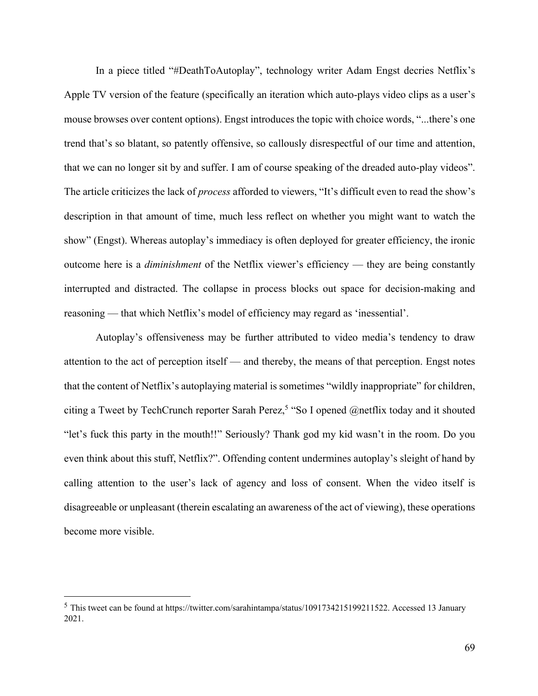In a piece titled "#DeathToAutoplay", technology writer Adam Engst decries Netflix's Apple TV version of the feature (specifically an iteration which auto-plays video clips as a user's mouse browses over content options). Engst introduces the topic with choice words, "...there's one trend that's so blatant, so patently offensive, so callously disrespectful of our time and attention, that we can no longer sit by and suffer. I am of course speaking of the dreaded auto-play videos". The article criticizes the lack of *process* afforded to viewers, "It's difficult even to read the show's description in that amount of time, much less reflect on whether you might want to watch the show" (Engst). Whereas autoplay's immediacy is often deployed for greater efficiency, the ironic outcome here is a *diminishment* of the Netflix viewer's efficiency — they are being constantly interrupted and distracted. The collapse in process blocks out space for decision-making and reasoning — that which Netflix's model of efficiency may regard as 'inessential'.

Autoplay's offensiveness may be further attributed to video media's tendency to draw attention to the act of perception itself — and thereby, the means of that perception. Engst notes that the content of Netflix's autoplaying material is sometimes "wildly inappropriate" for children, citing a Tweet by TechCrunch reporter Sarah Perez, <sup>5</sup> "So I opened @netflix today and it shouted "let's fuck this party in the mouth!!" Seriously? Thank god my kid wasn't in the room. Do you even think about this stuff, Netflix?". Offending content undermines autoplay's sleight of hand by calling attention to the user's lack of agency and loss of consent. When the video itself is disagreeable or unpleasant (therein escalating an awareness of the act of viewing), these operations become more visible.

<sup>5</sup> This tweet can be found at https://twitter.com/sarahintampa/status/1091734215199211522. Accessed 13 January 2021.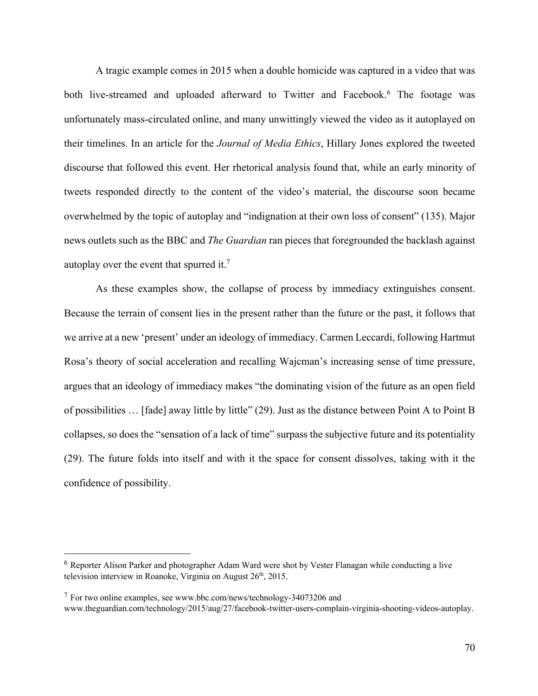A tragic example comes in 2015 when a double homicide was captured in a video that was both live-streamed and uploaded afterward to Twitter and Facebook. <sup>6</sup> The footage was unfortunately mass-circulated online, and many unwittingly viewed the video as it autoplayed on their timelines. In an article for the *Journal of Media Ethics*, Hillary Jones explored the tweeted discourse that followed this event. Her rhetorical analysis found that, while an early minority of tweets responded directly to the content of the video's material, the discourse soon became overwhelmed by the topic of autoplay and "indignation at their own loss of consent" (135). Major news outlets such as the BBC and *The Guardian* ran pieces that foregrounded the backlash against autoplay over the event that spurred it.<sup>7</sup>

As these examples show, the collapse of process by immediacy extinguishes consent. Because the terrain of consent lies in the present rather than the future or the past, it follows that we arrive at a new 'present' under an ideology of immediacy. Carmen Leccardi, following Hartmut Rosa's theory of social acceleration and recalling Wajcman's increasing sense of time pressure, argues that an ideology of immediacy makes "the dominating vision of the future as an open field of possibilities … [fade] away little by little" (29). Just as the distance between Point A to Point B collapses, so does the "sensation of a lack of time" surpass the subjective future and its potentiality (29). The future folds into itself and with it the space for consent dissolves, taking with it the confidence of possibility.

<sup>7</sup> For two online examples, see www.bbc.com/news/technology-34073206 and

<sup>6</sup> Reporter Alison Parker and photographer Adam Ward were shot by Vester Flanagan while conducting a live television interview in Roanoke, Virginia on August 26<sup>th</sup>, 2015.

www.theguardian.com/technology/2015/aug/27/facebook-twitter-users-complain-virginia-shooting-videos-autoplay.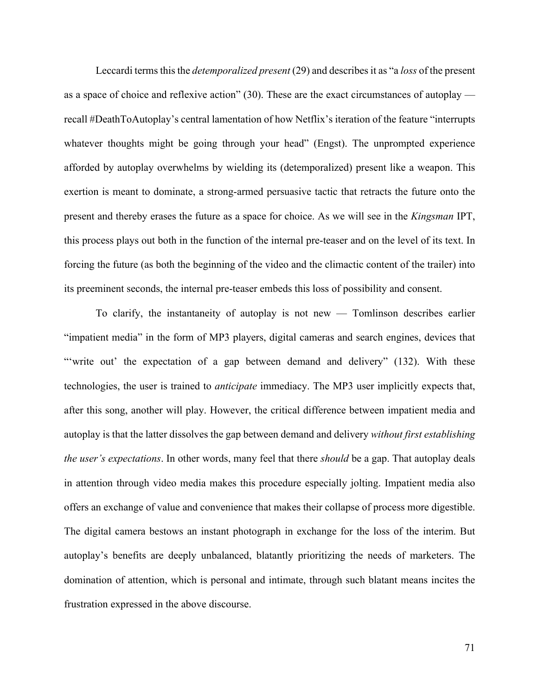Leccardi terms this the *detemporalized present* (29) and describes it as "a *loss* of the present as a space of choice and reflexive action"  $(30)$ . These are the exact circumstances of autoplay recall #DeathToAutoplay's central lamentation of how Netflix's iteration of the feature "interrupts whatever thoughts might be going through your head" (Engst). The unprompted experience afforded by autoplay overwhelms by wielding its (detemporalized) present like a weapon. This exertion is meant to dominate, a strong-armed persuasive tactic that retracts the future onto the present and thereby erases the future as a space for choice. As we will see in the *Kingsman* IPT, this process plays out both in the function of the internal pre-teaser and on the level of its text. In forcing the future (as both the beginning of the video and the climactic content of the trailer) into its preeminent seconds, the internal pre-teaser embeds this loss of possibility and consent.

To clarify, the instantaneity of autoplay is not new — Tomlinson describes earlier "impatient media" in the form of MP3 players, digital cameras and search engines, devices that "write out' the expectation of a gap between demand and delivery" (132). With these technologies, the user is trained to *anticipate* immediacy. The MP3 user implicitly expects that, after this song, another will play. However, the critical difference between impatient media and autoplay is that the latter dissolves the gap between demand and delivery *without first establishing the user's expectations*. In other words, many feel that there *should* be a gap. That autoplay deals in attention through video media makes this procedure especially jolting. Impatient media also offers an exchange of value and convenience that makes their collapse of process more digestible. The digital camera bestows an instant photograph in exchange for the loss of the interim. But autoplay's benefits are deeply unbalanced, blatantly prioritizing the needs of marketers. The domination of attention, which is personal and intimate, through such blatant means incites the frustration expressed in the above discourse.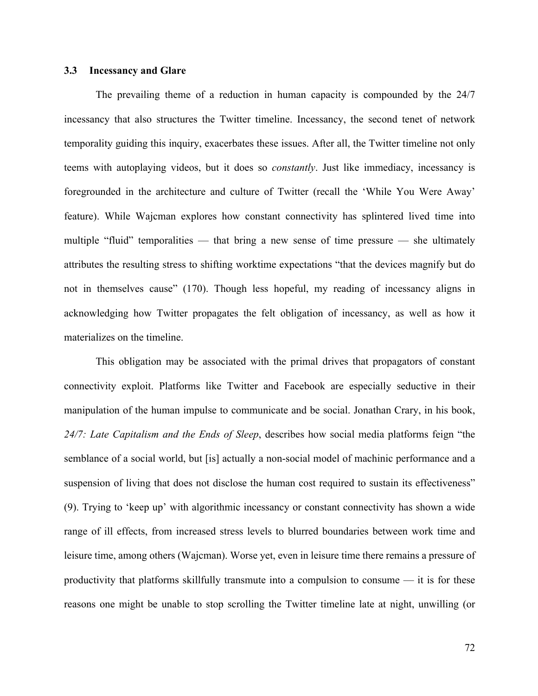### **3.3 Incessancy and Glare**

The prevailing theme of a reduction in human capacity is compounded by the 24/7 incessancy that also structures the Twitter timeline. Incessancy, the second tenet of network temporality guiding this inquiry, exacerbates these issues. After all, the Twitter timeline not only teems with autoplaying videos, but it does so *constantly*. Just like immediacy, incessancy is foregrounded in the architecture and culture of Twitter (recall the 'While You Were Away' feature). While Wajcman explores how constant connectivity has splintered lived time into multiple "fluid" temporalities — that bring a new sense of time pressure — she ultimately attributes the resulting stress to shifting worktime expectations "that the devices magnify but do not in themselves cause" (170). Though less hopeful, my reading of incessancy aligns in acknowledging how Twitter propagates the felt obligation of incessancy, as well as how it materializes on the timeline.

This obligation may be associated with the primal drives that propagators of constant connectivity exploit. Platforms like Twitter and Facebook are especially seductive in their manipulation of the human impulse to communicate and be social. Jonathan Crary, in his book, *24/7: Late Capitalism and the Ends of Sleep*, describes how social media platforms feign "the semblance of a social world, but [is] actually a non-social model of machinic performance and a suspension of living that does not disclose the human cost required to sustain its effectiveness" (9). Trying to 'keep up' with algorithmic incessancy or constant connectivity has shown a wide range of ill effects, from increased stress levels to blurred boundaries between work time and leisure time, among others (Wajcman). Worse yet, even in leisure time there remains a pressure of productivity that platforms skillfully transmute into a compulsion to consume — it is for these reasons one might be unable to stop scrolling the Twitter timeline late at night, unwilling (or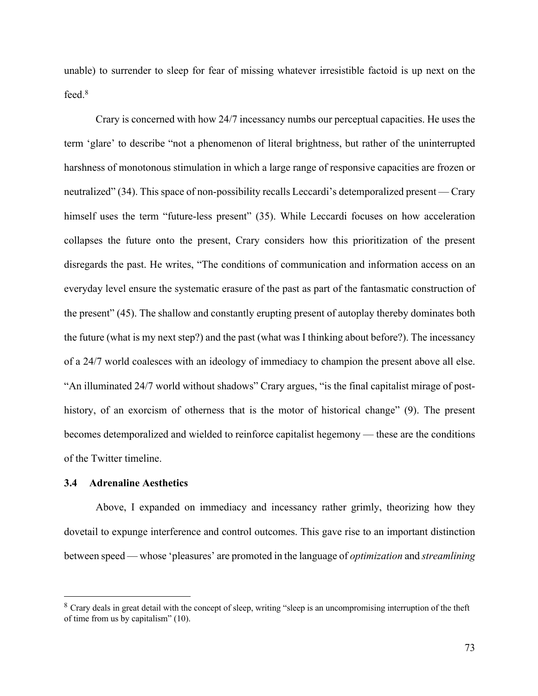unable) to surrender to sleep for fear of missing whatever irresistible factoid is up next on the feed. 8

Crary is concerned with how 24/7 incessancy numbs our perceptual capacities. He uses the term 'glare' to describe "not a phenomenon of literal brightness, but rather of the uninterrupted harshness of monotonous stimulation in which a large range of responsive capacities are frozen or neutralized" (34). This space of non-possibility recalls Leccardi's detemporalized present — Crary himself uses the term "future-less present" (35). While Leccardi focuses on how acceleration collapses the future onto the present, Crary considers how this prioritization of the present disregards the past. He writes, "The conditions of communication and information access on an everyday level ensure the systematic erasure of the past as part of the fantasmatic construction of the present" (45). The shallow and constantly erupting present of autoplay thereby dominates both the future (what is my next step?) and the past (what was I thinking about before?). The incessancy of a 24/7 world coalesces with an ideology of immediacy to champion the present above all else. "An illuminated 24/7 world without shadows" Crary argues, "is the final capitalist mirage of posthistory, of an exorcism of otherness that is the motor of historical change" (9). The present becomes detemporalized and wielded to reinforce capitalist hegemony — these are the conditions of the Twitter timeline.

### **3.4 Adrenaline Aesthetics**

Above, I expanded on immediacy and incessancy rather grimly, theorizing how they dovetail to expunge interference and control outcomes. This gave rise to an important distinction between speed — whose 'pleasures' are promoted in the language of *optimization* and *streamlining*

<sup>&</sup>lt;sup>8</sup> Crary deals in great detail with the concept of sleep, writing "sleep is an uncompromising interruption of the theft of time from us by capitalism" (10).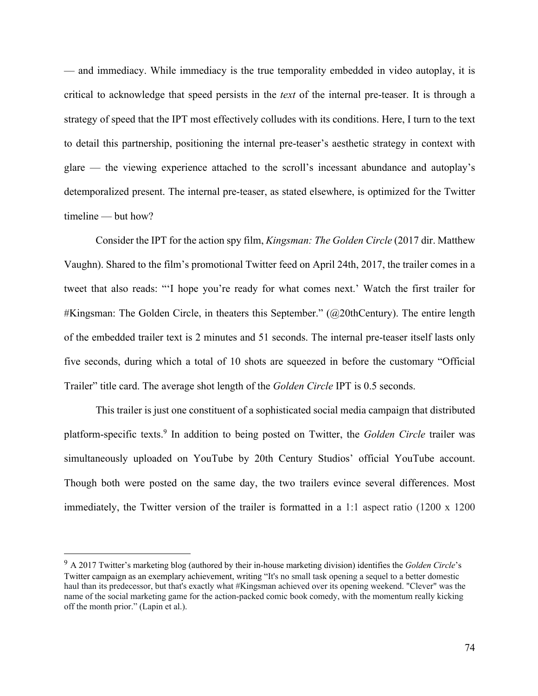— and immediacy. While immediacy is the true temporality embedded in video autoplay, it is critical to acknowledge that speed persists in the *text* of the internal pre-teaser. It is through a strategy of speed that the IPT most effectively colludes with its conditions. Here, I turn to the text to detail this partnership, positioning the internal pre-teaser's aesthetic strategy in context with glare — the viewing experience attached to the scroll's incessant abundance and autoplay's detemporalized present. The internal pre-teaser, as stated elsewhere, is optimized for the Twitter timeline — but how?

Consider the IPT for the action spy film, *Kingsman: The Golden Circle* (2017 dir. Matthew Vaughn). Shared to the film's promotional Twitter feed on April 24th, 2017, the trailer comes in a tweet that also reads: "'I hope you're ready for what comes next.' Watch the first trailer for #Kingsman: The Golden Circle, in theaters this September." (@20thCentury). The entire length of the embedded trailer text is 2 minutes and 51 seconds. The internal pre-teaser itself lasts only five seconds, during which a total of 10 shots are squeezed in before the customary "Official Trailer" title card. The average shot length of the *Golden Circle* IPT is 0.5 seconds.

This trailer is just one constituent of a sophisticated social media campaign that distributed platform-specific texts. <sup>9</sup> In addition to being posted on Twitter, the *Golden Circle* trailer was simultaneously uploaded on YouTube by 20th Century Studios' official YouTube account. Though both were posted on the same day, the two trailers evince several differences. Most immediately, the Twitter version of the trailer is formatted in a 1:1 aspect ratio (1200 x 1200

<sup>9</sup> A 2017 Twitter's marketing blog (authored by their in-house marketing division) identifies the *Golden Circle*'s Twitter campaign as an exemplary achievement, writing "It's no small task opening a sequel to a better domestic haul than its predecessor, but that's exactly what #Kingsman achieved over its opening weekend. "Clever" was the name of the social marketing game for the action-packed comic book comedy, with the momentum really kicking off the month prior." (Lapin et al.).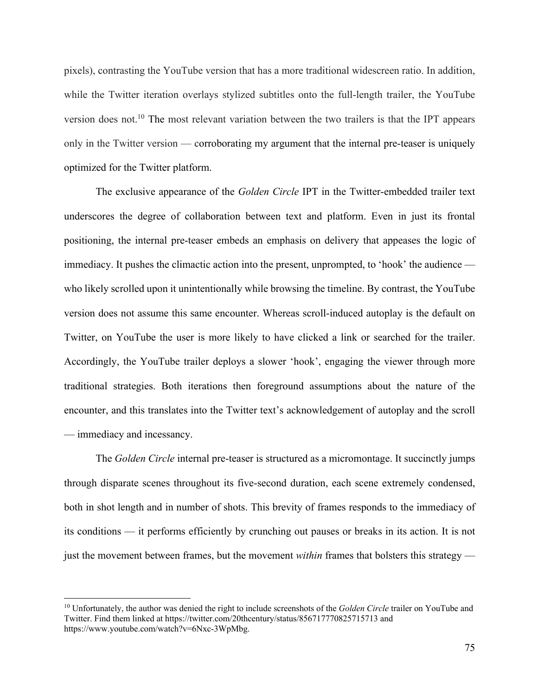pixels), contrasting the YouTube version that has a more traditional widescreen ratio. In addition, while the Twitter iteration overlays stylized subtitles onto the full-length trailer, the YouTube version does not.<sup>10</sup> The most relevant variation between the two trailers is that the IPT appears only in the Twitter version — corroborating my argument that the internal pre-teaser is uniquely optimized for the Twitter platform.

The exclusive appearance of the *Golden Circle* IPT in the Twitter-embedded trailer text underscores the degree of collaboration between text and platform. Even in just its frontal positioning, the internal pre-teaser embeds an emphasis on delivery that appeases the logic of immediacy. It pushes the climactic action into the present, unprompted, to 'hook' the audience who likely scrolled upon it unintentionally while browsing the timeline. By contrast, the YouTube version does not assume this same encounter. Whereas scroll-induced autoplay is the default on Twitter, on YouTube the user is more likely to have clicked a link or searched for the trailer. Accordingly, the YouTube trailer deploys a slower 'hook', engaging the viewer through more traditional strategies. Both iterations then foreground assumptions about the nature of the encounter, and this translates into the Twitter text's acknowledgement of autoplay and the scroll — immediacy and incessancy.

The *Golden Circle* internal pre-teaser is structured as a micromontage. It succinctly jumps through disparate scenes throughout its five-second duration, each scene extremely condensed, both in shot length and in number of shots. This brevity of frames responds to the immediacy of its conditions — it performs efficiently by crunching out pauses or breaks in its action. It is not just the movement between frames, but the movement *within* frames that bolsters this strategy —

<sup>&</sup>lt;sup>10</sup> Unfortunately, the author was denied the right to include screenshots of the *Golden Circle* trailer on YouTube and Twitter. Find them linked at https://twitter.com/20thcentury/status/856717770825715713 and https://www.youtube.com/watch?v=6Nxc-3WpMbg.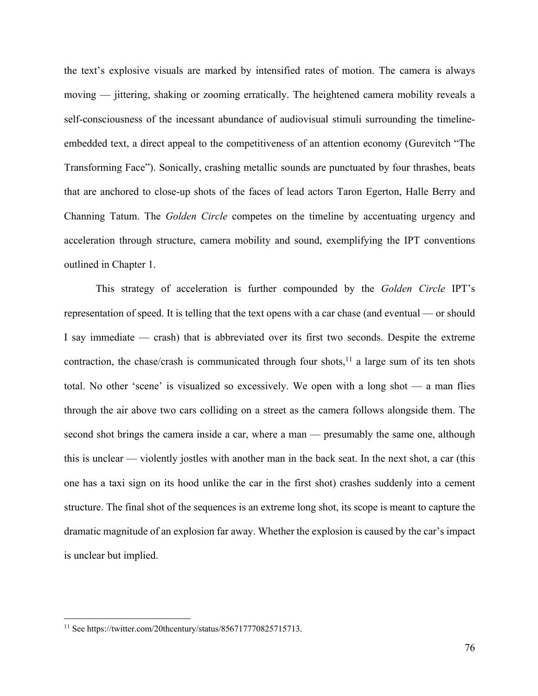the text's explosive visuals are marked by intensified rates of motion. The camera is always moving — jittering, shaking or zooming erratically. The heightened camera mobility reveals a self-consciousness of the incessant abundance of audiovisual stimuli surrounding the timelineembedded text, a direct appeal to the competitiveness of an attention economy (Gurevitch "The Transforming Face"). Sonically, crashing metallic sounds are punctuated by four thrashes, beats that are anchored to close-up shots of the faces of lead actors Taron Egerton, Halle Berry and Channing Tatum. The *Golden Circle* competes on the timeline by accentuating urgency and acceleration through structure, camera mobility and sound, exemplifying the IPT conventions outlined in Chapter 1.

This strategy of acceleration is further compounded by the *Golden Circle* IPT's representation of speed. It is telling that the text opens with a car chase (and eventual — or should I say immediate — crash) that is abbreviated over its first two seconds. Despite the extreme contraction, the chase/crash is communicated through four shots, $11$  a large sum of its ten shots total. No other 'scene' is visualized so excessively. We open with a long shot — a man flies through the air above two cars colliding on a street as the camera follows alongside them. The second shot brings the camera inside a car, where a man — presumably the same one, although this is unclear — violently jostles with another man in the back seat. In the next shot, a car (this one has a taxi sign on its hood unlike the car in the first shot) crashes suddenly into a cement structure. The final shot of the sequences is an extreme long shot, its scope is meant to capture the dramatic magnitude of an explosion far away. Whether the explosion is caused by the car's impact is unclear but implied.

<sup>11</sup> See https://twitter.com/20thcentury/status/856717770825715713.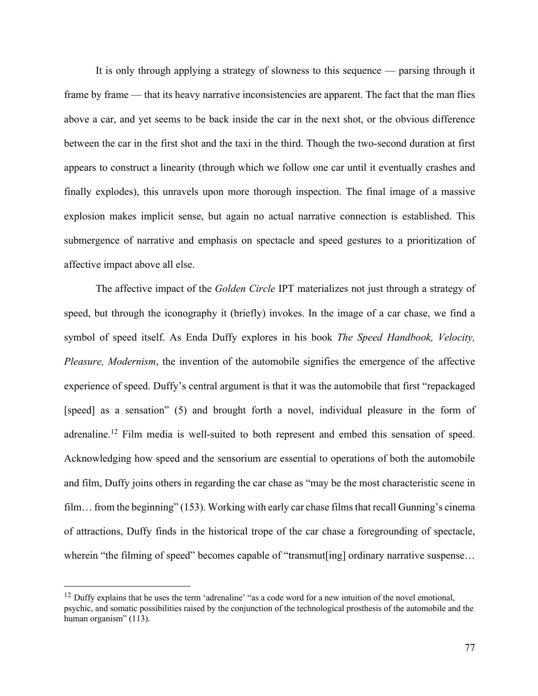It is only through applying a strategy of slowness to this sequence — parsing through it frame by frame — that its heavy narrative inconsistencies are apparent. The fact that the man flies above a car, and yet seems to be back inside the car in the next shot, or the obvious difference between the car in the first shot and the taxi in the third. Though the two-second duration at first appears to construct a linearity (through which we follow one car until it eventually crashes and finally explodes), this unravels upon more thorough inspection. The final image of a massive explosion makes implicit sense, but again no actual narrative connection is established. This submergence of narrative and emphasis on spectacle and speed gestures to a prioritization of affective impact above all else.

The affective impact of the *Golden Circle* IPT materializes not just through a strategy of speed, but through the iconography it (briefly) invokes. In the image of a car chase, we find a symbol of speed itself. As Enda Duffy explores in his book *The Speed Handbook, Velocity, Pleasure, Modernism*, the invention of the automobile signifies the emergence of the affective experience of speed. Duffy's central argument is that it was the automobile that first "repackaged [speed] as a sensation" (5) and brought forth a novel, individual pleasure in the form of adrenaline.<sup>12</sup> Film media is well-suited to both represent and embed this sensation of speed. Acknowledging how speed and the sensorium are essential to operations of both the automobile and film, Duffy joins others in regarding the car chase as "may be the most characteristic scene in film… from the beginning" (153). Working with early car chase films that recall Gunning's cinema of attractions, Duffy finds in the historical trope of the car chase a foregrounding of spectacle, wherein "the filming of speed" becomes capable of "transmut[ing] ordinary narrative suspense...

 $12$  Duffy explains that he uses the term 'adrenaline' "as a code word for a new intuition of the novel emotional, psychic, and somatic possibilities raised by the conjunction of the technological prosthesis of the automobile and the human organism" (113).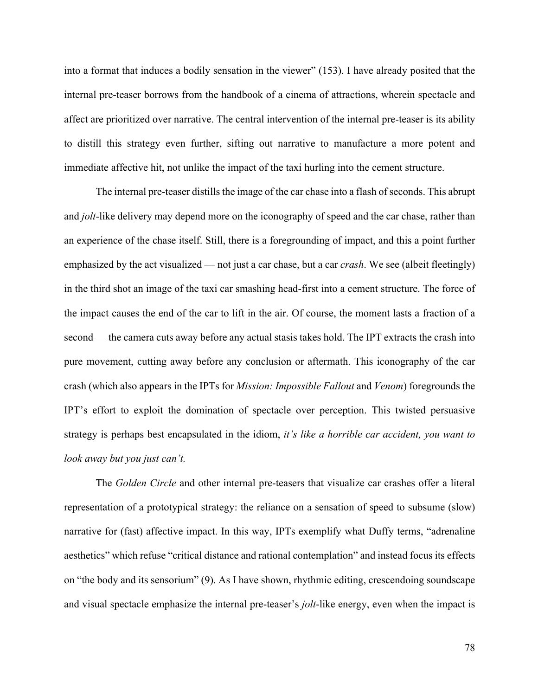into a format that induces a bodily sensation in the viewer" (153). I have already posited that the internal pre-teaser borrows from the handbook of a cinema of attractions, wherein spectacle and affect are prioritized over narrative. The central intervention of the internal pre-teaser is its ability to distill this strategy even further, sifting out narrative to manufacture a more potent and immediate affective hit, not unlike the impact of the taxi hurling into the cement structure.

The internal pre-teaser distills the image of the car chase into a flash of seconds. This abrupt and *jolt*-like delivery may depend more on the iconography of speed and the car chase, rather than an experience of the chase itself. Still, there is a foregrounding of impact, and this a point further emphasized by the act visualized — not just a car chase, but a car *crash*. We see (albeit fleetingly) in the third shot an image of the taxi car smashing head-first into a cement structure. The force of the impact causes the end of the car to lift in the air. Of course, the moment lasts a fraction of a second — the camera cuts away before any actual stasis takes hold. The IPT extracts the crash into pure movement, cutting away before any conclusion or aftermath. This iconography of the car crash (which also appears in the IPTs for *Mission: Impossible Fallout* and *Venom*) foregrounds the IPT's effort to exploit the domination of spectacle over perception. This twisted persuasive strategy is perhaps best encapsulated in the idiom, *it's like a horrible car accident, you want to look away but you just can't.*

The *Golden Circle* and other internal pre-teasers that visualize car crashes offer a literal representation of a prototypical strategy: the reliance on a sensation of speed to subsume (slow) narrative for (fast) affective impact. In this way, IPTs exemplify what Duffy terms, "adrenaline aesthetics" which refuse "critical distance and rational contemplation" and instead focus its effects on "the body and its sensorium" (9). As I have shown, rhythmic editing, crescendoing soundscape and visual spectacle emphasize the internal pre-teaser's *jolt*-like energy, even when the impact is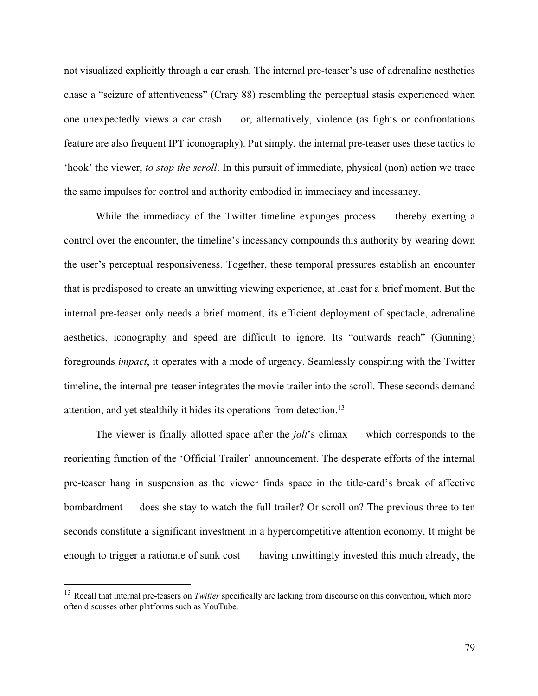not visualized explicitly through a car crash. The internal pre-teaser's use of adrenaline aesthetics chase a "seizure of attentiveness" (Crary 88) resembling the perceptual stasis experienced when one unexpectedly views a car crash — or, alternatively, violence (as fights or confrontations feature are also frequent IPT iconography). Put simply, the internal pre-teaser uses these tactics to 'hook' the viewer, *to stop the scroll*. In this pursuit of immediate, physical (non) action we trace the same impulses for control and authority embodied in immediacy and incessancy.

While the immediacy of the Twitter timeline expunges process — thereby exerting a control over the encounter, the timeline's incessancy compounds this authority by wearing down the user's perceptual responsiveness. Together, these temporal pressures establish an encounter that is predisposed to create an unwitting viewing experience, at least for a brief moment. But the internal pre-teaser only needs a brief moment, its efficient deployment of spectacle, adrenaline aesthetics, iconography and speed are difficult to ignore. Its "outwards reach" (Gunning) foregrounds *impact*, it operates with a mode of urgency. Seamlessly conspiring with the Twitter timeline, the internal pre-teaser integrates the movie trailer into the scroll. These seconds demand attention, and yet stealthily it hides its operations from detection.<sup>13</sup>

The viewer is finally allotted space after the *jolt*'s climax — which corresponds to the reorienting function of the 'Official Trailer' announcement. The desperate efforts of the internal pre-teaser hang in suspension as the viewer finds space in the title-card's break of affective bombardment — does she stay to watch the full trailer? Or scroll on? The previous three to ten seconds constitute a significant investment in a hypercompetitive attention economy. It might be enough to trigger a rationale of sunk cost — having unwittingly invested this much already, the

<sup>13</sup> Recall that internal pre-teasers on *Twitter* specifically are lacking from discourse on this convention, which more often discusses other platforms such as YouTube.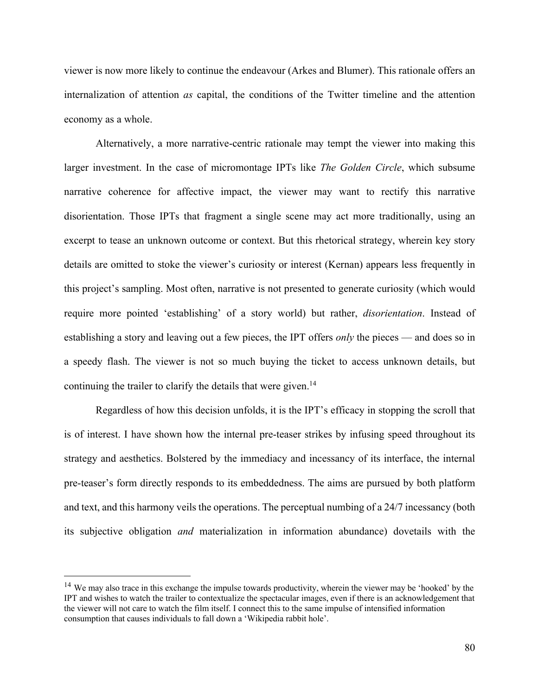viewer is now more likely to continue the endeavour (Arkes and Blumer). This rationale offers an internalization of attention *as* capital, the conditions of the Twitter timeline and the attention economy as a whole.

Alternatively, a more narrative-centric rationale may tempt the viewer into making this larger investment. In the case of micromontage IPTs like *The Golden Circle*, which subsume narrative coherence for affective impact, the viewer may want to rectify this narrative disorientation. Those IPTs that fragment a single scene may act more traditionally, using an excerpt to tease an unknown outcome or context. But this rhetorical strategy, wherein key story details are omitted to stoke the viewer's curiosity or interest (Kernan) appears less frequently in this project's sampling. Most often, narrative is not presented to generate curiosity (which would require more pointed 'establishing' of a story world) but rather, *disorientation*. Instead of establishing a story and leaving out a few pieces, the IPT offers *only* the pieces — and does so in a speedy flash. The viewer is not so much buying the ticket to access unknown details, but continuing the trailer to clarify the details that were given. 14

Regardless of how this decision unfolds, it is the IPT's efficacy in stopping the scroll that is of interest. I have shown how the internal pre-teaser strikes by infusing speed throughout its strategy and aesthetics. Bolstered by the immediacy and incessancy of its interface, the internal pre-teaser's form directly responds to its embeddedness. The aims are pursued by both platform and text, and this harmony veils the operations. The perceptual numbing of a 24/7 incessancy (both its subjective obligation *and* materialization in information abundance) dovetails with the

<sup>&</sup>lt;sup>14</sup> We may also trace in this exchange the impulse towards productivity, wherein the viewer may be 'hooked' by the IPT and wishes to watch the trailer to contextualize the spectacular images, even if there is an acknowledgement that the viewer will not care to watch the film itself. I connect this to the same impulse of intensified information consumption that causes individuals to fall down a 'Wikipedia rabbit hole'.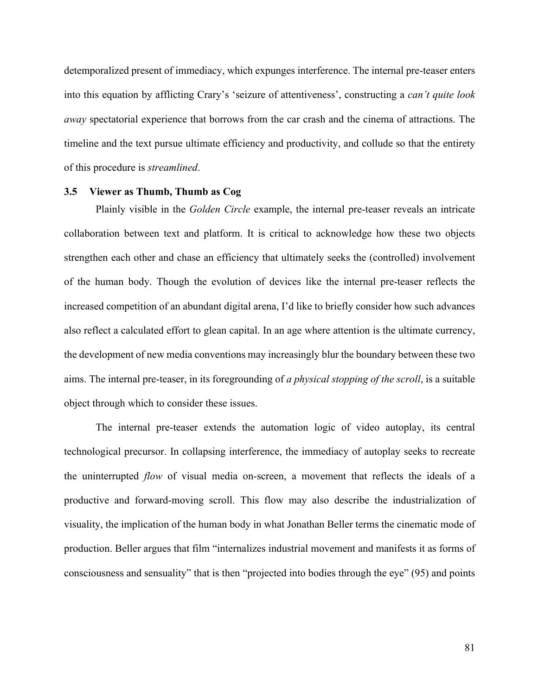detemporalized present of immediacy, which expunges interference. The internal pre-teaser enters into this equation by afflicting Crary's 'seizure of attentiveness', constructing a *can't quite look away* spectatorial experience that borrows from the car crash and the cinema of attractions. The timeline and the text pursue ultimate efficiency and productivity, and collude so that the entirety of this procedure is *streamlined*.

#### **3.5 Viewer as Thumb, Thumb as Cog**

Plainly visible in the *Golden Circle* example, the internal pre-teaser reveals an intricate collaboration between text and platform. It is critical to acknowledge how these two objects strengthen each other and chase an efficiency that ultimately seeks the (controlled) involvement of the human body. Though the evolution of devices like the internal pre-teaser reflects the increased competition of an abundant digital arena, I'd like to briefly consider how such advances also reflect a calculated effort to glean capital. In an age where attention is the ultimate currency, the development of new media conventions may increasingly blur the boundary between these two aims. The internal pre-teaser, in its foregrounding of *a physical stopping of the scroll*, is a suitable object through which to consider these issues.

The internal pre-teaser extends the automation logic of video autoplay, its central technological precursor. In collapsing interference, the immediacy of autoplay seeks to recreate the uninterrupted *flow* of visual media on-screen, a movement that reflects the ideals of a productive and forward-moving scroll. This flow may also describe the industrialization of visuality, the implication of the human body in what Jonathan Beller terms the cinematic mode of production. Beller argues that film "internalizes industrial movement and manifests it as forms of consciousness and sensuality" that is then "projected into bodies through the eye" (95) and points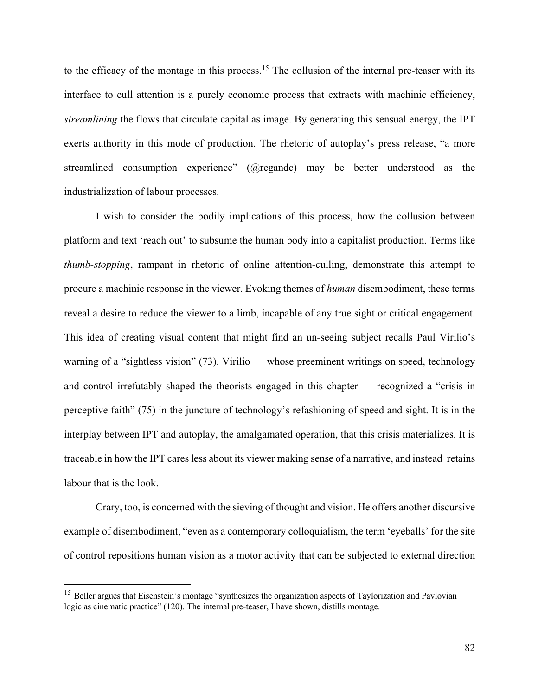to the efficacy of the montage in this process.<sup>15</sup> The collusion of the internal pre-teaser with its interface to cull attention is a purely economic process that extracts with machinic efficiency, *streamlining* the flows that circulate capital as image. By generating this sensual energy, the IPT exerts authority in this mode of production. The rhetoric of autoplay's press release, "a more streamlined consumption experience" (@regandc) may be better understood as the industrialization of labour processes.

I wish to consider the bodily implications of this process, how the collusion between platform and text 'reach out' to subsume the human body into a capitalist production. Terms like *thumb-stopping*, rampant in rhetoric of online attention-culling, demonstrate this attempt to procure a machinic response in the viewer. Evoking themes of *human* disembodiment, these terms reveal a desire to reduce the viewer to a limb, incapable of any true sight or critical engagement. This idea of creating visual content that might find an un-seeing subject recalls Paul Virilio's warning of a "sightless vision" (73). Virilio — whose preeminent writings on speed, technology and control irrefutably shaped the theorists engaged in this chapter — recognized a "crisis in perceptive faith" (75) in the juncture of technology's refashioning of speed and sight. It is in the interplay between IPT and autoplay, the amalgamated operation, that this crisis materializes. It is traceable in how the IPT cares less about its viewer making sense of a narrative, and instead retains labour that is the look.

Crary, too, is concerned with the sieving of thought and vision. He offers another discursive example of disembodiment, "even as a contemporary colloquialism, the term 'eyeballs' for the site of control repositions human vision as a motor activity that can be subjected to external direction

<sup>&</sup>lt;sup>15</sup> Beller argues that Eisenstein's montage "synthesizes the organization aspects of Taylorization and Pavlovian logic as cinematic practice" (120). The internal pre-teaser, I have shown, distills montage.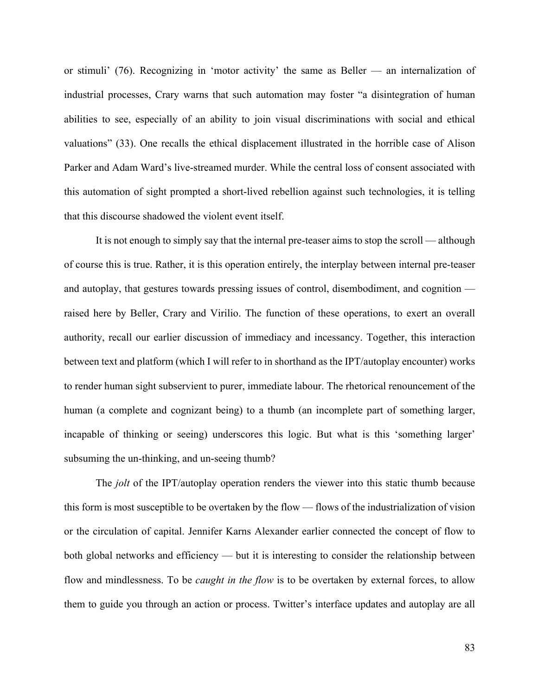or stimuli' (76). Recognizing in 'motor activity' the same as Beller — an internalization of industrial processes, Crary warns that such automation may foster "a disintegration of human abilities to see, especially of an ability to join visual discriminations with social and ethical valuations" (33). One recalls the ethical displacement illustrated in the horrible case of Alison Parker and Adam Ward's live-streamed murder. While the central loss of consent associated with this automation of sight prompted a short-lived rebellion against such technologies, it is telling that this discourse shadowed the violent event itself.

It is not enough to simply say that the internal pre-teaser aims to stop the scroll — although of course this is true. Rather, it is this operation entirely, the interplay between internal pre-teaser and autoplay, that gestures towards pressing issues of control, disembodiment, and cognition raised here by Beller, Crary and Virilio. The function of these operations, to exert an overall authority, recall our earlier discussion of immediacy and incessancy. Together, this interaction between text and platform (which I will refer to in shorthand as the IPT/autoplay encounter) works to render human sight subservient to purer, immediate labour. The rhetorical renouncement of the human (a complete and cognizant being) to a thumb (an incomplete part of something larger, incapable of thinking or seeing) underscores this logic. But what is this 'something larger' subsuming the un-thinking, and un-seeing thumb?

The *jolt* of the IPT/autoplay operation renders the viewer into this static thumb because this form is most susceptible to be overtaken by the flow — flows of the industrialization of vision or the circulation of capital. Jennifer Karns Alexander earlier connected the concept of flow to both global networks and efficiency — but it is interesting to consider the relationship between flow and mindlessness. To be *caught in the flow* is to be overtaken by external forces, to allow them to guide you through an action or process. Twitter's interface updates and autoplay are all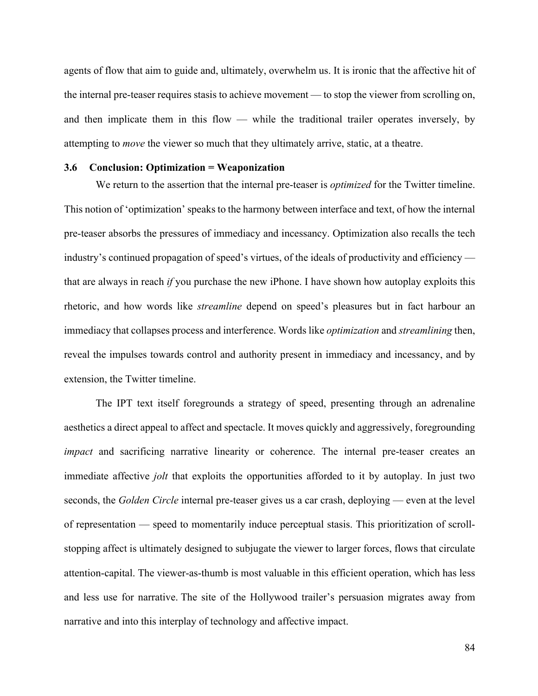agents of flow that aim to guide and, ultimately, overwhelm us. It is ironic that the affective hit of the internal pre-teaser requires stasis to achieve movement — to stop the viewer from scrolling on, and then implicate them in this flow — while the traditional trailer operates inversely, by attempting to *move* the viewer so much that they ultimately arrive, static, at a theatre.

### **3.6 Conclusion: Optimization = Weaponization**

We return to the assertion that the internal pre-teaser is *optimized* for the Twitter timeline. This notion of 'optimization' speaks to the harmony between interface and text, of how the internal pre-teaser absorbs the pressures of immediacy and incessancy. Optimization also recalls the tech industry's continued propagation of speed's virtues, of the ideals of productivity and efficiency that are always in reach *if* you purchase the new iPhone. I have shown how autoplay exploits this rhetoric, and how words like *streamline* depend on speed's pleasures but in fact harbour an immediacy that collapses process and interference. Words like *optimization* and *streamlining* then, reveal the impulses towards control and authority present in immediacy and incessancy, and by extension, the Twitter timeline.

The IPT text itself foregrounds a strategy of speed, presenting through an adrenaline aesthetics a direct appeal to affect and spectacle. It moves quickly and aggressively, foregrounding *impact* and sacrificing narrative linearity or coherence. The internal pre-teaser creates an immediate affective *jolt* that exploits the opportunities afforded to it by autoplay. In just two seconds, the *Golden Circle* internal pre-teaser gives us a car crash, deploying — even at the level of representation — speed to momentarily induce perceptual stasis. This prioritization of scrollstopping affect is ultimately designed to subjugate the viewer to larger forces, flows that circulate attention-capital. The viewer-as-thumb is most valuable in this efficient operation, which has less and less use for narrative. The site of the Hollywood trailer's persuasion migrates away from narrative and into this interplay of technology and affective impact.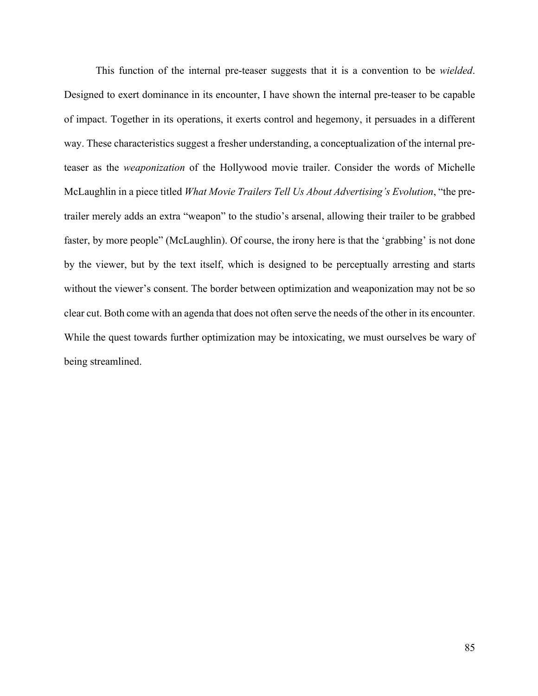This function of the internal pre-teaser suggests that it is a convention to be *wielded*. Designed to exert dominance in its encounter, I have shown the internal pre-teaser to be capable of impact. Together in its operations, it exerts control and hegemony, it persuades in a different way. These characteristics suggest a fresher understanding, a conceptualization of the internal preteaser as the *weaponization* of the Hollywood movie trailer. Consider the words of Michelle McLaughlin in a piece titled *What Movie Trailers Tell Us About Advertising's Evolution*, "the pretrailer merely adds an extra "weapon" to the studio's arsenal, allowing their trailer to be grabbed faster, by more people" (McLaughlin). Of course, the irony here is that the 'grabbing' is not done by the viewer, but by the text itself, which is designed to be perceptually arresting and starts without the viewer's consent. The border between optimization and weaponization may not be so clear cut. Both come with an agenda that does not often serve the needs of the other in its encounter. While the quest towards further optimization may be intoxicating, we must ourselves be wary of being streamlined.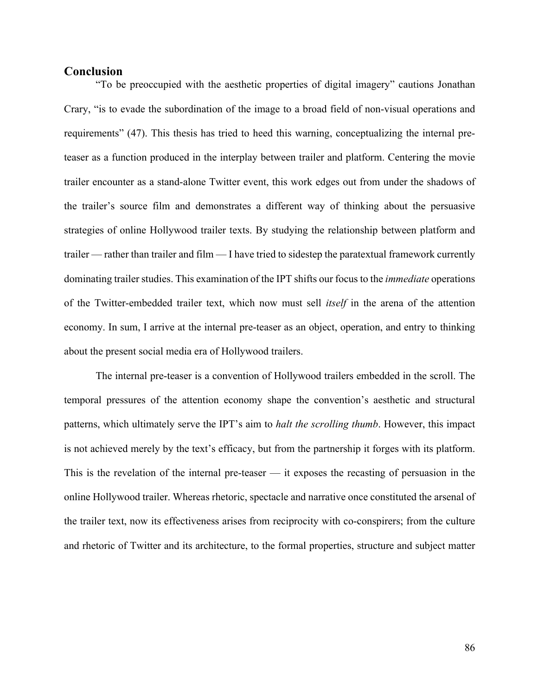### **Conclusion**

"To be preoccupied with the aesthetic properties of digital imagery" cautions Jonathan Crary, "is to evade the subordination of the image to a broad field of non-visual operations and requirements" (47). This thesis has tried to heed this warning, conceptualizing the internal preteaser as a function produced in the interplay between trailer and platform. Centering the movie trailer encounter as a stand-alone Twitter event, this work edges out from under the shadows of the trailer's source film and demonstrates a different way of thinking about the persuasive strategies of online Hollywood trailer texts. By studying the relationship between platform and trailer — rather than trailer and film — I have tried to sidestep the paratextual framework currently dominating trailer studies. This examination of the IPT shifts our focus to the *immediate* operations of the Twitter-embedded trailer text, which now must sell *itself* in the arena of the attention economy. In sum, I arrive at the internal pre-teaser as an object, operation, and entry to thinking about the present social media era of Hollywood trailers.

The internal pre-teaser is a convention of Hollywood trailers embedded in the scroll. The temporal pressures of the attention economy shape the convention's aesthetic and structural patterns, which ultimately serve the IPT's aim to *halt the scrolling thumb*. However, this impact is not achieved merely by the text's efficacy, but from the partnership it forges with its platform. This is the revelation of the internal pre-teaser — it exposes the recasting of persuasion in the online Hollywood trailer. Whereas rhetoric, spectacle and narrative once constituted the arsenal of the trailer text, now its effectiveness arises from reciprocity with co-conspirers; from the culture and rhetoric of Twitter and its architecture, to the formal properties, structure and subject matter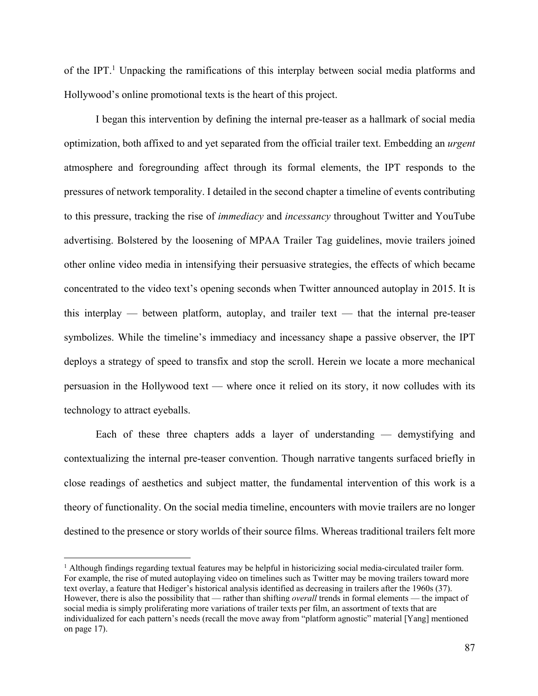of the IPT. <sup>1</sup> Unpacking the ramifications of this interplay between social media platforms and Hollywood's online promotional texts is the heart of this project.

I began this intervention by defining the internal pre-teaser as a hallmark of social media optimization, both affixed to and yet separated from the official trailer text. Embedding an *urgent*  atmosphere and foregrounding affect through its formal elements, the IPT responds to the pressures of network temporality. I detailed in the second chapter a timeline of events contributing to this pressure, tracking the rise of *immediacy* and *incessancy* throughout Twitter and YouTube advertising. Bolstered by the loosening of MPAA Trailer Tag guidelines, movie trailers joined other online video media in intensifying their persuasive strategies, the effects of which became concentrated to the video text's opening seconds when Twitter announced autoplay in 2015. It is this interplay — between platform, autoplay, and trailer text — that the internal pre-teaser symbolizes. While the timeline's immediacy and incessancy shape a passive observer, the IPT deploys a strategy of speed to transfix and stop the scroll. Herein we locate a more mechanical persuasion in the Hollywood text — where once it relied on its story, it now colludes with its technology to attract eyeballs.

Each of these three chapters adds a layer of understanding — demystifying and contextualizing the internal pre-teaser convention. Though narrative tangents surfaced briefly in close readings of aesthetics and subject matter, the fundamental intervention of this work is a theory of functionality. On the social media timeline, encounters with movie trailers are no longer destined to the presence or story worlds of their source films. Whereas traditional trailers felt more

<sup>&</sup>lt;sup>1</sup> Although findings regarding textual features may be helpful in historicizing social media-circulated trailer form. For example, the rise of muted autoplaying video on timelines such as Twitter may be moving trailers toward more text overlay, a feature that Hediger's historical analysis identified as decreasing in trailers after the 1960s (37). However, there is also the possibility that — rather than shifting *overall* trends in formal elements — the impact of social media is simply proliferating more variations of trailer texts per film, an assortment of texts that are individualized for each pattern's needs (recall the move away from "platform agnostic" material [Yang] mentioned on page 17).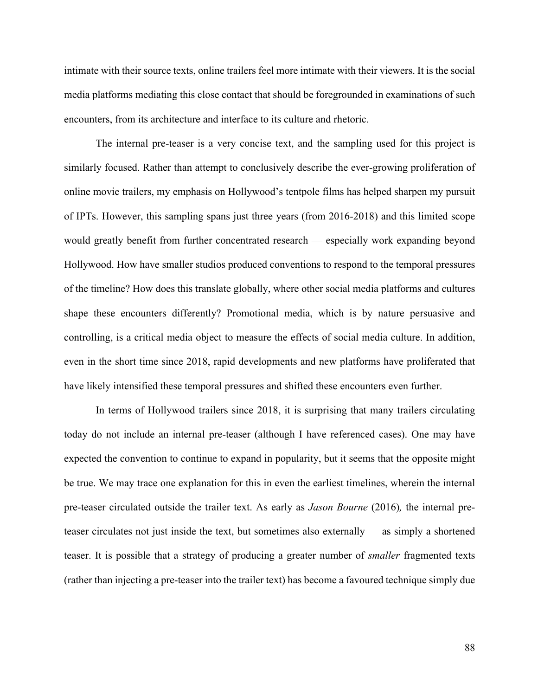intimate with their source texts, online trailers feel more intimate with their viewers. It is the social media platforms mediating this close contact that should be foregrounded in examinations of such encounters, from its architecture and interface to its culture and rhetoric.

The internal pre-teaser is a very concise text, and the sampling used for this project is similarly focused. Rather than attempt to conclusively describe the ever-growing proliferation of online movie trailers, my emphasis on Hollywood's tentpole films has helped sharpen my pursuit of IPTs. However, this sampling spans just three years (from 2016-2018) and this limited scope would greatly benefit from further concentrated research — especially work expanding beyond Hollywood. How have smaller studios produced conventions to respond to the temporal pressures of the timeline? How does this translate globally, where other social media platforms and cultures shape these encounters differently? Promotional media, which is by nature persuasive and controlling, is a critical media object to measure the effects of social media culture. In addition, even in the short time since 2018, rapid developments and new platforms have proliferated that have likely intensified these temporal pressures and shifted these encounters even further.

In terms of Hollywood trailers since 2018, it is surprising that many trailers circulating today do not include an internal pre-teaser (although I have referenced cases). One may have expected the convention to continue to expand in popularity, but it seems that the opposite might be true. We may trace one explanation for this in even the earliest timelines, wherein the internal pre-teaser circulated outside the trailer text. As early as *Jason Bourne* (2016)*,* the internal preteaser circulates not just inside the text, but sometimes also externally — as simply a shortened teaser. It is possible that a strategy of producing a greater number of *smaller* fragmented texts (rather than injecting a pre-teaser into the trailer text) has become a favoured technique simply due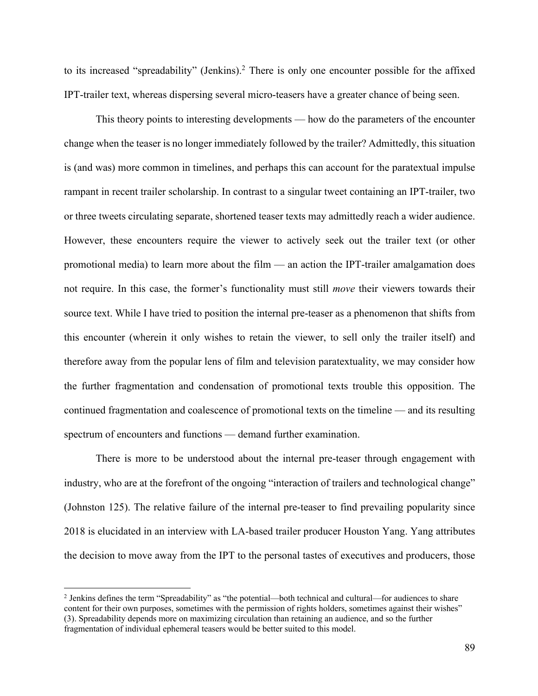to its increased "spreadability" (Jenkins). <sup>2</sup> There is only one encounter possible for the affixed IPT-trailer text, whereas dispersing several micro-teasers have a greater chance of being seen.

This theory points to interesting developments — how do the parameters of the encounter change when the teaser is no longer immediately followed by the trailer? Admittedly, this situation is (and was) more common in timelines, and perhaps this can account for the paratextual impulse rampant in recent trailer scholarship. In contrast to a singular tweet containing an IPT-trailer, two or three tweets circulating separate, shortened teaser texts may admittedly reach a wider audience. However, these encounters require the viewer to actively seek out the trailer text (or other promotional media) to learn more about the film — an action the IPT-trailer amalgamation does not require. In this case, the former's functionality must still *move* their viewers towards their source text. While I have tried to position the internal pre-teaser as a phenomenon that shifts from this encounter (wherein it only wishes to retain the viewer, to sell only the trailer itself) and therefore away from the popular lens of film and television paratextuality, we may consider how the further fragmentation and condensation of promotional texts trouble this opposition. The continued fragmentation and coalescence of promotional texts on the timeline — and its resulting spectrum of encounters and functions — demand further examination.

There is more to be understood about the internal pre-teaser through engagement with industry, who are at the forefront of the ongoing "interaction of trailers and technological change" (Johnston 125). The relative failure of the internal pre-teaser to find prevailing popularity since 2018 is elucidated in an interview with LA-based trailer producer Houston Yang. Yang attributes the decision to move away from the IPT to the personal tastes of executives and producers, those

<sup>2</sup> Jenkins defines the term "Spreadability" as "the potential—both technical and cultural—for audiences to share content for their own purposes, sometimes with the permission of rights holders, sometimes against their wishes" (3). Spreadability depends more on maximizing circulation than retaining an audience, and so the further fragmentation of individual ephemeral teasers would be better suited to this model.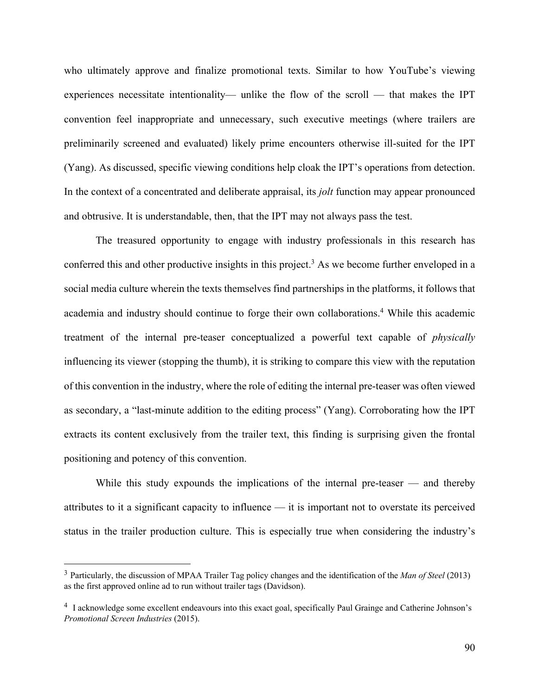who ultimately approve and finalize promotional texts. Similar to how YouTube's viewing experiences necessitate intentionality— unlike the flow of the scroll — that makes the IPT convention feel inappropriate and unnecessary, such executive meetings (where trailers are preliminarily screened and evaluated) likely prime encounters otherwise ill-suited for the IPT (Yang). As discussed, specific viewing conditions help cloak the IPT's operations from detection. In the context of a concentrated and deliberate appraisal, its *jolt* function may appear pronounced and obtrusive. It is understandable, then, that the IPT may not always pass the test.

The treasured opportunity to engage with industry professionals in this research has conferred this and other productive insights in this project. <sup>3</sup> As we become further enveloped in a social media culture wherein the texts themselves find partnerships in the platforms, it follows that academia and industry should continue to forge their own collaborations. <sup>4</sup> While this academic treatment of the internal pre-teaser conceptualized a powerful text capable of *physically* influencing its viewer (stopping the thumb), it is striking to compare this view with the reputation of this convention in the industry, where the role of editing the internal pre-teaser was often viewed as secondary, a "last-minute addition to the editing process" (Yang). Corroborating how the IPT extracts its content exclusively from the trailer text, this finding is surprising given the frontal positioning and potency of this convention.

While this study expounds the implications of the internal pre-teaser — and thereby attributes to it a significant capacity to influence — it is important not to overstate its perceived status in the trailer production culture. This is especially true when considering the industry's

<sup>3</sup> Particularly, the discussion of MPAA Trailer Tag policy changes and the identification of the *Man of Steel* (2013) as the first approved online ad to run without trailer tags (Davidson).

<sup>4</sup> I acknowledge some excellent endeavours into this exact goal, specifically Paul Grainge and Catherine Johnson's *Promotional Screen Industries* (2015).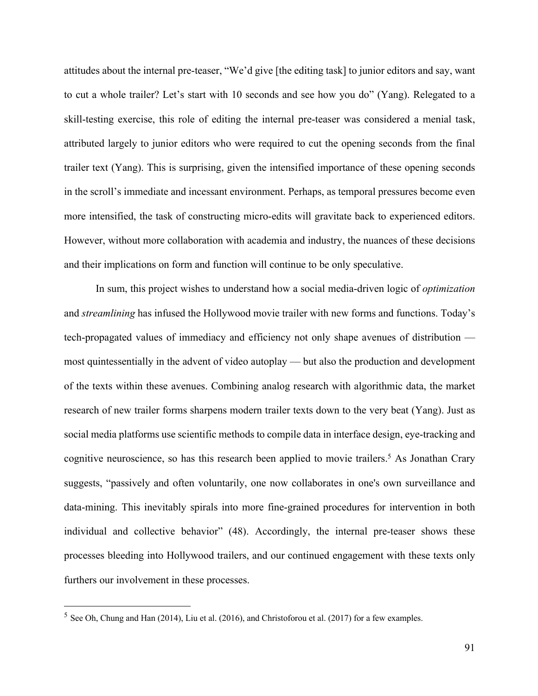attitudes about the internal pre-teaser, "We'd give [the editing task] to junior editors and say, want to cut a whole trailer? Let's start with 10 seconds and see how you do" (Yang). Relegated to a skill-testing exercise, this role of editing the internal pre-teaser was considered a menial task, attributed largely to junior editors who were required to cut the opening seconds from the final trailer text (Yang). This is surprising, given the intensified importance of these opening seconds in the scroll's immediate and incessant environment. Perhaps, as temporal pressures become even more intensified, the task of constructing micro-edits will gravitate back to experienced editors. However, without more collaboration with academia and industry, the nuances of these decisions and their implications on form and function will continue to be only speculative.

In sum, this project wishes to understand how a social media-driven logic of *optimization* and *streamlining* has infused the Hollywood movie trailer with new forms and functions. Today's tech-propagated values of immediacy and efficiency not only shape avenues of distribution most quintessentially in the advent of video autoplay — but also the production and development of the texts within these avenues. Combining analog research with algorithmic data, the market research of new trailer forms sharpens modern trailer texts down to the very beat (Yang). Just as social media platforms use scientific methods to compile data in interface design, eye-tracking and cognitive neuroscience, so has this research been applied to movie trailers.<sup>5</sup> As Jonathan Crary suggests, "passively and often voluntarily, one now collaborates in one's own surveillance and data-mining. This inevitably spirals into more fine-grained procedures for intervention in both individual and collective behavior" (48). Accordingly, the internal pre-teaser shows these processes bleeding into Hollywood trailers, and our continued engagement with these texts only furthers our involvement in these processes.

<sup>5</sup> See Oh, Chung and Han (2014), Liu et al. (2016), and Christoforou et al. (2017) for a few examples.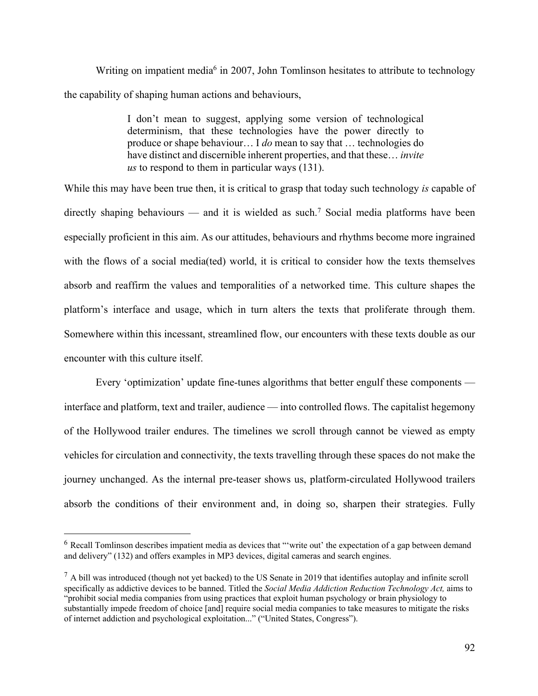Writing on impatient media<sup>6</sup> in 2007, John Tomlinson hesitates to attribute to technology the capability of shaping human actions and behaviours,

> I don't mean to suggest, applying some version of technological determinism, that these technologies have the power directly to produce or shape behaviour… I *do* mean to say that … technologies do have distinct and discernible inherent properties, and that these… *invite us* to respond to them in particular ways (131).

While this may have been true then, it is critical to grasp that today such technology *is* capable of directly shaping behaviours — and it is wielded as such. <sup>7</sup> Social media platforms have been especially proficient in this aim. As our attitudes, behaviours and rhythms become more ingrained with the flows of a social media(ted) world, it is critical to consider how the texts themselves absorb and reaffirm the values and temporalities of a networked time. This culture shapes the platform's interface and usage, which in turn alters the texts that proliferate through them. Somewhere within this incessant, streamlined flow, our encounters with these texts double as our encounter with this culture itself.

Every 'optimization' update fine-tunes algorithms that better engulf these components interface and platform, text and trailer, audience — into controlled flows. The capitalist hegemony of the Hollywood trailer endures. The timelines we scroll through cannot be viewed as empty vehicles for circulation and connectivity, the texts travelling through these spaces do not make the journey unchanged. As the internal pre-teaser shows us, platform-circulated Hollywood trailers absorb the conditions of their environment and, in doing so, sharpen their strategies. Fully

<sup>&</sup>lt;sup>6</sup> Recall Tomlinson describes impatient media as devices that "'write out' the expectation of a gap between demand and delivery" (132) and offers examples in MP3 devices, digital cameras and search engines.

 $^7$  A bill was introduced (though not yet backed) to the US Senate in 2019 that identifies autoplay and infinite scroll specifically as addictive devices to be banned. Titled the *Social Media Addiction Reduction Technology Act,* aims to "prohibit social media companies from using practices that exploit human psychology or brain physiology to substantially impede freedom of choice [and] require social media companies to take measures to mitigate the risks of internet addiction and psychological exploitation..." ("United States, Congress").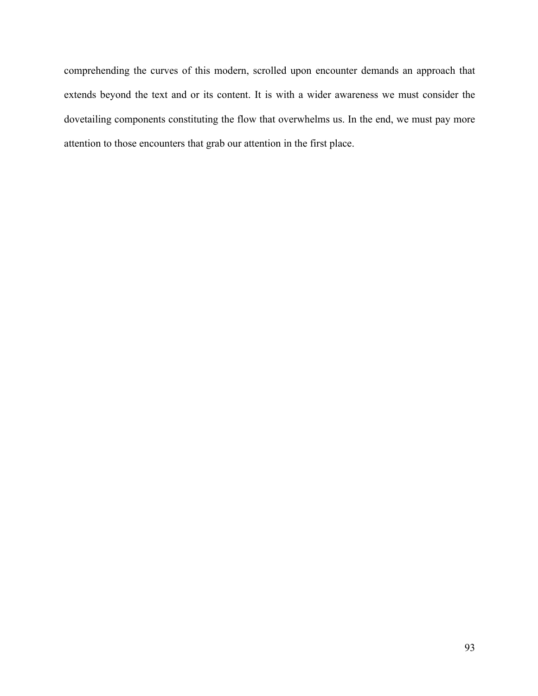comprehending the curves of this modern, scrolled upon encounter demands an approach that extends beyond the text and or its content. It is with a wider awareness we must consider the dovetailing components constituting the flow that overwhelms us. In the end, we must pay more attention to those encounters that grab our attention in the first place.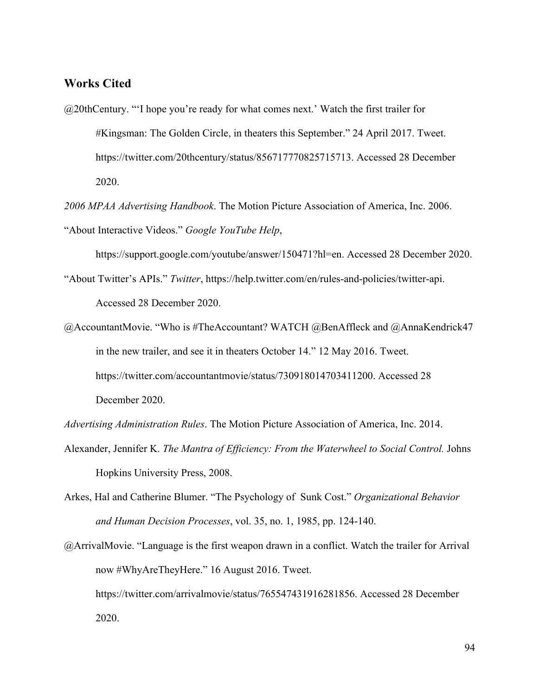# **Works Cited**

- @20thCentury. "'I hope you're ready for what comes next.' Watch the first trailer for #Kingsman: The Golden Circle, in theaters this September." 24 April 2017. Tweet. https://twitter.com/20thcentury/status/856717770825715713. Accessed 28 December 2020.
- *2006 MPAA Advertising Handbook*. The Motion Picture Association of America, Inc. 2006. "About Interactive Videos." *Google YouTube Help*,

https://support.google.com/youtube/answer/150471?hl=en. Accessed 28 December 2020.

- "About Twitter's APIs." *Twitter*, https://help.twitter.com/en/rules-and-policies/twitter-api. Accessed 28 December 2020.
- @AccountantMovie. "Who is #TheAccountant? WATCH @BenAffleck and @AnnaKendrick47 in the new trailer, and see it in theaters October 14." 12 May 2016. Tweet. https://twitter.com/accountantmovie/status/730918014703411200. Accessed 28 December 2020.

*Advertising Administration Rules*. The Motion Picture Association of America, Inc. 2014.

- Alexander, Jennifer K. *The Mantra of Efficiency: From the Waterwheel to Social Control.* Johns Hopkins University Press, 2008.
- Arkes, Hal and Catherine Blumer. "The Psychology of Sunk Cost." *Organizational Behavior and Human Decision Processes*, vol. 35, no. 1, 1985, pp. 124-140.

<sup>@</sup>ArrivalMovie. "Language is the first weapon drawn in a conflict. Watch the trailer for Arrival now #WhyAreTheyHere." 16 August 2016. Tweet. https://twitter.com/arrivalmovie/status/765547431916281856. Accessed 28 December 2020.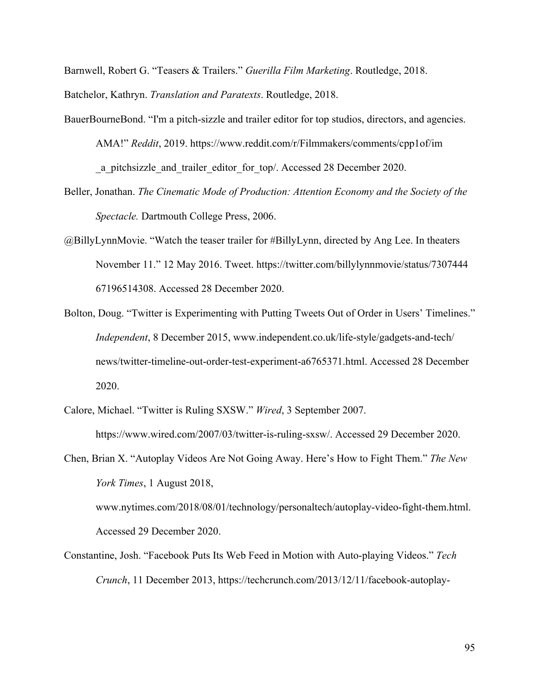Barnwell, Robert G. "Teasers & Trailers." *Guerilla Film Marketing*. Routledge, 2018.

Batchelor, Kathryn. *Translation and Paratexts*. Routledge, 2018.

BauerBourneBond. "I'm a pitch-sizzle and trailer editor for top studios, directors, and agencies. AMA!" *Reddit*, 2019. https://www.reddit.com/r/Filmmakers/comments/cpp1of/im \_a\_pitchsizzle\_and\_trailer\_editor\_for\_top/. Accessed 28 December 2020.

- Beller, Jonathan. *The Cinematic Mode of Production: Attention Economy and the Society of the Spectacle.* Dartmouth College Press, 2006.
- @BillyLynnMovie. "Watch the teaser trailer for #BillyLynn, directed by Ang Lee. In theaters November 11." 12 May 2016. Tweet. https://twitter.com/billylynnmovie/status/7307444 67196514308. Accessed 28 December 2020.
- Bolton, Doug. "Twitter is Experimenting with Putting Tweets Out of Order in Users' Timelines." *Independent*, 8 December 2015, www.independent.co.uk/life-style/gadgets-and-tech/ news/twitter-timeline-out-order-test-experiment-a6765371.html. Accessed 28 December 2020.
- Calore, Michael. "Twitter is Ruling SXSW." *Wired*, 3 September 2007. https://www.wired.com/2007/03/twitter-is-ruling-sxsw/. Accessed 29 December 2020.

Constantine, Josh. "Facebook Puts Its Web Feed in Motion with Auto-playing Videos." *Tech Crunch*, 11 December 2013, https://techcrunch.com/2013/12/11/facebook-autoplay-

Chen, Brian X. "Autoplay Videos Are Not Going Away. Here's How to Fight Them." *The New York Times*, 1 August 2018, www.nytimes.com/2018/08/01/technology/personaltech/autoplay-video-fight-them.html. Accessed 29 December 2020.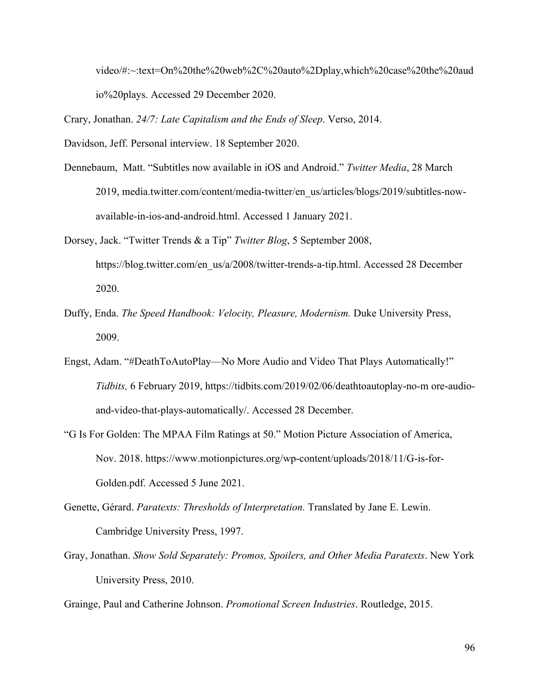video/#:~:text=On%20the%20web%2C%20auto%2Dplay,which%20case%20the%20aud io%20plays. Accessed 29 December 2020.

Crary, Jonathan. *24/7: Late Capitalism and the Ends of Sleep*. Verso, 2014.

Davidson, Jeff. Personal interview. 18 September 2020.

- Dennebaum, Matt. "Subtitles now available in iOS and Android." *Twitter Media*, 28 March 2019, media.twitter.com/content/media-twitter/en\_us/articles/blogs/2019/subtitles-nowavailable-in-ios-and-android.html. Accessed 1 January 2021.
- Dorsey, Jack. "Twitter Trends & a Tip" *Twitter Blog*, 5 September 2008, https://blog.twitter.com/en\_us/a/2008/twitter-trends-a-tip.html. Accessed 28 December 2020.
- Duffy, Enda. *The Speed Handbook: Velocity, Pleasure, Modernism.* Duke University Press, 2009.
- Engst, Adam. "#DeathToAutoPlay—No More Audio and Video That Plays Automatically!" *Tidbits,* 6 February 2019, https://tidbits.com/2019/02/06/deathtoautoplay-no-m ore-audioand-video-that-plays-automatically/. Accessed 28 December.
- "G Is For Golden: The MPAA Film Ratings at 50." Motion Picture Association of America, Nov. 2018. https://www.motionpictures.org/wp-content/uploads/2018/11/G-is-for-Golden.pdf. Accessed 5 June 2021.
- Genette, Gérard. *Paratexts: Thresholds of Interpretation.* Translated by Jane E. Lewin. Cambridge University Press, 1997.
- Gray, Jonathan. *Show Sold Separately: Promos, Spoilers, and Other Media Paratexts*. New York University Press, 2010.

Grainge, Paul and Catherine Johnson. *Promotional Screen Industries*. Routledge, 2015.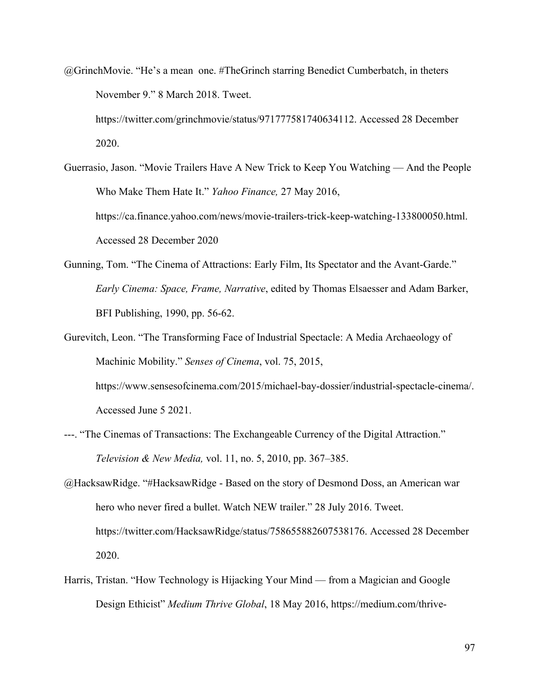- @GrinchMovie. "He's a mean one. #TheGrinch starring Benedict Cumberbatch, in theters November 9." 8 March 2018. Tweet. https://twitter.com/grinchmovie/status/971777581740634112. Accessed 28 December 2020.
- Guerrasio, Jason. "Movie Trailers Have A New Trick to Keep You Watching And the People Who Make Them Hate It." *Yahoo Finance,* 27 May 2016, https://ca.finance.yahoo.com/news/movie-trailers-trick-keep-watching-133800050.html. Accessed 28 December 2020
- Gunning, Tom. "The Cinema of Attractions: Early Film, Its Spectator and the Avant-Garde." *Early Cinema: Space, Frame, Narrative*, edited by Thomas Elsaesser and Adam Barker, BFI Publishing, 1990, pp. 56-62.
- Gurevitch, Leon. "The Transforming Face of Industrial Spectacle: A Media Archaeology of Machinic Mobility." *Senses of Cinema*, vol. 75, 2015, https://www.sensesofcinema.com/2015/michael-bay-dossier/industrial-spectacle-cinema/. Accessed June 5 2021.
- ---. "The Cinemas of Transactions: The Exchangeable Currency of the Digital Attraction." *Television & New Media,* vol. 11, no. 5, 2010, pp. 367–385.
- @HacksawRidge. "#HacksawRidge Based on the story of Desmond Doss, an American war hero who never fired a bullet. Watch NEW trailer." 28 July 2016. Tweet. https://twitter.com/HacksawRidge/status/758655882607538176. Accessed 28 December 2020.
- Harris, Tristan. "How Technology is Hijacking Your Mind from a Magician and Google Design Ethicist" *Medium Thrive Global*, 18 May 2016, https://medium.com/thrive-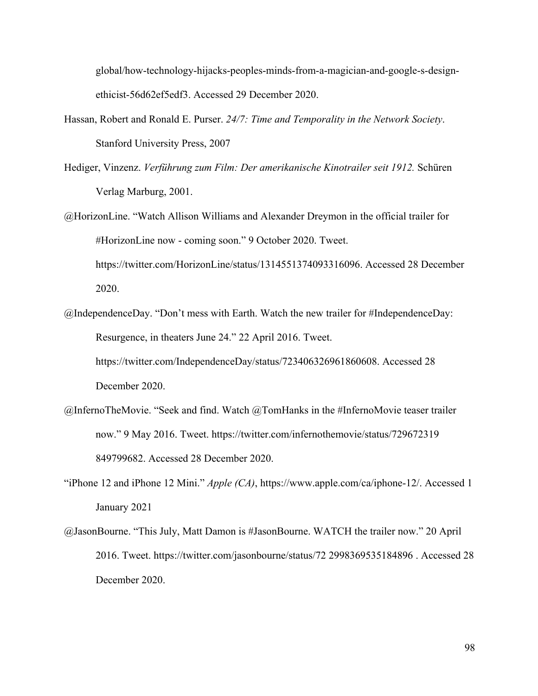global/how-technology-hijacks-peoples-minds-from-a-magician-and-google-s-designethicist-56d62ef5edf3. Accessed 29 December 2020.

- Hassan, Robert and Ronald E. Purser. *24/7: Time and Temporality in the Network Society*. Stanford University Press, 2007
- Hediger, Vinzenz. *Verführung zum Film: Der amerikanische Kinotrailer seit 1912.* Schüren Verlag Marburg, 2001.
- @HorizonLine. "Watch Allison Williams and Alexander Dreymon in the official trailer for #HorizonLine now - coming soon." 9 October 2020. Tweet. https://twitter.com/HorizonLine/status/1314551374093316096. Accessed 28 December 2020.
- @IndependenceDay. "Don't mess with Earth. Watch the new trailer for #IndependenceDay: Resurgence, in theaters June 24." 22 April 2016. Tweet. https://twitter.com/IndependenceDay/status/723406326961860608. Accessed 28 December 2020.
- @InfernoTheMovie. "Seek and find. Watch @TomHanks in the #InfernoMovie teaser trailer now." 9 May 2016. Tweet. https://twitter.com/infernothemovie/status/729672319 849799682. Accessed 28 December 2020.
- "iPhone 12 and iPhone 12 Mini." *Apple (CA)*, https://www.apple.com/ca/iphone-12/. Accessed 1 January 2021
- @JasonBourne. "This July, Matt Damon is #JasonBourne. WATCH the trailer now." 20 April 2016. Tweet. https://twitter.com/jasonbourne/status/72 2998369535184896 . Accessed 28 December 2020.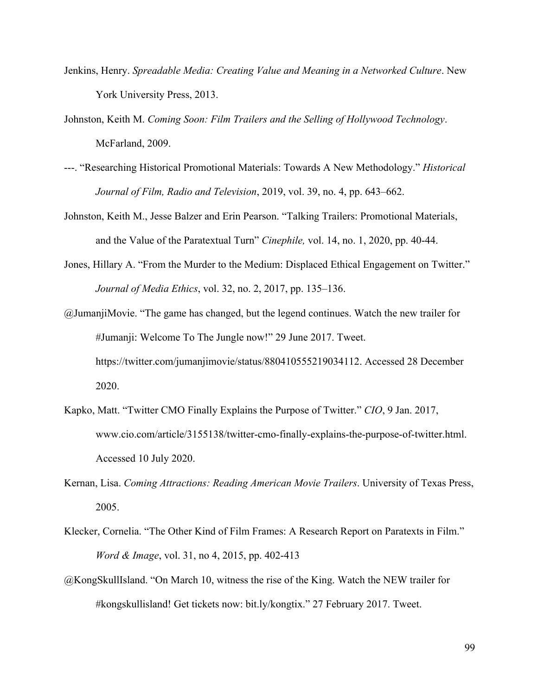- Jenkins, Henry. *Spreadable Media: Creating Value and Meaning in a Networked Culture*. New York University Press, 2013.
- Johnston, Keith M. *Coming Soon: Film Trailers and the Selling of Hollywood Technology*. McFarland, 2009.
- ---. "Researching Historical Promotional Materials: Towards A New Methodology." *Historical Journal of Film, Radio and Television*, 2019, vol. 39, no. 4, pp. 643–662.
- Johnston, Keith M., Jesse Balzer and Erin Pearson. "Talking Trailers: Promotional Materials, and the Value of the Paratextual Turn" *Cinephile,* vol. 14, no. 1, 2020, pp. 40-44.
- Jones, Hillary A. "From the Murder to the Medium: Displaced Ethical Engagement on Twitter." *Journal of Media Ethics*, vol. 32, no. 2, 2017, pp. 135–136.
- @JumanjiMovie. "The game has changed, but the legend continues. Watch the new trailer for #Jumanji: Welcome To The Jungle now!" 29 June 2017. Tweet. https://twitter.com/jumanjimovie/status/880410555219034112. Accessed 28 December 2020.
- Kapko, Matt. "Twitter CMO Finally Explains the Purpose of Twitter." *CIO*, 9 Jan. 2017, www.cio.com/article/3155138/twitter-cmo-finally-explains-the-purpose-of-twitter.html. Accessed 10 July 2020.
- Kernan, Lisa. *Coming Attractions: Reading American Movie Trailers*. University of Texas Press, 2005.
- Klecker, Cornelia. "The Other Kind of Film Frames: A Research Report on Paratexts in Film." *Word & Image*, vol. 31, no 4, 2015, pp. 402-413
- @KongSkullIsland. "On March 10, witness the rise of the King. Watch the NEW trailer for #kongskullisland! Get tickets now: bit.ly/kongtix." 27 February 2017. Tweet.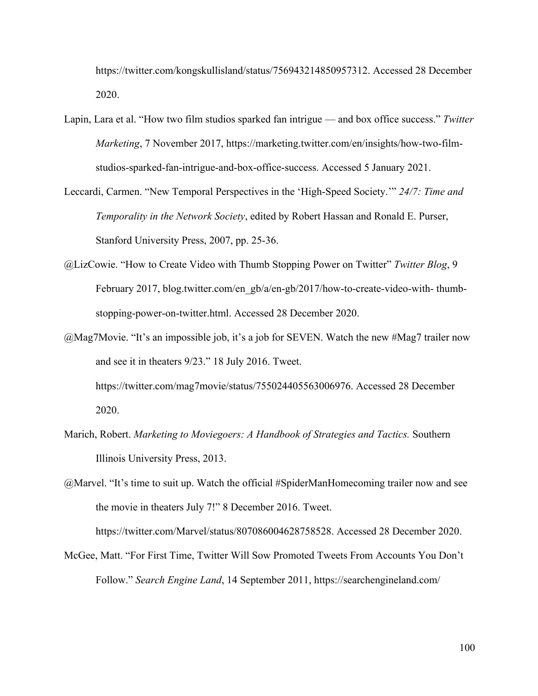https://twitter.com/kongskullisland/status/756943214850957312. Accessed 28 December 2020.

- Lapin, Lara et al. "How two film studios sparked fan intrigue and box office success." *Twitter Marketing*, 7 November 2017, https://marketing.twitter.com/en/insights/how-two-filmstudios-sparked-fan-intrigue-and-box-office-success. Accessed 5 January 2021.
- Leccardi, Carmen. "New Temporal Perspectives in the 'High-Speed Society.'" *24/7: Time and Temporality in the Network Society*, edited by Robert Hassan and Ronald E. Purser, Stanford University Press, 2007, pp. 25-36.
- @LizCowie. "How to Create Video with Thumb Stopping Power on Twitter" *Twitter Blog*, 9 February 2017, blog.twitter.com/en\_gb/a/en-gb/2017/how-to-create-video-with- thumbstopping-power-on-twitter.html. Accessed 28 December 2020.
- @Mag7Movie. "It's an impossible job, it's a job for SEVEN. Watch the new #Mag7 trailer now and see it in theaters 9/23." 18 July 2016. Tweet. https://twitter.com/mag7movie/status/755024405563006976. Accessed 28 December 2020.
- Marich, Robert. *Marketing to Moviegoers: A Handbook of Strategies and Tactics.* Southern Illinois University Press, 2013.

@Marvel. "It's time to suit up. Watch the official #SpiderManHomecoming trailer now and see the movie in theaters July 7!" 8 December 2016. Tweet. https://twitter.com/Marvel/status/807086004628758528. Accessed 28 December 2020.

McGee, Matt. "For First Time, Twitter Will Sow Promoted Tweets From Accounts You Don't Follow." *Search Engine Land*, 14 September 2011, https://searchengineland.com/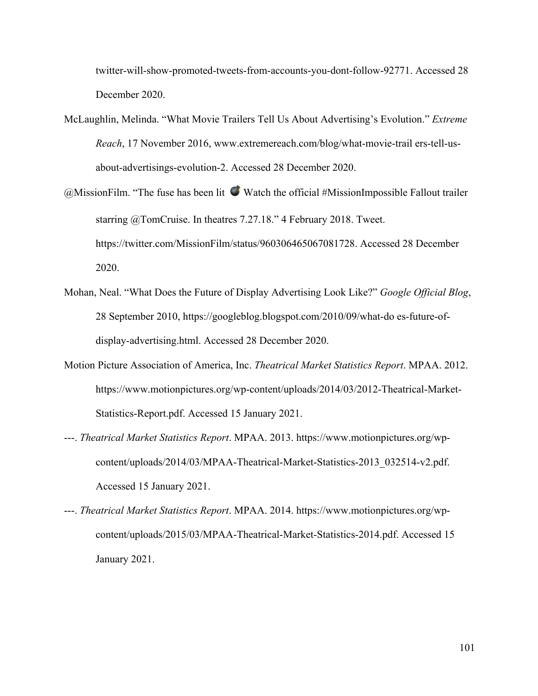twitter-will-show-promoted-tweets-from-accounts-you-dont-follow-92771. Accessed 28 December 2020.

- McLaughlin, Melinda. "What Movie Trailers Tell Us About Advertising's Evolution." *Extreme Reach*, 17 November 2016, www.extremereach.com/blog/what-movie-trail ers-tell-usabout-advertisings-evolution-2. Accessed 28 December 2020.
- $@$ MissionFilm. "The fuse has been lit  $Q$  Watch the official #MissionImpossible Fallout trailer starring @TomCruise. In theatres 7.27.18." 4 February 2018. Tweet. https://twitter.com/MissionFilm/status/960306465067081728. Accessed 28 December 2020.
- Mohan, Neal. "What Does the Future of Display Advertising Look Like?" *Google Official Blog*, 28 September 2010, https://googleblog.blogspot.com/2010/09/what-do es-future-ofdisplay-advertising.html. Accessed 28 December 2020.
- Motion Picture Association of America, Inc. *Theatrical Market Statistics Report*. MPAA. 2012. https://www.motionpictures.org/wp-content/uploads/2014/03/2012-Theatrical-Market-Statistics-Report.pdf. Accessed 15 January 2021.
- ---. *Theatrical Market Statistics Report*. MPAA. 2013. https://www.motionpictures.org/wpcontent/uploads/2014/03/MPAA-Theatrical-Market-Statistics-2013\_032514-v2.pdf. Accessed 15 January 2021.
- ---. *Theatrical Market Statistics Report*. MPAA. 2014. https://www.motionpictures.org/wpcontent/uploads/2015/03/MPAA-Theatrical-Market-Statistics-2014.pdf. Accessed 15 January 2021.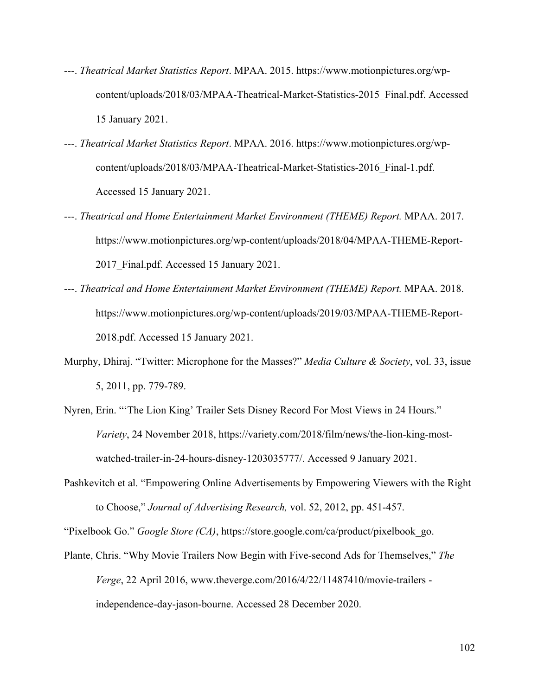- ---. *Theatrical Market Statistics Report*. MPAA. 2015. https://www.motionpictures.org/wpcontent/uploads/2018/03/MPAA-Theatrical-Market-Statistics-2015\_Final.pdf. Accessed 15 January 2021.
- ---. *Theatrical Market Statistics Report*. MPAA. 2016. https://www.motionpictures.org/wpcontent/uploads/2018/03/MPAA-Theatrical-Market-Statistics-2016\_Final-1.pdf. Accessed 15 January 2021.
- ---. *Theatrical and Home Entertainment Market Environment (THEME) Report.* MPAA. 2017. https://www.motionpictures.org/wp-content/uploads/2018/04/MPAA-THEME-Report-2017 Final.pdf. Accessed 15 January 2021.
- ---. *Theatrical and Home Entertainment Market Environment (THEME) Report.* MPAA. 2018. https://www.motionpictures.org/wp-content/uploads/2019/03/MPAA-THEME-Report-2018.pdf. Accessed 15 January 2021.
- Murphy, Dhiraj. "Twitter: Microphone for the Masses?" *Media Culture & Society*, vol. 33, issue 5, 2011, pp. 779-789.
- Nyren, Erin. "'The Lion King' Trailer Sets Disney Record For Most Views in 24 Hours." *Variety*, 24 November 2018, https://variety.com/2018/film/news/the-lion-king-mostwatched-trailer-in-24-hours-disney-1203035777/. Accessed 9 January 2021.
- Pashkevitch et al. "Empowering Online Advertisements by Empowering Viewers with the Right to Choose," *Journal of Advertising Research,* vol. 52, 2012, pp. 451-457.

"Pixelbook Go." *Google Store (CA)*, https://store.google.com/ca/product/pixelbook\_go.

Plante, Chris. "Why Movie Trailers Now Begin with Five-second Ads for Themselves," *The Verge*, 22 April 2016, www.theverge.com/2016/4/22/11487410/movie-trailers independence-day-jason-bourne. Accessed 28 December 2020.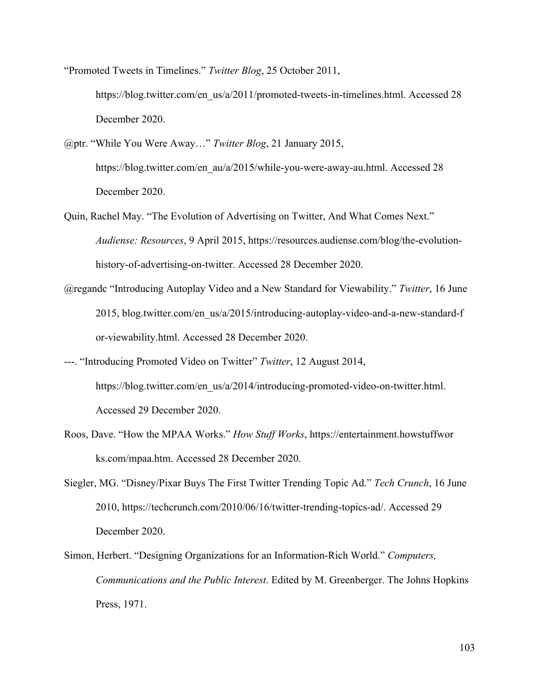"Promoted Tweets in Timelines." *Twitter Blog*, 25 October 2011, https://blog.twitter.com/en\_us/a/2011/promoted-tweets-in-timelines.html. Accessed 28 December 2020.

- @ptr. "While You Were Away…" *Twitter Blog*, 21 January 2015, https://blog.twitter.com/en\_au/a/2015/while-you-were-away-au.html. Accessed 28 December 2020.
- Quin, Rachel May. "The Evolution of Advertising on Twitter, And What Comes Next." *Audiense: Resources*, 9 April 2015, https://resources.audiense.com/blog/the-evolutionhistory-of-advertising-on-twitter. Accessed 28 December 2020.
- @regandc "Introducing Autoplay Video and a New Standard for Viewability." *Twitter*, 16 June 2015, blog.twitter.com/en\_us/a/2015/introducing-autoplay-video-and-a-new-standard-f or-viewability.html. Accessed 28 December 2020.
- ---. "Introducing Promoted Video on Twitter" *Twitter*, 12 August 2014, https://blog.twitter.com/en\_us/a/2014/introducing-promoted-video-on-twitter.html. Accessed 29 December 2020.
- Roos, Dave. "How the MPAA Works." *How Stuff Works*, https://entertainment.howstuffwor ks.com/mpaa.htm. Accessed 28 December 2020.
- Siegler, MG. "Disney/Pixar Buys The First Twitter Trending Topic Ad." *Tech Crunch*, 16 June 2010, https://techcrunch.com/2010/06/16/twitter-trending-topics-ad/. Accessed 29 December 2020.
- Simon, Herbert. "Designing Organizations for an Information-Rich World." *Computers, Communications and the Public Interest*. Edited by M. Greenberger. The Johns Hopkins Press, 1971.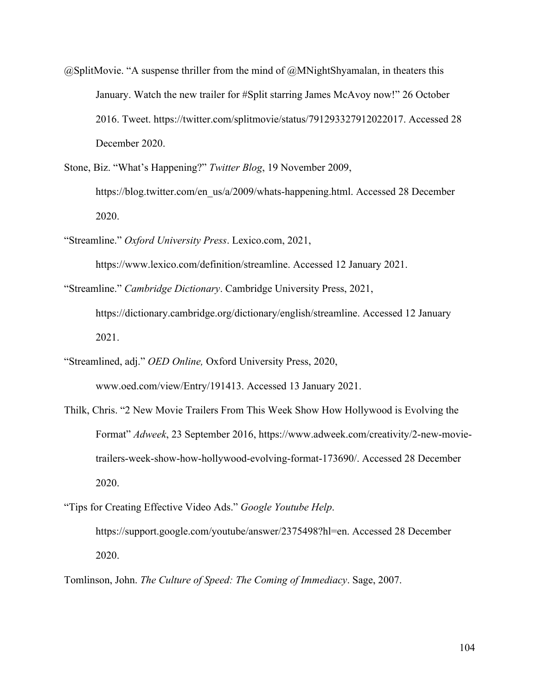- $@SplitMovie. "A subsense thriller from the mind of @MNightShyamalan, in theaters this$ January. Watch the new trailer for #Split starring James McAvoy now!" 26 October 2016. Tweet. https://twitter.com/splitmovie/status/791293327912022017. Accessed 28 December 2020.
- Stone, Biz. "What's Happening?" *Twitter Blog*, 19 November 2009, https://blog.twitter.com/en\_us/a/2009/whats-happening.html. Accessed 28 December 2020.
- "Streamline." *Oxford University Press*. Lexico.com, 2021,

https://www.lexico.com/definition/streamline. Accessed 12 January 2021.

- "Streamline." *Cambridge Dictionary*. Cambridge University Press, 2021, https://dictionary.cambridge.org/dictionary/english/streamline. Accessed 12 January 2021.
- "Streamlined, adj." *OED Online,* Oxford University Press, 2020, www.oed.com/view/Entry/191413. Accessed 13 January 2021.
- Thilk, Chris. "2 New Movie Trailers From This Week Show How Hollywood is Evolving the Format" *Adweek*, 23 September 2016, https://www.adweek.com/creativity/2-new-movietrailers-week-show-how-hollywood-evolving-format-173690/. Accessed 28 December 2020.
- "Tips for Creating Effective Video Ads." *Google Youtube Help*. https://support.google.com/youtube/answer/2375498?hl=en. Accessed 28 December 2020.
- Tomlinson, John. *The Culture of Speed: The Coming of Immediacy*. Sage, 2007.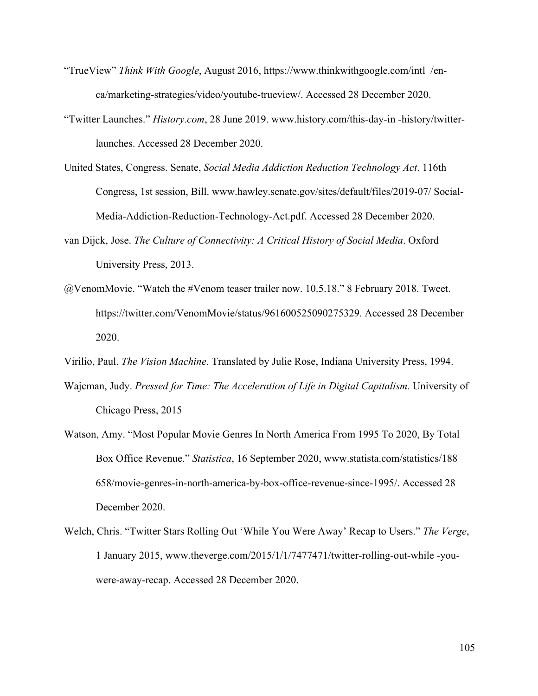- "TrueView" *Think With Google*, August 2016, https://www.thinkwithgoogle.com/intl /enca/marketing-strategies/video/youtube-trueview/. Accessed 28 December 2020.
- "Twitter Launches." *History.com*, 28 June 2019. www.history.com/this-day-in -history/twitterlaunches. Accessed 28 December 2020.
- United States, Congress. Senate, *Social Media Addiction Reduction Technology Act*. 116th Congress, 1st session, Bill. www.hawley.senate.gov/sites/default/files/2019-07/ Social-Media-Addiction-Reduction-Technology-Act.pdf. Accessed 28 December 2020.
- van Dijck, Jose. *The Culture of Connectivity: A Critical History of Social Media*. Oxford University Press, 2013.
- @VenomMovie. "Watch the #Venom teaser trailer now. 10.5.18." 8 February 2018. Tweet. https://twitter.com/VenomMovie/status/961600525090275329. Accessed 28 December 2020.
- Virilio, Paul. *The Vision Machine*. Translated by Julie Rose, Indiana University Press, 1994.
- Wajcman, Judy. *Pressed for Time: The Acceleration of Life in Digital Capitalism*. University of Chicago Press, 2015
- Watson, Amy. "Most Popular Movie Genres In North America From 1995 To 2020, By Total Box Office Revenue." *Statistica*, 16 September 2020, www.statista.com/statistics/188 658/movie-genres-in-north-america-by-box-office-revenue-since-1995/. Accessed 28 December 2020.
- Welch, Chris. "Twitter Stars Rolling Out 'While You Were Away' Recap to Users." *The Verge*, 1 January 2015, www.theverge.com/2015/1/1/7477471/twitter-rolling-out-while -youwere-away-recap. Accessed 28 December 2020.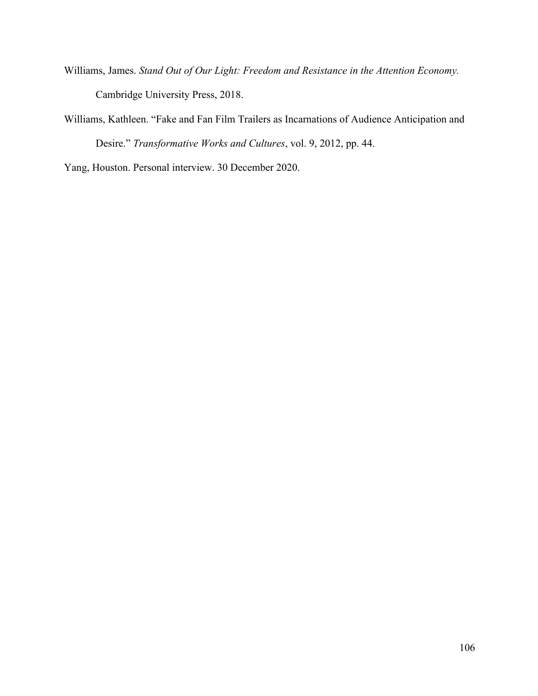- Williams, James. *Stand Out of Our Light: Freedom and Resistance in the Attention Economy.*  Cambridge University Press, 2018.
- Williams, Kathleen. "Fake and Fan Film Trailers as Incarnations of Audience Anticipation and Desire." *Transformative Works and Cultures*, vol. 9, 2012, pp. 44.

Yang, Houston. Personal interview. 30 December 2020.